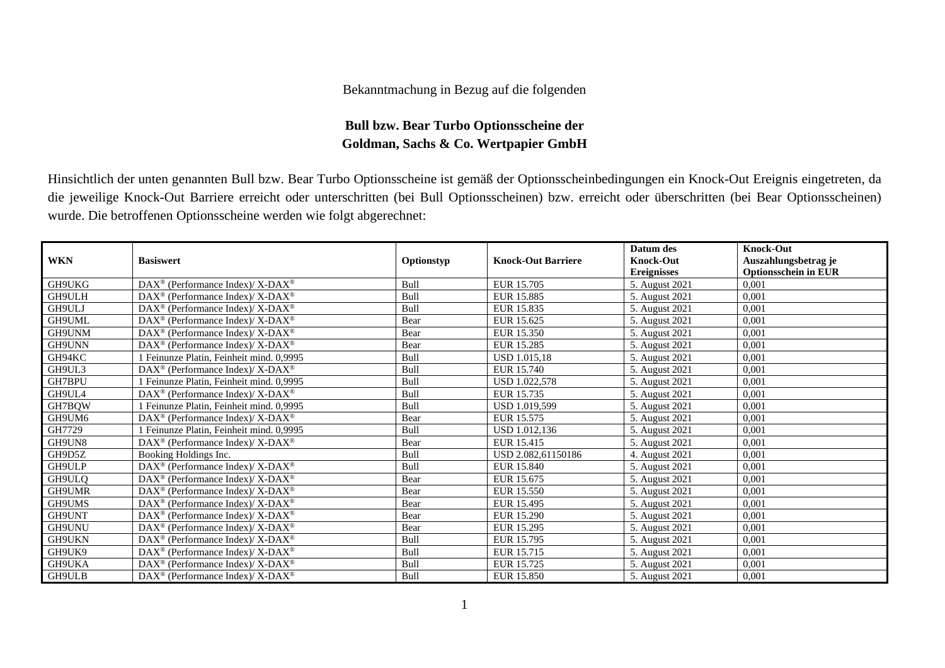## Bekanntmachung in Bezug auf die folgenden

## **Bull bzw. Bear Turbo Optionsscheine der Goldman, Sachs & Co. Wertpapier GmbH**

Hinsichtlich der unten genannten Bull bzw. Bear Turbo Optionsscheine ist gemäß der Optionsscheinbedingungen ein Knock-Out Ereignis eingetreten, da die jeweilige Knock-Out Barriere erreicht oder unterschritten (bei Bull Optionsscheinen) bzw. erreicht oder überschritten (bei Bear Optionsscheinen) wurde. Die betroffenen Optionsscheine werden wie folgt abgerechnet:

|               |                                                                    |             |                           | Datum des          | <b>Knock-Out</b>            |
|---------------|--------------------------------------------------------------------|-------------|---------------------------|--------------------|-----------------------------|
| <b>WKN</b>    | <b>Basiswert</b>                                                   | Optionstyp  | <b>Knock-Out Barriere</b> | <b>Knock-Out</b>   | Auszahlungsbetrag je        |
|               |                                                                    |             |                           | <b>Ereignisses</b> | <b>Optionsschein in EUR</b> |
| GH9UKG        | $DAX^{\circledast}$ (Performance Index)/ X-DAX <sup>®</sup>        | <b>Bull</b> | EUR 15.705                | 5. August 2021     | 0.001                       |
| GH9ULH        | $DAX^{\circledast}$ (Performance Index)/ X-DAX <sup>®</sup>        | Bull        | EUR 15.885                | 5. August 2021     | 0,001                       |
| GH9ULJ        | $DAX^{\circledast}$ (Performance Index)/ X-DAX <sup>®</sup>        | Bull        | EUR 15.835                | 5. August 2021     | 0,001                       |
| GH9UML        | DAX <sup>®</sup> (Performance Index)/ X-DAX <sup>®</sup>           | Bear        | EUR 15.625                | 5. August 2021     | 0,001                       |
| GH9UNM        | DAX <sup>®</sup> (Performance Index)/ X-DAX <sup>®</sup>           | Bear        | EUR 15.350                | 5. August 2021     | 0,001                       |
| <b>GH9UNN</b> | DAX <sup>®</sup> (Performance Index)/ X-DAX <sup>®</sup>           | Bear        | EUR 15.285                | 5. August 2021     | 0.001                       |
| GH94KC        | Feinunze Platin, Feinheit mind. 0,9995                             | Bull        | <b>USD 1.015.18</b>       | 5. August 2021     | 0.001                       |
| GH9UL3        | $DAX^{\circledcirc}$ (Performance Index)/ X-DAX <sup>®</sup>       | Bull        | EUR 15.740                | 5. August 2021     | 0,001                       |
| <b>GH7BPU</b> | Feinunze Platin, Feinheit mind. 0,9995                             | Bull        | USD 1.022.578             | 5. August 2021     | 0,001                       |
| GH9UL4        | $\text{DAX}^{\circledast}$ (Performance Index)/ X-DAX <sup>®</sup> | Bull        | EUR 15.735                | 5. August 2021     | 0,001                       |
| GH7BQW        | Feinunze Platin, Feinheit mind. 0,9995                             | Bull        | USD 1.019.599             | 5. August 2021     | 0,001                       |
| GH9UM6        | $DAX^{\circledcirc}$ (Performance Index)/ X-DAX <sup>®</sup>       | Bear        | EUR 15.575                | 5. August 2021     | 0,001                       |
| GH7729        | Feinunze Platin, Feinheit mind. 0,9995                             | Bull        | USD 1.012,136             | 5. August 2021     | 0,001                       |
| GH9UN8        | $DAX^{\circledast}$ (Performance Index)/ X-DAX <sup>®</sup>        | Bear        | EUR 15.415                | 5. August 2021     | 0.001                       |
| GH9D5Z        | Booking Holdings Inc.                                              | Bull        | USD 2.082.61150186        | 4. August 2021     | 0,001                       |
| GH9ULP        | DAX <sup>®</sup> (Performance Index)/ X-DAX <sup>®</sup>           | Bull        | EUR 15.840                | 5. August 2021     | 0,001                       |
| GH9ULQ        | $DAX^{\omega}$ (Performance Index)/X-DAX <sup>®</sup>              | Bear        | EUR 15.675                | 5. August 2021     | 0,001                       |
| GH9UMR        | $DAX^{\circledast}$ (Performance Index)/ X-DAX <sup>®</sup>        | Bear        | EUR 15.550                | 5. August 2021     | 0,001                       |
| GH9UMS        | $DAX^{\circledast}$ (Performance Index)/ X-DAX <sup>®</sup>        | Bear        | EUR 15.495                | 5. August 2021     | 0,001                       |
| GH9UNT        | $DAX^{\omega}$ (Performance Index)/X-DAX <sup>®</sup>              | Bear        | EUR 15.290                | 5. August 2021     | 0,001                       |
| <b>GH9UNU</b> | DAX <sup>®</sup> (Performance Index)/ X-DAX <sup>®</sup>           | Bear        | EUR 15.295                | 5. August 2021     | 0,001                       |
| GH9UKN        | DAX <sup>®</sup> (Performance Index)/ X-DAX <sup>®</sup>           | Bull        | EUR 15.795                | 5. August 2021     | 0,001                       |
| GH9UK9        | $DAX^{\circledcirc}$ (Performance Index)/ X-DAX <sup>®</sup>       | Bull        | EUR 15.715                | 5. August 2021     | 0,001                       |
| GH9UKA        | $DAX^{\circledast}$ (Performance Index)/ X-DAX <sup>®</sup>        | Bull        | EUR 15.725                | 5. August 2021     | 0,001                       |
| <b>GH9ULB</b> | DAX <sup>®</sup> (Performance Index)/ X-DAX <sup>®</sup>           | Bull        | EUR 15.850                | 5. August 2021     | 0,001                       |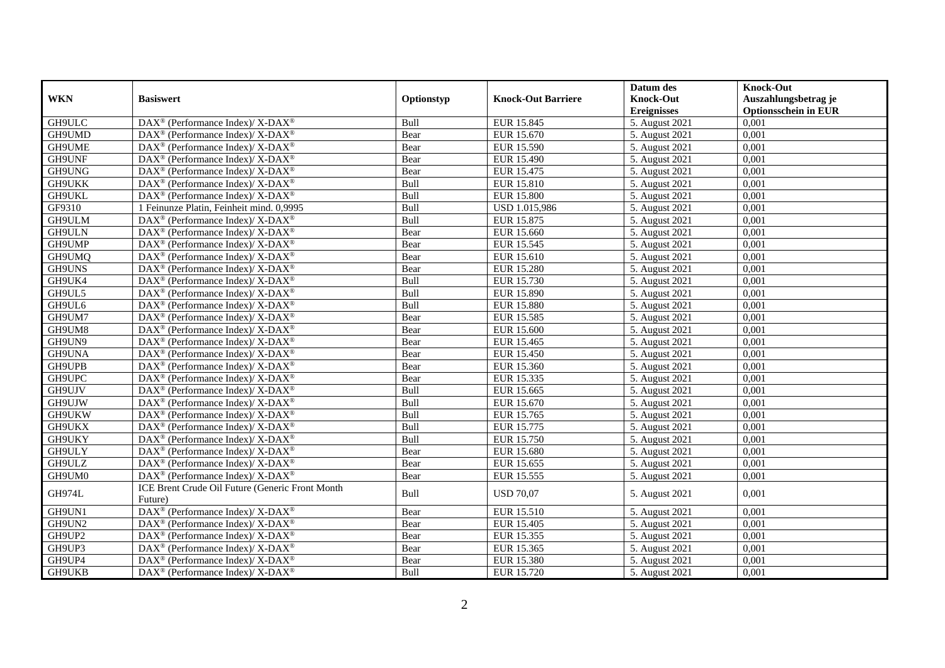|            |                                                                           |            |                           | Datum des          | <b>Knock-Out</b>            |
|------------|---------------------------------------------------------------------------|------------|---------------------------|--------------------|-----------------------------|
| <b>WKN</b> | <b>Basiswert</b>                                                          | Optionstyp | <b>Knock-Out Barriere</b> | <b>Knock-Out</b>   | Auszahlungsbetrag je        |
|            |                                                                           |            |                           | <b>Ereignisses</b> | <b>Optionsschein in EUR</b> |
| GH9ULC     | DAX <sup>®</sup> (Performance Index)/ X-DAX <sup>®</sup>                  | Bull       | EUR 15.845                | 5. August 2021     | 0,001                       |
| GH9UMD     | $DAX^{\circledast}$ (Performance Index)/ X-DAX <sup>®</sup>               | Bear       | EUR 15.670                | 5. August 2021     | 0,001                       |
| GH9UME     | $DAX^{\circledast}$ (Performance Index)/ X-DAX <sup>®</sup>               | Bear       | EUR 15.590                | 5. August 2021     | 0,001                       |
| GH9UNF     | $DAX^{\circledast}$ (Performance Index)/ X-DAX <sup>®</sup>               | Bear       | EUR 15.490                | 5. August 2021     | 0,001                       |
| GH9UNG     | $DAX^{\circledast}$ (Performance Index)/ X-DAX <sup>®</sup>               | Bear       | EUR 15.475                | 5. August 2021     | 0,001                       |
| GH9UKK     | $DAX^{\circledast}$ (Performance Index)/ X-DAX <sup>®</sup>               | Bull       | EUR 15.810                | 5. August 2021     | 0,001                       |
| GH9UKL     | $DAX^{\circledast}$ (Performance Index)/ X-DAX <sup>®</sup>               | Bull       | <b>EUR 15.800</b>         | 5. August 2021     | 0,001                       |
| GF9310     | 1 Feinunze Platin, Feinheit mind. 0,9995                                  | Bull       | USD 1.015,986             | 5. August 2021     | 0,001                       |
| GH9ULM     | $DAX^{\circledast}$ (Performance Index)/ X-DAX <sup>®</sup>               | Bull       | EUR 15.875                | 5. August 2021     | 0,001                       |
| GH9ULN     | $DAX^{\circledast}$ (Performance Index)/ X-DAX <sup>®</sup>               | Bear       | EUR 15.660                | 5. August 2021     | 0,001                       |
| GH9UMP     | DAX <sup>®</sup> (Performance Index)/ X-DAX <sup>®</sup>                  | Bear       | EUR 15.545                | 5. August 2021     | 0,001                       |
| GH9UMQ     | $DAX^{\circledast}$ (Performance Index)/ X-DAX <sup>®</sup>               | Bear       | EUR 15.610                | 5. August 2021     | 0,001                       |
| GH9UNS     | $DAX^{\circledcirc}$ (Performance Index)/ X-DAX <sup>®</sup>              | Bear       | <b>EUR 15.280</b>         | 5. August 2021     | 0.001                       |
| GH9UK4     | DAX <sup>®</sup> (Performance Index)/ X-DAX <sup>®</sup>                  | Bull       | EUR 15.730                | 5. August 2021     | 0,001                       |
| GH9UL5     | $DAX^{\circledast}$ (Performance Index)/ X-DAX <sup>®</sup>               | Bull       | <b>EUR 15.890</b>         | 5. August 2021     | 0,001                       |
| GH9UL6     | $DAX^{\circledast}$ (Performance Index)/ $\overline{X-DAX^{\circledast}}$ | Bull       | <b>EUR 15.880</b>         | 5. August 2021     | 0,001                       |
| GH9UM7     | DAX <sup>®</sup> (Performance Index)/ X-DAX <sup>®</sup>                  | Bear       | EUR 15.585                | 5. August 2021     | 0,001                       |
| GH9UM8     | $DAX^{\circledast}$ (Performance Index)/ X-DAX <sup>®</sup>               | Bear       | EUR 15.600                | 5. August 2021     | 0,001                       |
| GH9UN9     | DAX <sup>®</sup> (Performance Index)/ X-DAX <sup>®</sup>                  | Bear       | EUR 15.465                | 5. August 2021     | 0,001                       |
| GH9UNA     | $DAX^{\circledast}$ (Performance Index)/ X-DAX <sup>®</sup>               | Bear       | <b>EUR 15.450</b>         | 5. August 2021     | 0,001                       |
| GH9UPB     | $DAX^{\circledast}$ (Performance Index)/ X-DAX <sup>®</sup>               | Bear       | EUR 15.360                | 5. August 2021     | 0,001                       |
| GH9UPC     | DAX <sup>®</sup> (Performance Index)/ X-DAX <sup>®</sup>                  | Bear       | EUR 15.335                | 5. August 2021     | 0,001                       |
| GH9UJV     | $DAX^{\circledcirc}$ (Performance Index)/ X-DAX <sup>®</sup>              | Bull       | EUR 15.665                | 5. August 2021     | 0,001                       |
| GH9UJW     | $DAX^{\circledast}$ (Performance Index)/ X-DAX <sup>®</sup>               | Bull       | EUR 15.670                | 5. August 2021     | 0,001                       |
| GH9UKW     | $DAX^{\circledast}$ (Performance Index)/ X-DAX <sup>®</sup>               | Bull       | EUR 15.765                | 5. August 2021     | 0,001                       |
| GH9UKX     | DAX <sup>®</sup> (Performance Index)/ X-DAX <sup>®</sup>                  | Bull       | EUR 15.775                | 5. August 2021     | 0,001                       |
| GH9UKY     | DAX <sup>®</sup> (Performance Index)/ X-DAX <sup>®</sup>                  | Bull       | EUR 15.750                | 5. August 2021     | 0,001                       |
| GH9ULY     | $DAX^{\circledcirc}$ (Performance Index)/ X-DAX <sup>®</sup>              | Bear       | EUR 15.680                | 5. August 2021     | 0,001                       |
| GH9ULZ     | DAX <sup>®</sup> (Performance Index)/ X-DAX <sup>®</sup>                  | Bear       | EUR 15.655                | 5. August 2021     | 0,001                       |
| GH9UM0     | DAX <sup>®</sup> (Performance Index)/ X-DAX <sup>®</sup>                  | Bear       | EUR 15.555                | 5. August 2021     | 0,001                       |
| GH974L     | ICE Brent Crude Oil Future (Generic Front Month<br>Future)                | Bull       | <b>USD 70,07</b>          | 5. August 2021     | 0,001                       |
| GH9UN1     | DAX <sup>®</sup> (Performance Index)/ X-DAX <sup>®</sup>                  | Bear       | EUR 15.510                | 5. August 2021     | 0,001                       |
| GH9UN2     | DAX <sup>®</sup> (Performance Index)/ X-DAX <sup>®</sup>                  | Bear       | <b>EUR 15.405</b>         | 5. August 2021     | 0,001                       |
| GH9UP2     | $DAX^{\circledast}$ (Performance Index)/ X-DAX <sup>®</sup>               | Bear       | EUR 15.355                | 5. August 2021     | 0,001                       |
| GH9UP3     | DAX <sup>®</sup> (Performance Index)/ X-DAX <sup>®</sup>                  | Bear       | EUR 15.365                | 5. August 2021     | 0,001                       |
| GH9UP4     | DAX <sup>®</sup> (Performance Index)/ X-DAX <sup>®</sup>                  | Bear       | EUR 15.380                | 5. August 2021     | 0,001                       |
| GH9UKB     | $DAX^{\circledast}$ (Performance Index)/ X-DAX <sup>®</sup>               | Bull       | EUR 15.720                | 5. August 2021     | 0,001                       |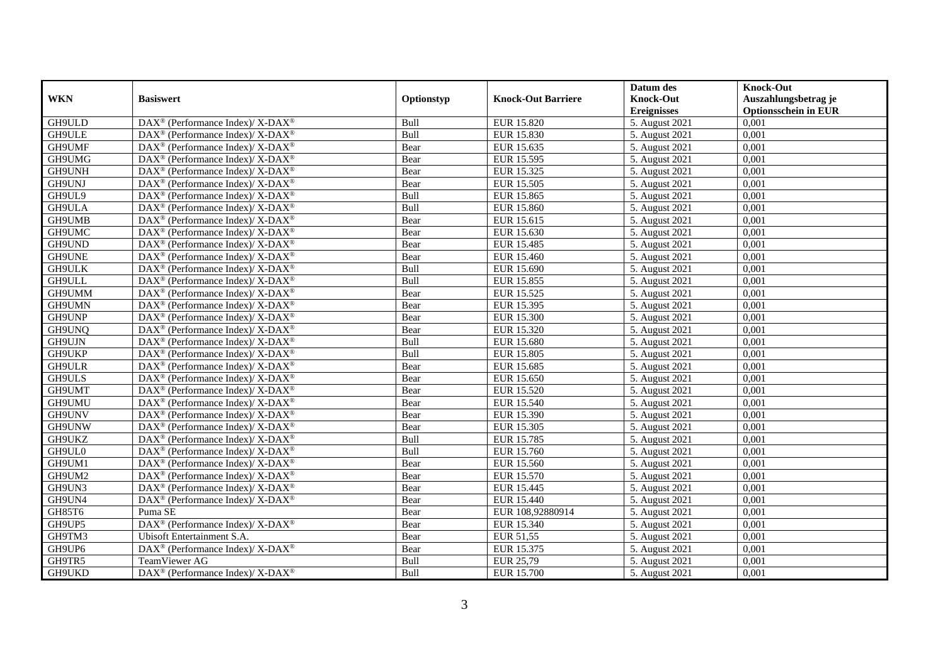|               |                                                              |            |                           | Datum des          | <b>Knock-Out</b>            |
|---------------|--------------------------------------------------------------|------------|---------------------------|--------------------|-----------------------------|
| <b>WKN</b>    | <b>Basiswert</b>                                             | Optionstyp | <b>Knock-Out Barriere</b> | <b>Knock-Out</b>   | Auszahlungsbetrag je        |
|               |                                                              |            |                           | <b>Ereignisses</b> | <b>Optionsschein in EUR</b> |
| GH9ULD        | DAX <sup>®</sup> (Performance Index)/ X-DAX <sup>®</sup>     | Bull       | <b>EUR 15.820</b>         | 5. August 2021     | 0,001                       |
| GH9ULE        | $DAX^{\circledast}$ (Performance Index)/ X-DAX <sup>®</sup>  | Bull       | EUR 15.830                | 5. August 2021     | 0,001                       |
| GH9UMF        | $DAX^{\circledast}$ (Performance Index)/ X-DAX <sup>®</sup>  | Bear       | EUR 15.635                | 5. August 2021     | 0,001                       |
| GH9UMG        | $DAX^{\circledast}$ (Performance Index)/ X-DAX <sup>®</sup>  | Bear       | EUR 15.595                | 5. August 2021     | 0,001                       |
| GH9UNH        | $DAX^{\circledast}$ (Performance Index)/ X-DAX <sup>®</sup>  | Bear       | EUR 15.325                | 5. August 2021     | 0,001                       |
| GH9UNJ        | DAX <sup>®</sup> (Performance Index)/ X-DAX <sup>®</sup>     | Bear       | EUR 15.505                | 5. August 2021     | 0,001                       |
| GH9UL9        | $DAX^{\circledcirc}$ (Performance Index)/ X-DAX <sup>®</sup> | Bull       | EUR 15.865                | 5. August 2021     | 0,001                       |
| GH9ULA        | $DAX^{\circledast}$ (Performance Index)/ X-DAX <sup>®</sup>  | Bull       | EUR 15.860                | 5. August 2021     | 0,001                       |
| GH9UMB        | $DAX^{\circledast}$ (Performance Index)/ X-DAX <sup>®</sup>  | Bear       | EUR 15.615                | 5. August 2021     | 0,001                       |
| GH9UMC        | DAX <sup>®</sup> (Performance Index)/ X-DAX <sup>®</sup>     | Bear       | EUR 15.630                | 5. August 2021     | 0,001                       |
| GH9UND        | DAX <sup>®</sup> (Performance Index)/ X-DAX <sup>®</sup>     | Bear       | EUR 15.485                | 5. August 2021     | 0,001                       |
| GH9UNE        | DAX <sup>®</sup> (Performance Index)/ X-DAX <sup>®</sup>     | Bear       | EUR 15.460                | 5. August 2021     | 0,001                       |
| <b>GH9ULK</b> | $DAX^{\circledast}$ (Performance Index)/ X-DAX <sup>®</sup>  | Bull       | EUR 15.690                | 5. August 2021     | 0,001                       |
| GH9ULL        | $DAX^{\circledast}$ (Performance Index)/ X-DAX <sup>®</sup>  | Bull       | EUR 15.855                | 5. August 2021     | 0,001                       |
| GH9UMM        | DAX <sup>®</sup> (Performance Index)/ X-DAX <sup>®</sup>     | Bear       | EUR 15.525                | 5. August 2021     | 0,001                       |
| GH9UMN        | DAX <sup>®</sup> (Performance Index)/ X-DAX <sup>®</sup>     | Bear       | EUR 15.395                | 5. August 2021     | 0,001                       |
| GH9UNP        | $DAX^{\circledast}$ (Performance Index)/ X-DAX <sup>®</sup>  | Bear       | <b>EUR 15.300</b>         | 5. August 2021     | 0,001                       |
| GH9UNQ        | $DAX^{\circledcirc}$ (Performance Index)/ X-DAX <sup>®</sup> | Bear       | EUR 15.320                | 5. August 2021     | 0,001                       |
| GH9UJN        | $DAX^{\circledast}$ (Performance Index)/ X-DAX <sup>®</sup>  | Bull       | <b>EUR 15.680</b>         | 5. August 2021     | 0,001                       |
| GH9UKP        | DAX <sup>®</sup> (Performance Index)/ X-DAX <sup>®</sup>     | Bull       | <b>EUR 15.805</b>         | 5. August 2021     | 0,001                       |
| GH9ULR        | $DAX^{\circledast}$ (Performance Index)/ X-DAX <sup>®</sup>  | Bear       | EUR 15.685                | 5. August 2021     | 0,001                       |
| <b>GH9ULS</b> | $DAX^{\circledast}$ (Performance Index)/ X-DAX <sup>®</sup>  | Bear       | EUR 15.650                | 5. August 2021     | 0,001                       |
| GH9UMT        | DAX <sup>®</sup> (Performance Index)/ X-DAX <sup>®</sup>     | Bear       | EUR 15.520                | 5. August 2021     | 0,001                       |
| GH9UMU        | DAX <sup>®</sup> (Performance Index)/ X-DAX <sup>®</sup>     | Bear       | EUR 15.540                | 5. August 2021     | 0,001                       |
| GH9UNV        | $DAX^{\circledcirc}$ (Performance Index)/ X-DAX <sup>®</sup> | Bear       | EUR 15.390                | 5. August 2021     | 0,001                       |
| GH9UNW        | $DAX^{\circledast}$ (Performance Index)/ X-DAX <sup>®</sup>  | Bear       | EUR 15.305                | 5. August 2021     | 0,001                       |
| GH9UKZ        | DAX <sup>®</sup> (Performance Index)/ X-DAX <sup>®</sup>     | Bull       | <b>EUR 15.785</b>         | 5. August 2021     | 0,001                       |
| GH9UL0        | DAX <sup>®</sup> (Performance Index)/ X-DAX <sup>®</sup>     | Bull       | EUR 15.760                | 5. August 2021     | 0,001                       |
| GH9UM1        | DAX <sup>®</sup> (Performance Index)/ X-DAX <sup>®</sup>     | Bear       | EUR 15.560                | 5. August 2021     | 0,001                       |
| GH9UM2        | $DAX^{\circledast}$ (Performance Index)/ X-DAX <sup>®</sup>  | Bear       | EUR 15.570                | 5. August 2021     | 0,001                       |
| GH9UN3        | DAX <sup>®</sup> (Performance Index)/ X-DAX <sup>®</sup>     | Bear       | EUR 15.445                | 5. August 2021     | 0,001                       |
| GH9UN4        | $DAX^{\circledast}$ (Performance Index)/ X-DAX <sup>®</sup>  | Bear       | EUR 15.440                | 5. August 2021     | 0,001                       |
| GH85T6        | Puma SE                                                      | Bear       | EUR 108,92880914          | 5. August 2021     | 0,001                       |
| GH9UP5        | DAX <sup>®</sup> (Performance Index)/ X-DAX <sup>®</sup>     | Bear       | EUR 15.340                | 5. August 2021     | 0,001                       |
| GH9TM3        | Ubisoft Entertainment S.A.                                   | Bear       | EUR 51,55                 | 5. August 2021     | 0,001                       |
| GH9UP6        | $DAX^{\circledast}$ (Performance Index)/ X-DAX <sup>®</sup>  | Bear       | EUR 15.375                | 5. August 2021     | 0,001                       |
| GH9TR5        | TeamViewer AG                                                | Bull       | EUR 25,79                 | 5. August 2021     | 0,001                       |
| GH9UKD        | $DAX^{\circledast}$ (Performance Index)/ X-DAX <sup>®</sup>  | Bull       | EUR 15.700                | 5. August 2021     | 0,001                       |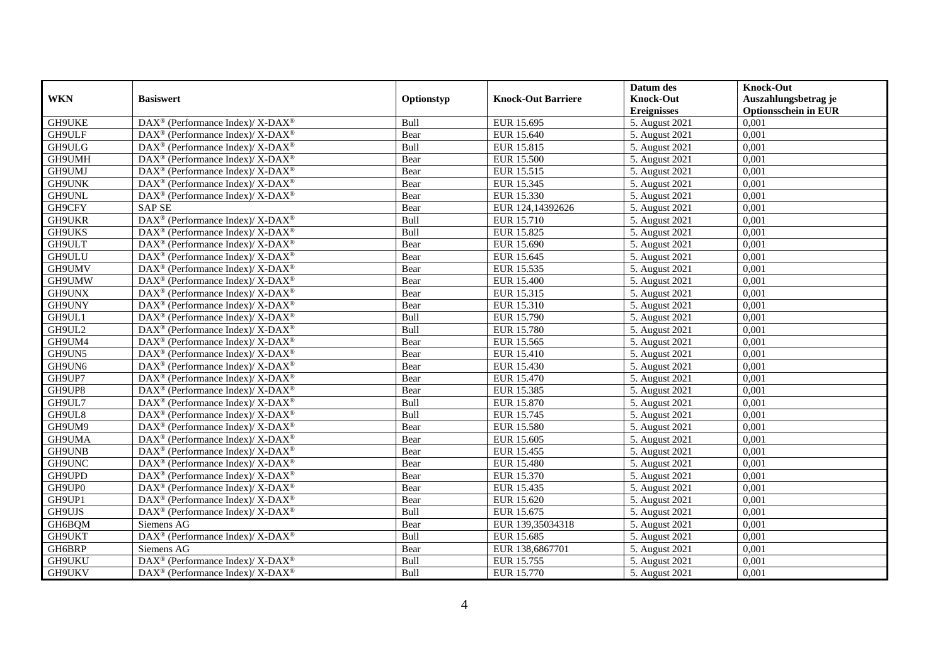|            |                                                                          |             |                           | Datum des          | <b>Knock-Out</b>            |
|------------|--------------------------------------------------------------------------|-------------|---------------------------|--------------------|-----------------------------|
| <b>WKN</b> | <b>Basiswert</b>                                                         | Optionstyp  | <b>Knock-Out Barriere</b> | <b>Knock-Out</b>   | Auszahlungsbetrag je        |
|            |                                                                          |             |                           | <b>Ereignisses</b> | <b>Optionsschein in EUR</b> |
| GH9UKE     | DAX <sup>®</sup> (Performance Index)/ X-DAX <sup>®</sup>                 | Bull        | EUR 15.695                | 5. August 2021     | 0,001                       |
| GH9ULF     | $DAX^{\circledast}$ (Performance Index)/ X-DAX <sup>®</sup>              | Bear        | EUR 15.640                | 5. August 2021     | 0,001                       |
| GH9ULG     | $DAX^{\circledast}$ (Performance Index)/ X-DAX <sup>®</sup>              | Bull        | EUR 15.815                | 5. August 2021     | 0,001                       |
| GH9UMH     | $DAX^{\circledast}$ (Performance Index)/ X-DAX <sup>®</sup>              | Bear        | EUR 15.500                | 5. August 2021     | 0,001                       |
| GH9UMJ     | $DAX^{\circledast}$ (Performance Index)/ X-DAX <sup>®</sup>              | Bear        | EUR 15.515                | 5. August 2021     | 0,001                       |
| GH9UNK     | DAX <sup>®</sup> (Performance Index)/ X-DAX <sup>®</sup>                 | Bear        | EUR 15.345                | 5. August 2021     | 0,001                       |
| GH9UNL     | $DAX^{\circledast}$ (Performance Index)/ X-DAX <sup>®</sup>              | Bear        | EUR 15.330                | 5. August 2021     | 0,001                       |
| GH9CFY     | <b>SAP SE</b>                                                            | Bear        | EUR 124,14392626          | 5. August 2021     | 0,001                       |
| GH9UKR     | $\overline{\text{DAX}^{\otimes}}$ (Performance Index)/X-DAX <sup>®</sup> | Bull        | EUR 15.710                | 5. August 2021     | 0,001                       |
| GH9UKS     | DAX <sup>®</sup> (Performance Index)/ X-DAX <sup>®</sup>                 | Bull        | EUR 15.825                | 5. August 2021     | 0,001                       |
| GH9ULT     | $DAX^{\circledast}$ (Performance Index)/ X-DAX <sup>®</sup>              | Bear        | EUR 15.690                | 5. August 2021     | 0,001                       |
| GH9ULU     | DAX <sup>®</sup> (Performance Index)/ X-DAX <sup>®</sup>                 | Bear        | EUR 15.645                | 5. August 2021     | 0,001                       |
| GH9UMV     | $DAX^{\circledast}$ (Performance Index)/ X-DAX <sup>®</sup>              | Bear        | EUR 15.535                | 5. August 2021     | 0,001                       |
| GH9UMW     | $DAX^{\circledast}$ (Performance Index)/ X-DAX <sup>®</sup>              | Bear        | EUR 15.400                | 5. August 2021     | 0,001                       |
| GH9UNX     | DAX <sup>®</sup> (Performance Index)/ X-DAX <sup>®</sup>                 | Bear        | EUR 15.315                | 5. August 2021     | 0,001                       |
| GH9UNY     | DAX <sup>®</sup> (Performance Index)/ X-DAX <sup>®</sup>                 | Bear        | EUR 15.310                | 5. August 2021     | 0,001                       |
| GH9UL1     | $DAX^{\circledast}$ (Performance Index)/ X-DAX <sup>®</sup>              | Bull        | EUR 15.790                | 5. August 2021     | 0,001                       |
| GH9UL2     | $DAX^{\circledcirc}$ (Performance Index)/ X-DAX <sup>®</sup>             | Bull        | EUR 15.780                | 5. August 2021     | 0,001                       |
| GH9UM4     | $DAX^{\circledast}$ (Performance Index)/ X-DAX <sup>®</sup>              | Bear        | EUR 15.565                | 5. August 2021     | 0,001                       |
| GH9UN5     | DAX <sup>®</sup> (Performance Index)/ X-DAX <sup>®</sup>                 | Bear        | EUR 15.410                | 5. August 2021     | 0,001                       |
| GH9UN6     | $DAX^{\circledast}$ (Performance Index)/ X-DAX <sup>®</sup>              | Bear        | EUR 15.430                | 5. August 2021     | 0,001                       |
| GH9UP7     | $DAX^{\circledast}$ (Performance Index)/ X-DAX <sup>®</sup>              | Bear        | <b>EUR 15.470</b>         | 5. August 2021     | 0,001                       |
| GH9UP8     | DAX <sup>®</sup> (Performance Index)/ X-DAX <sup>®</sup>                 | Bear        | EUR 15.385                | 5. August 2021     | 0,001                       |
| GH9UL7     | $DAX^{\circledast}$ (Performance Index)/ X-DAX <sup>®</sup>              | Bull        | EUR 15.870                | 5. August 2021     | 0,001                       |
| GH9UL8     | $DAX^{\circledcirc}$ (Performance Index)/ X-DAX <sup>®</sup>             | <b>Bull</b> | EUR 15.745                | 5. August 2021     | 0,001                       |
| GH9UM9     | $DAX^{\circledast}$ (Performance Index)/ X-DAX <sup>®</sup>              | Bear        | EUR 15.580                | 5. August 2021     | 0,001                       |
| GH9UMA     | DAX <sup>®</sup> (Performance Index)/ X-DAX <sup>®</sup>                 | Bear        | EUR 15.605                | 5. August 2021     | 0,001                       |
| GH9UNB     | DAX <sup>®</sup> (Performance Index)/ X-DAX <sup>®</sup>                 | Bear        | EUR 15.455                | 5. August 2021     | 0,001                       |
| GH9UNC     | $DAX^{\circledast}$ (Performance Index)/ X-DAX <sup>®</sup>              | Bear        | <b>EUR 15.480</b>         | 5. August 2021     | 0,001                       |
| GH9UPD     | $DAX^{\circledast}$ (Performance Index)/ X-DAX <sup>®</sup>              | Bear        | EUR 15.370                | 5. August 2021     | 0,001                       |
| GH9UP0     | DAX <sup>®</sup> (Performance Index)/ X-DAX <sup>®</sup>                 | Bear        | EUR 15.435                | 5. August 2021     | 0,001                       |
| GH9UP1     | DAX <sup>®</sup> (Performance Index)/ X-DAX <sup>®</sup>                 | Bear        | EUR 15.620                | 5. August 2021     | 0,001                       |
| GH9UJS     | DAX <sup>®</sup> (Performance Index)/ X-DAX <sup>®</sup>                 | Bull        | EUR 15.675                | 5. August 2021     | 0,001                       |
| GH6BQM     | Siemens AG                                                               | Bear        | EUR 139,35034318          | 5. August 2021     | 0,001                       |
| GH9UKT     | DAX <sup>®</sup> (Performance Index)/ X-DAX <sup>®</sup>                 | Bull        | EUR 15.685                | 5. August 2021     | 0,001                       |
| GH6BRP     | Siemens AG                                                               | Bear        | EUR 138,6867701           | 5. August 2021     | 0,001                       |
| GH9UKU     | DAX <sup>®</sup> (Performance Index)/ X-DAX <sup>®</sup>                 | Bull        | EUR 15.755                | 5. August 2021     | 0,001                       |
| GH9UKV     | $DAX^{\circledast}$ (Performance Index)/ X-DAX <sup>®</sup>              | Bull        | EUR 15.770                | 5. August 2021     | 0,001                       |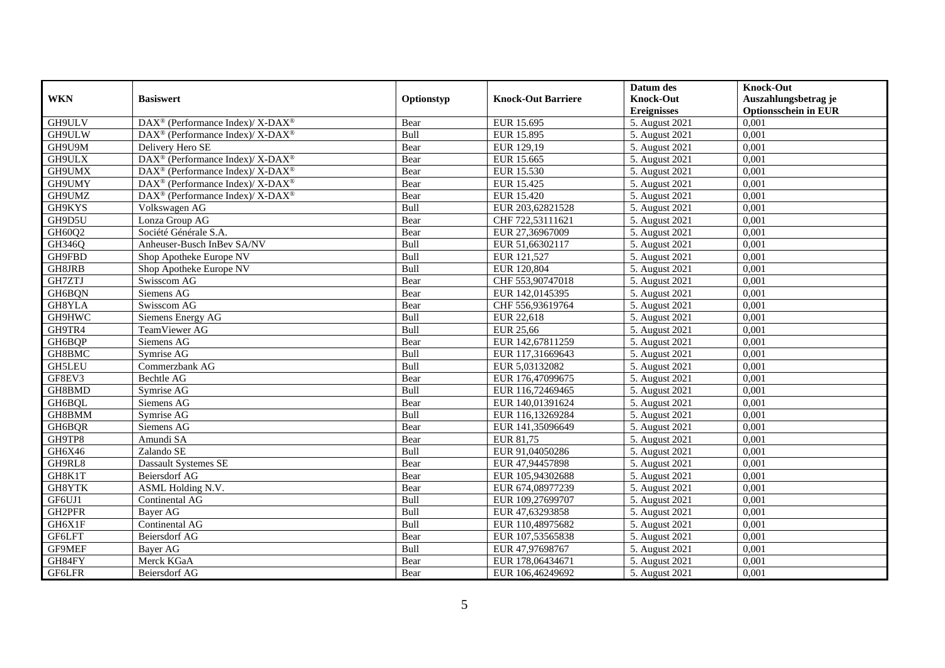|               |                                                             |            |                           | Datum des          | <b>Knock-Out</b>            |
|---------------|-------------------------------------------------------------|------------|---------------------------|--------------------|-----------------------------|
| <b>WKN</b>    | <b>Basiswert</b>                                            | Optionstyp | <b>Knock-Out Barriere</b> | <b>Knock-Out</b>   | Auszahlungsbetrag je        |
|               |                                                             |            |                           | <b>Ereignisses</b> | <b>Optionsschein in EUR</b> |
| GH9ULV        | DAX <sup>®</sup> (Performance Index)/ X-DAX <sup>®</sup>    | Bear       | EUR 15.695                | 5. August 2021     | 0,001                       |
| GH9ULW        | DAX <sup>®</sup> (Performance Index)/ X-DAX <sup>®</sup>    | Bull       | EUR 15.895                | 5. August 2021     | 0,001                       |
| GH9U9M        | Delivery Hero SE                                            | Bear       | EUR 129,19                | 5. August 2021     | 0,001                       |
| GH9ULX        | DAX <sup>®</sup> (Performance Index)/ X-DAX <sup>®</sup>    | Bear       | EUR 15.665                | 5. August 2021     | 0,001                       |
| GH9UMX        | DAX <sup>®</sup> (Performance Index)/ X-DAX <sup>®</sup>    | Bear       | EUR 15.530                | 5. August 2021     | 0,001                       |
| GH9UMY        | $DAX^{\circledast}$ (Performance Index)/ X-DAX <sup>®</sup> | Bear       | EUR 15.425                | 5. August 2021     | 0,001                       |
| GH9UMZ        | $DAX^{\circledast}$ (Performance Index)/ X-DAX <sup>®</sup> | Bear       | EUR 15.420                | 5. August 2021     | 0,001                       |
| GH9KYS        | Volkswagen AG                                               | Bull       | EUR 203,62821528          | 5. August 2021     | 0,001                       |
| GH9D5U        | Lonza Group AG                                              | Bear       | CHF 722,53111621          | 5. August 2021     | 0,001                       |
| GH60Q2        | Société Générale S.A.                                       | Bear       | EUR 27,36967009           | 5. August 2021     | 0,001                       |
| GH346Q        | Anheuser-Busch InBev SA/NV                                  | Bull       | EUR 51,66302117           | 5. August 2021     | 0,001                       |
| GH9FBD        | Shop Apotheke Europe NV                                     | Bull       | EUR 121,527               | 5. August 2021     | 0,001                       |
| GH8JRB        | Shop Apotheke Europe NV                                     | Bull       | EUR 120,804               | 5. August 2021     | 0,001                       |
| GH7ZTJ        | Swisscom AG                                                 | Bear       | CHF 553,90747018          | 5. August 2021     | 0.001                       |
| GH6BQN        | Siemens AG                                                  | Bear       | EUR 142,0145395           | 5. August 2021     | 0,001                       |
| GH8YLA        | Swisscom AG                                                 | Bear       | CHF 556,93619764          | 5. August 2021     | 0,001                       |
| GH9HWC        | Siemens Energy AG                                           | Bull       | EUR 22,618                | 5. August 2021     | 0,001                       |
| GH9TR4        | TeamViewer AG                                               | Bull       | $\overline{E}$ UR 25,66   | 5. August 2021     | 0,001                       |
| GH6BQP        | Siemens AG                                                  | Bear       | EUR 142,67811259          | 5. August 2021     | 0,001                       |
| GH8BMC        | Symrise AG                                                  | Bull       | EUR 117,31669643          | 5. August 2021     | 0,001                       |
| GH5LEU        | Commerzbank AG                                              | Bull       | EUR 5,03132082            | 5. August 2021     | 0,001                       |
| GF8EV3        | Bechtle AG                                                  | Bear       | EUR 176,47099675          | 5. August 2021     | 0,001                       |
| GH8BMD        | Symrise AG                                                  | Bull       | EUR 116,72469465          | 5. August 2021     | 0,001                       |
| GH6BQL        | Siemens AG                                                  | Bear       | EUR 140,01391624          | 5. August 2021     | 0,001                       |
| GH8BMM        | Symrise AG                                                  | Bull       | EUR 116,13269284          | 5. August 2021     | 0,001                       |
| GH6BQR        | Siemens AG                                                  | Bear       | EUR 141,35096649          | 5. August 2021     | 0,001                       |
| GH9TP8        | Amundi SA                                                   | Bear       | EUR 81,75                 | 5. August 2021     | 0,001                       |
| GH6X46        | Zalando SE                                                  | Bull       | EUR 91,04050286           | 5. August 2021     | 0,001                       |
| GH9RL8        | <b>Dassault Systemes SE</b>                                 | Bear       | EUR 47,94457898           | 5. August 2021     | 0,001                       |
| GH8K1T        | Beiersdorf AG                                               | Bear       | EUR 105,94302688          | 5. August 2021     | 0,001                       |
| GH8YTK        | <b>ASML Holding N.V.</b>                                    | Bear       | EUR 674,08977239          | 5. August 2021     | 0,001                       |
| GF6UJ1        | Continental AG                                              | Bull       | EUR 109,27699707          | 5. August 2021     | 0,001                       |
| GH2PFR        | Bayer AG                                                    | Bull       | EUR 47,63293858           | 5. August 2021     | 0,001                       |
| GH6X1F        | Continental AG                                              | Bull       | EUR 110,48975682          | 5. August 2021     | 0,001                       |
| GF6LFT        | Beiersdorf AG                                               | Bear       | EUR 107,53565838          | 5. August 2021     | 0,001                       |
| GF9MEF        | <b>Bayer AG</b>                                             | Bull       | EUR 47,97698767           | 5. August 2021     | 0,001                       |
| GH84FY        | Merck KGaA                                                  | Bear       | EUR 178,06434671          | 5. August 2021     | 0,001                       |
| <b>GF6LFR</b> | Beiersdorf AG                                               | Bear       | EUR 106,46249692          | 5. August 2021     | 0,001                       |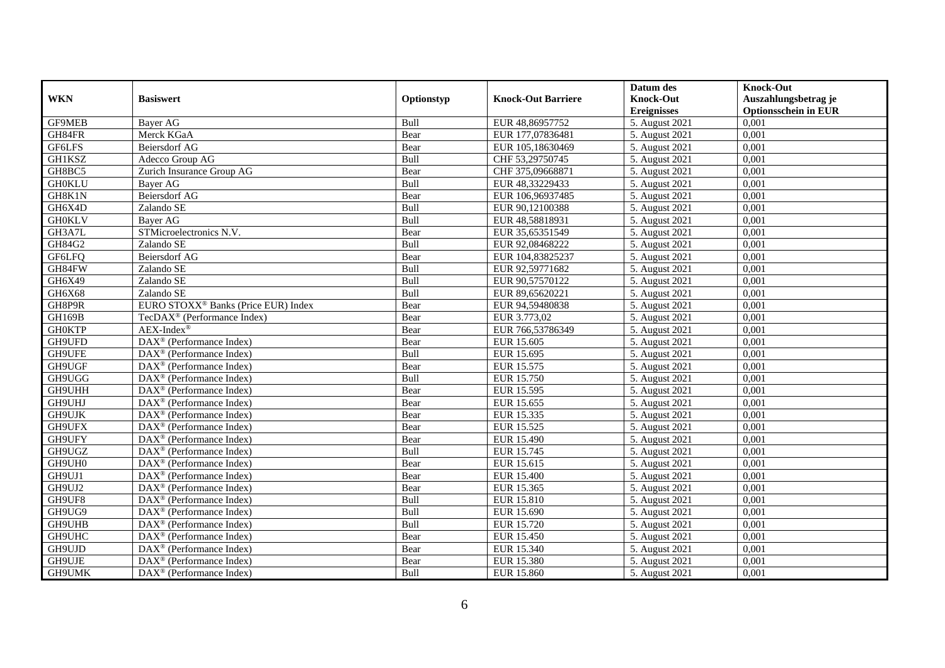|               |                                                         |             |                           | Datum des          | <b>Knock-Out</b>            |
|---------------|---------------------------------------------------------|-------------|---------------------------|--------------------|-----------------------------|
| <b>WKN</b>    | <b>Basiswert</b>                                        | Optionstyp  | <b>Knock-Out Barriere</b> | <b>Knock-Out</b>   | Auszahlungsbetrag je        |
|               |                                                         |             |                           | <b>Ereignisses</b> | <b>Optionsschein in EUR</b> |
| <b>GF9MEB</b> | <b>Bayer AG</b>                                         | Bull        | EUR 48,86957752           | 5. August 2021     | 0,001                       |
| GH84FR        | Merck KGaA                                              | Bear        | EUR 177,07836481          | 5. August 2021     | 0,001                       |
| GF6LFS        | <b>Beiersdorf AG</b>                                    | Bear        | EUR 105,18630469          | 5. August 2021     | 0,001                       |
| GH1KSZ        | Adecco Group AG                                         | Bull        | CHF 53,29750745           | 5. August 2021     | 0,001                       |
| GH8BC5        | Zurich Insurance Group AG                               | Bear        | CHF 375,09668871          | 5. August 2021     | 0,001                       |
| <b>GH0KLU</b> | <b>Baver AG</b>                                         | Bull        | EUR 48,33229433           | 5. August 2021     | 0,001                       |
| GH8K1N        | <b>Beiersdorf AG</b>                                    | Bear        | EUR 106,96937485          | 5. August 2021     | 0,001                       |
| GH6X4D        | Zalando SE                                              | Bull        | EUR 90,12100388           | 5. August 2021     | 0,001                       |
| <b>GH0KLV</b> | <b>Bayer AG</b>                                         | Bull        | EUR 48,58818931           | 5. August 2021     | 0,001                       |
| GH3A7L        | STMicroelectronics N.V.                                 | Bear        | EUR 35,65351549           | 5. August 2021     | 0,001                       |
| GH84G2        | Zalando SE                                              | Bull        | EUR 92,08468222           | 5. August 2021     | 0,001                       |
| GF6LFQ        | Beiersdorf AG                                           | Bear        | EUR 104,83825237          | 5. August 2021     | 0,001                       |
| GH84FW        | Zalando SE                                              | <b>Bull</b> | EUR 92,59771682           | 5. August 2021     | 0,001                       |
| GH6X49        | Zalando SE                                              | <b>Bull</b> | EUR 90,57570122           | 5. August 2021     | 0.001                       |
| GH6X68        | Zalando SE                                              | Bull        | EUR 89,65620221           | 5. August 2021     | 0,001                       |
| GH8P9R        | EURO STOXX <sup>®</sup> Banks (Price EUR) Index         | Bear        | EUR 94,59480838           | 5. August 2021     | 0,001                       |
| GH169B        | TecDAX <sup>®</sup> (Performance Index)                 | Bear        | EUR 3.773,02              | 5. August 2021     | 0,001                       |
| <b>GH0KTP</b> | $AEX-Index^{\circledR}$                                 | Bear        | EUR 766,53786349          | 5. August 2021     | 0,001                       |
| GH9UFD        | DAX <sup>®</sup> (Performance Index)                    | Bear        | EUR 15.605                | 5. August 2021     | 0,001                       |
| GH9UFE        | $\text{DAX}^{\otimes}$ (Performance Index)              | Bull        | EUR 15.695                | 5. August 2021     | 0,001                       |
| GH9UGF        | DAX <sup>®</sup> (Performance Index)                    | Bear        | EUR 15.575                | 5. August 2021     | 0,001                       |
| GH9UGG        | $\overline{\text{DAX}}^{\textcirc}$ (Performance Index) | <b>Bull</b> | EUR 15.750                | 5. August 2021     | 0,001                       |
| GH9UHH        | $\text{DAX}^{\otimes}$ (Performance Index)              | Bear        | EUR 15.595                | 5. August 2021     | 0,001                       |
| GH9UHJ        | $DAX^{\circledR}$ (Performance Index)                   | Bear        | EUR 15.655                | 5. August 2021     | 0,001                       |
| GH9UJK        | $DAX^{\circledR}$ (Performance Index)                   | Bear        | EUR 15.335                | 5. August 2021     | 0,001                       |
| GH9UFX        | $DAX^{\circledast}$ (Performance Index)                 | Bear        | EUR 15.525                | 5. August 2021     | 0,001                       |
| GH9UFY        | $\overline{\text{DAX}^{\otimes}}$ (Performance Index)   | Bear        | EUR 15.490                | 5. August 2021     | 0,001                       |
| GH9UGZ        | DAX <sup>®</sup> (Performance Index)                    | Bull        | EUR 15.745                | 5. August 2021     | 0,001                       |
| GH9UH0        | $DAX^{\circledast}$ (Performance Index)                 | Bear        | EUR 15.615                | 5. August 2021     | 0,001                       |
| GH9UJ1        | $\text{DAX}^{\textcircled{}}$ (Performance Index)       | Bear        | <b>EUR 15.400</b>         | 5. August 2021     | 0,001                       |
| GH9UJ2        | $DAX^{\circledR}$ (Performance Index)                   | Bear        | EUR 15.365                | 5. August 2021     | 0,001                       |
| GH9UF8        | DAX <sup>®</sup> (Performance Index)                    | Bull        | EUR 15.810                | 5. August 2021     | 0,001                       |
| GH9UG9        | $DAX^{\circledR}$ (Performance Index)                   | Bull        | EUR 15.690                | 5. August 2021     | 0,001                       |
| GH9UHB        | $\overline{\text{DAX}}^{\textcirc}$ (Performance Index) | Bull        | EUR 15.720                | 5. August 2021     | 0,001                       |
| GH9UHC        | $\text{DAX}^{\circledast}$ (Performance Index)          | Bear        | EUR 15.450                | 5. August 2021     | 0,001                       |
| GH9UJD        | DAX <sup>®</sup> (Performance Index)                    | Bear        | EUR 15.340                | 5. August 2021     | 0,001                       |
| GH9UJE        | $DAX^{\circledast}$ (Performance Index)                 | Bear        | EUR 15.380                | 5. August 2021     | 0,001                       |
| GH9UMK        | $\text{DAX}^{\circledast}$ (Performance Index)          | <b>Bull</b> | EUR 15.860                | 5. August 2021     | 0,001                       |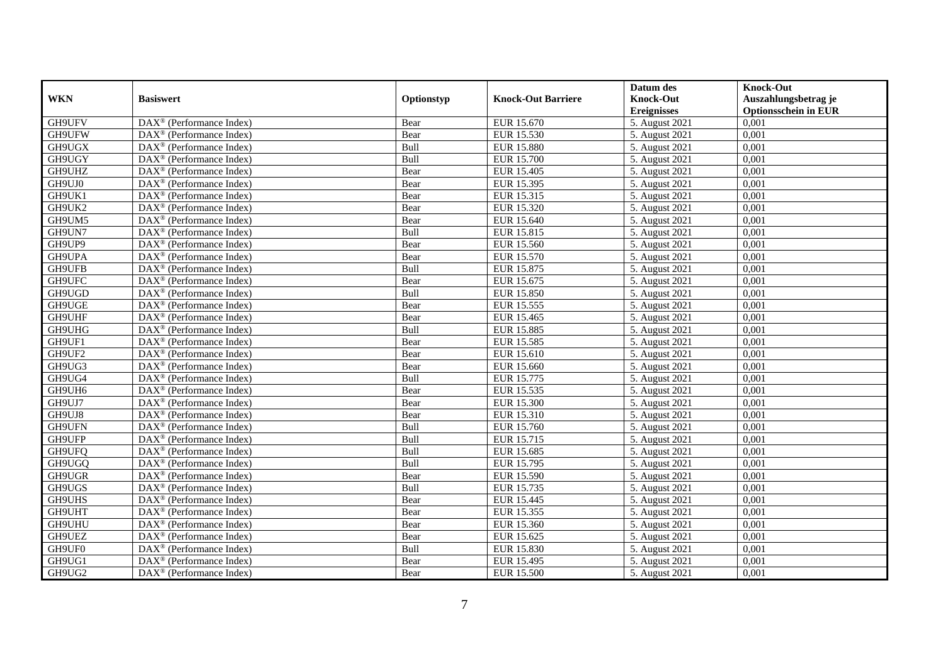|            |                                                       |            |                           | Datum des          | <b>Knock-Out</b>            |
|------------|-------------------------------------------------------|------------|---------------------------|--------------------|-----------------------------|
| <b>WKN</b> | <b>Basiswert</b>                                      | Optionstyp | <b>Knock-Out Barriere</b> | <b>Knock-Out</b>   | Auszahlungsbetrag je        |
|            |                                                       |            |                           | <b>Ereignisses</b> | <b>Optionsschein in EUR</b> |
| GH9UFV     | DAX <sup>®</sup> (Performance Index)                  | Bear       | EUR 15.670                | 5. August 2021     | 0,001                       |
| GH9UFW     | $\text{DAX}^{\otimes}$ (Performance Index)            | Bear       | EUR 15.530                | 5. August 2021     | 0,001                       |
| GH9UGX     | $DAX^{\circledR}$ (Performance Index)                 | Bull       | <b>EUR 15.880</b>         | 5. August 2021     | 0,001                       |
| GH9UGY     | $\text{DAX}^{\otimes}$ (Performance Index)            | Bull       | EUR 15.700                | 5. August 2021     | 0,001                       |
| GH9UHZ     | DAX <sup>®</sup> (Performance Index)                  | Bear       | EUR 15.405                | 5. August 2021     | 0,001                       |
| GH9UJ0     | $DAX^{\circledR}$ (Performance Index)                 | Bear       | EUR 15.395                | 5. August 2021     | 0,001                       |
| GH9UK1     | $DAX^{\circledR}$ (Performance Index)                 | Bear       | EUR 15.315                | 5. August 2021     | 0,001                       |
| GH9UK2     | $\text{DAX}^{\otimes}$ (Performance Index)            | Bear       | EUR 15.320                | 5. August 2021     | 0,001                       |
| GH9UM5     | $\text{DAX}^{\circledast}$ (Performance Index)        | Bear       | EUR 15.640                | 5. August 2021     | 0,001                       |
| GH9UN7     | $DAX^{\circledast}$ (Performance Index)               | Bull       | EUR 15.815                | 5. August 2021     | 0,001                       |
| GH9UP9     | DAX <sup>®</sup> (Performance Index)                  | Bear       | EUR 15.560                | 5. August 2021     | 0,001                       |
| GH9UPA     | $\overline{\text{DAX}^{\otimes}}$ (Performance Index) | Bear       | EUR 15.570                | 5. August 2021     | 0,001                       |
| GH9UFB     | $\text{DAX}^{\otimes}$ (Performance Index)            | Bull       | EUR 15.875                | 5. August 2021     | 0,001                       |
| GH9UFC     | $DAX^{\circledR}$ (Performance Index)                 | Bear       | EUR 15.675                | 5. August 2021     | 0,001                       |
| GH9UGD     | $\text{DAX}^{\otimes}$ (Performance Index)            | Bull       | EUR 15.850                | 5. August 2021     | 0,001                       |
| GH9UGE     | DAX <sup>®</sup> (Performance Index)                  | Bear       | EUR 15.555                | 5. August 2021     | 0,001                       |
| GH9UHF     | DAX <sup>®</sup> (Performance Index)                  | Bear       | EUR 15.465                | 5. August 2021     | 0,001                       |
| GH9UHG     | $DAX^{\circledR}$ (Performance Index)                 | Bull       | <b>EUR 15.885</b>         | 5. August 2021     | 0,001                       |
| GH9UF1     | $\text{DAX}^{\otimes}$ (Performance Index)            | Bear       | EUR 15.585                | 5. August 2021     | 0,001                       |
| GH9UF2     | DAX <sup>®</sup> (Performance Index)                  | Bear       | EUR 15.610                | 5. August 2021     | 0,001                       |
| GH9UG3     | DAX <sup>®</sup> (Performance Index)                  | Bear       | EUR 15.660                | 5. August 2021     | 0,001                       |
| GH9UG4     | $\overline{\text{DAX}^{\otimes}}$ (Performance Index) | Bull       | EUR 15.775                | 5. August 2021     | 0,001                       |
| GH9UH6     | DAX <sup>®</sup> (Performance Index)                  | Bear       | EUR 15.535                | 5. August 2021     | 0,001                       |
| GH9UJ7     | DAX <sup>®</sup> (Performance Index)                  | Bear       | <b>EUR 15.300</b>         | 5. August 2021     | 0,001                       |
| GH9UJ8     | DAX <sup>®</sup> (Performance Index)                  | Bear       | EUR 15.310                | 5. August 2021     | 0,001                       |
| GH9UFN     | $\text{DAX}^{\otimes}$ (Performance Index)            | Bull       | EUR 15.760                | 5. August 2021     | 0,001                       |
| GH9UFP     | DAX <sup>®</sup> (Performance Index)                  | Bull       | EUR 15.715                | 5. August 2021     | 0,001                       |
| GH9UFQ     | $DAX^{\circledR}$ (Performance Index)                 | Bull       | EUR 15.685                | 5. August 2021     | 0,001                       |
| GH9UGQ     | DAX <sup>®</sup> (Performance Index)                  | Bull       | EUR 15.795                | 5. August 2021     | 0,001                       |
| GH9UGR     | $\text{DAX}^{\otimes}$ (Performance Index)            | Bear       | EUR 15.590                | 5. August 2021     | 0,001                       |
| GH9UGS     | $\text{DAX}^{\circledast}$ (Performance Index)        | Bull       | EUR 15.735                | 5. August 2021     | 0,001                       |
| GH9UHS     | $\text{DAX}^{\circledast}$ (Performance Index)        | Bear       | EUR 15.445                | 5. August 2021     | 0,001                       |
| GH9UHT     | $\overline{\text{DAX}^{\otimes}}$ (Performance Index) | Bear       | EUR 15.355                | 5. August 2021     | 0,001                       |
| GH9UHU     | DAX <sup>®</sup> (Performance Index)                  | Bear       | EUR 15.360                | 5. August 2021     | 0,001                       |
| GH9UEZ     | DAX <sup>®</sup> (Performance Index)                  | Bear       | EUR 15.625                | 5. August 2021     | 0,001                       |
| GH9UF0     | DAX <sup>®</sup> (Performance Index)                  | Bull       | EUR 15.830                | 5. August 2021     | 0,001                       |
| GH9UG1     | $DAX^{\circledcirc}$ (Performance Index)              | Bear       | EUR 15.495                | 5. August 2021     | 0,001                       |
| GH9UG2     | $\overline{\text{DAX}^{\otimes}}$ (Performance Index) | Bear       | EUR 15.500                | 5. August 2021     | 0,001                       |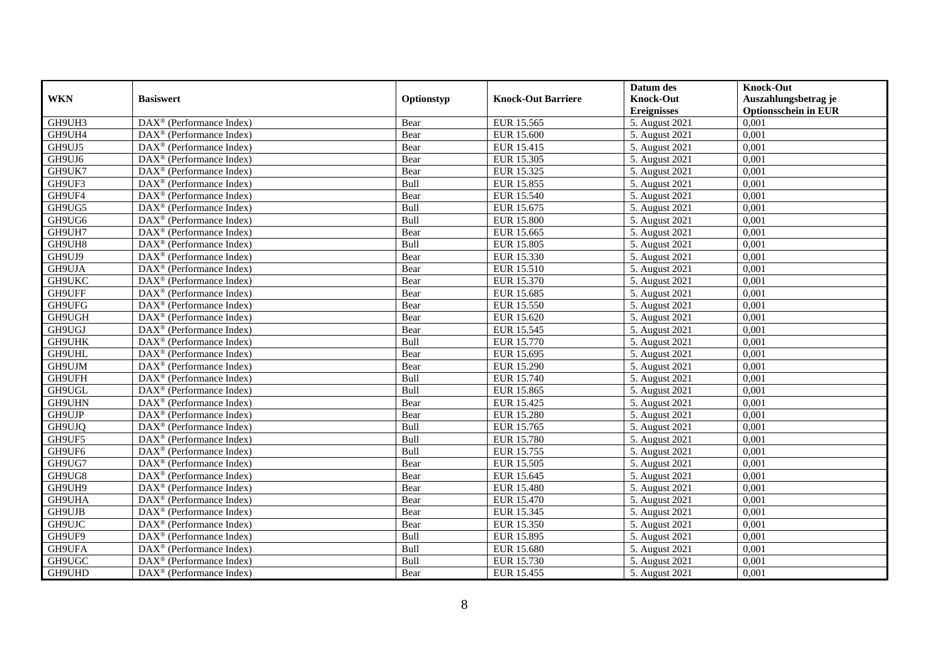|               |                                                                 |            |                           | Datum des          | <b>Knock-Out</b>            |
|---------------|-----------------------------------------------------------------|------------|---------------------------|--------------------|-----------------------------|
| <b>WKN</b>    | <b>Basiswert</b>                                                | Optionstyp | <b>Knock-Out Barriere</b> | <b>Knock-Out</b>   | Auszahlungsbetrag je        |
|               |                                                                 |            |                           | <b>Ereignisses</b> | <b>Optionsschein in EUR</b> |
| GH9UH3        | DAX <sup>®</sup> (Performance Index)                            | Bear       | EUR 15.565                | 5. August 2021     | 0,001                       |
| GH9UH4        | $\text{DAX}^{\circledast}$ (Performance Index)                  | Bear       | EUR 15.600                | 5. August 2021     | 0,001                       |
| GH9UJ5        | $DAX^{\circledR}$ (Performance Index)                           | Bear       | EUR 15.415                | 5. August 2021     | 0,001                       |
| GH9UJ6        | $\text{DAX}^{\otimes}$ (Performance Index)                      | Bear       | EUR 15.305                | 5. August 2021     | 0,001                       |
| GH9UK7        | DAX <sup>®</sup> (Performance Index)                            | Bear       | EUR 15.325                | 5. August 2021     | 0,001                       |
| GH9UF3        | $DAX^{\circledR}$ (Performance Index)                           | Bull       | EUR 15.855                | 5. August 2021     | 0,001                       |
| GH9UF4        | $DAX^{\circledR}$ (Performance Index)                           | Bear       | EUR 15.540                | 5. August 2021     | 0,001                       |
| GH9UG5        | $\text{DAX}^{\otimes}$ (Performance Index)                      | Bull       | EUR 15.675                | 5. August 2021     | 0,001                       |
| GH9UG6        | $DAX^{\circledast}$ (Performance Index)                         | Bull       | <b>EUR 15.800</b>         | 5. August 2021     | 0,001                       |
| GH9UH7        | $DAX^{\circledast}$ (Performance Index)                         | Bear       | EUR 15.665                | 5. August 2021     | 0,001                       |
| GH9UH8        | DAX <sup>®</sup> (Performance Index)                            | Bull       | EUR 15.805                | 5. August 2021     | 0,001                       |
| GH9UJ9        | $\overline{\text{DAX}^{\otimes}}$ (Performance Index)           | Bear       | EUR 15.330                | 5. August 2021     | 0,001                       |
| GH9UJA        | $\text{DAX}^{\otimes}$ (Performance Index)                      | Bear       | EUR 15.510                | 5. August 2021     | 0,001                       |
| GH9UKC        | $DAX^{\circledR}$ (Performance Index)                           | Bear       | EUR 15.370                | 5. August 2021     | 0,001                       |
| GH9UFF        | $\text{DAX}^{\otimes}$ (Performance Index)                      | Bear       | EUR 15.685                | 5. August 2021     | 0,001                       |
| GH9UFG        | $\text{DAX}^{\otimes}$ (Performance Index)                      | Bear       | EUR 15.550                | 5. August 2021     | 0,001                       |
| GH9UGH        | DAX <sup>®</sup> (Performance Index)                            | Bear       | EUR 15.620                | 5. August 2021     | 0,001                       |
| GH9UGJ        | $DAX^{\circledR}$ (Performance Index)                           | Bear       | EUR 15.545                | 5. August 2021     | 0,001                       |
| <b>GH9UHK</b> | $\text{DAX}^{\otimes}$ (Performance Index)                      | Bull       | EUR 15.770                | 5. August 2021     | 0,001                       |
| GH9UHL        | DAX <sup>®</sup> (Performance Index)                            | Bear       | EUR 15.695                | 5. August 2021     | 0,001                       |
| GH9UJM        | DAX <sup>®</sup> (Performance Index)                            | Bear       | EUR 15.290                | 5. August 2021     | 0,001                       |
| GH9UFH        | $\overline{\text{DAX}^{\otimes}}$ (Performance Index)           | Bull       | <b>EUR 15.740</b>         | 5. August 2021     | 0,001                       |
| GH9UGL        | DAX <sup>®</sup> (Performance Index)                            | Bull       | EUR 15.865                | 5. August 2021     | 0,001                       |
| GH9UHN        | DAX <sup>®</sup> (Performance Index)                            | Bear       | EUR 15.425                | 5. August 2021     | 0,001                       |
| GH9UJP        | DAX <sup>®</sup> (Performance Index)                            | Bear       | <b>EUR 15.280</b>         | 5. August 2021     | 0,001                       |
| GH9UJQ        | $\text{DAX}^{\otimes}$ (Performance Index)                      | Bull       | EUR 15.765                | 5. August 2021     | 0,001                       |
| GH9UF5        | DAX <sup>®</sup> (Performance Index)                            | Bull       | <b>EUR 15.780</b>         | 5. August 2021     | 0,001                       |
| GH9UF6        | $DAX^{\circledR}$ (Performance Index)                           | Bull       | EUR 15.755                | 5. August 2021     | 0,001                       |
| GH9UG7        | DAX <sup>®</sup> (Performance Index)                            | Bear       | EUR 15.505                | 5. August 2021     | 0,001                       |
| GH9UG8        | $\text{DAX}^{\otimes}$ (Performance Index)                      | Bear       | EUR 15.645                | 5. August 2021     | 0,001                       |
| GH9UH9        | $DAX^{\circledast}$ (Performance Index)                         | Bear       | EUR 15.480                | 5. August 2021     | 0,001                       |
| GH9UHA        | $DAX^{\circledast}$ (Performance Index)                         | Bear       | EUR 15.470                | 5. August 2021     | 0,001                       |
| GH9UJB        | $\overline{\text{DAX}^{\otimes}}$ (Performance Index)           | Bear       | EUR 15.345                | 5. August 2021     | 0,001                       |
| GH9UJC        | $\overline{\text{DAX}^{\circledast}(\text{Performance Index})}$ | Bear       | EUR 15.350                | 5. August 2021     | 0,001                       |
| GH9UF9        | DAX <sup>®</sup> (Performance Index)                            | Bull       | EUR 15.895                | 5. August 2021     | 0,001                       |
| GH9UFA        | DAX <sup>®</sup> (Performance Index)                            | Bull       | <b>EUR 15.680</b>         | 5. August 2021     | 0,001                       |
| GH9UGC        | $DAX^{\circledcirc}$ (Performance Index)                        | Bull       | EUR 15.730                | 5. August 2021     | 0,001                       |
| GH9UHD        | $\overline{\text{DAX}^{\otimes}}$ (Performance Index)           | Bear       | EUR 15.455                | 5. August 2021     | 0,001                       |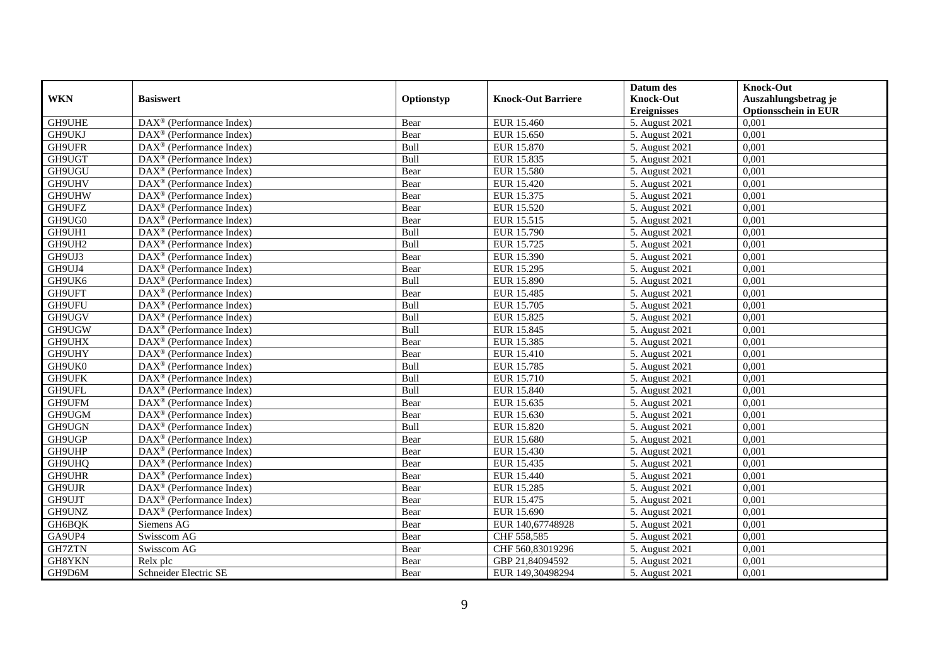|               |                                                       |             |                           | Datum des          | <b>Knock-Out</b>            |
|---------------|-------------------------------------------------------|-------------|---------------------------|--------------------|-----------------------------|
| <b>WKN</b>    | <b>Basiswert</b>                                      | Optionstyp  | <b>Knock-Out Barriere</b> | <b>Knock-Out</b>   | Auszahlungsbetrag je        |
|               |                                                       |             |                           | <b>Ereignisses</b> | <b>Optionsschein in EUR</b> |
| GH9UHE        | $\overline{\text{DAX}^{\otimes}}$ (Performance Index) | Bear        | EUR 15.460                | 5. August 2021     | 0,001                       |
| GH9UKJ        | $DAX^{\circledR}$ (Performance Index)                 | Bear        | EUR 15.650                | 5. August 2021     | 0,001                       |
| GH9UFR        | DAX <sup>®</sup> (Performance Index)                  | Bull        | EUR 15.870                | 5. August 2021     | $0,\overline{001}$          |
| GH9UGT        | $\text{DAX}^{\otimes}$ (Performance Index)            | Bull        | EUR 15.835                | 5. August 2021     | 0,001                       |
| GH9UGU        | DAX <sup>®</sup> (Performance Index)                  | Bear        | <b>EUR 15.580</b>         | 5. August 2021     | 0,001                       |
| GH9UHV        | $\overline{\text{DAX}^{\otimes}}$ (Performance Index) | Bear        | EUR 15.420                | 5. August 2021     | 0,001                       |
| GH9UHW        | $\text{DAX}^{\otimes}$ (Performance Index)            | Bear        | EUR 15.375                | 5. August 2021     | 0,001                       |
| GH9UFZ        | $DAX^{\otimes}$ (Performance Index)                   | Bear        | EUR 15.520                | 5. August 2021     | 0,001                       |
| GH9UG0        | $DAX^{\circledcirc}$ (Performance Index)              | Bear        | EUR 15.515                | 5. August 2021     | 0,001                       |
| GH9UH1        | $DAX^{\circledR}$ (Performance Index)                 | Bull        | EUR 15.790                | 5. August 2021     | 0,001                       |
| GH9UH2        | DAX <sup>®</sup> (Performance Index)                  | Bull        | EUR 15.725                | 5. August 2021     | 0,001                       |
| GH9UJ3        | DAX <sup>®</sup> (Performance Index)                  | Bear        | <b>EUR 15.390</b>         | 5. August 2021     | 0,001                       |
| GH9UJ4        | DAX <sup>®</sup> (Performance Index)                  | Bear        | EUR 15.295                | 5. August 2021     | 0,001                       |
| GH9UK6        | $\text{DAX}^{\otimes}$ (Performance Index)            | Bull        | <b>EUR 15.890</b>         | 5. August 2021     | 0,001                       |
| GH9UFT        | DAX <sup>®</sup> (Performance Index)                  | Bear        | EUR 15.485                | 5. August 2021     | 0,001                       |
| GH9UFU        | DAX <sup>®</sup> (Performance Index)                  | Bull        | EUR 15.705                | 5. August 2021     | 0,001                       |
| GH9UGV        | $\text{DAX}^{\otimes}$ (Performance Index)            | Bull        | EUR 15.825                | 5. August 2021     | 0,001                       |
| GH9UGW        | $DAX^{\circledR}$ (Performance Index)                 | <b>Bull</b> | EUR 15.845                | 5. August 2021     | 0,001                       |
| GH9UHX        | $DAX^{\otimes}$ (Performance Index)                   | Bear        | EUR 15.385                | 5. August 2021     | 0,001                       |
| GH9UHY        | DAX <sup>®</sup> (Performance Index)                  | Bear        | EUR 15.410                | 5. August 2021     | 0,001                       |
| GH9UK0        | $DAX^{\circledast}$ (Performance Index)               | Bull        | <b>EUR 15.785</b>         | 5. August 2021     | 0,001                       |
| GH9UFK        | $DAX^{\circledR}$ (Performance Index)                 | Bull        | EUR 15.710                | 5. August 2021     | 0,001                       |
| GH9UFL        | $\overline{\text{DAX}^{\otimes}}$ (Performance Index) | Bull        | EUR 15.840                | 5. August 2021     | 0,001                       |
| GH9UFM        | $\text{DAX}^{\otimes}$ (Performance Index)            | Bear        | EUR 15.635                | 5. August 2021     | 0,001                       |
| GH9UGM        | $\text{DAX}^{\otimes}$ (Performance Index)            | Bear        | EUR 15.630                | 5. August 2021     | 0,001                       |
| GH9UGN        | DAX <sup>®</sup> (Performance Index)                  | Bull        | EUR 15.820                | 5. August 2021     | 0,001                       |
| GH9UGP        | $\text{DAX}^{\otimes}$ (Performance Index)            | Bear        | EUR 15.680                | 5. August 2021     | 0,001                       |
| GH9UHP        | DAX <sup>®</sup> (Performance Index)                  | Bear        | EUR 15.430                | 5. August 2021     | 0,001                       |
| GH9UHQ        | $DAX^{\circledR}$ (Performance Index)                 | Bear        | EUR 15.435                | 5. August 2021     | 0,001                       |
| GH9UHR        | $DAX^{\otimes}$ (Performance Index)                   | Bear        | <b>EUR 15.440</b>         | 5. August 2021     | 0,001                       |
| GH9UJR        | DAX <sup>®</sup> (Performance Index)                  | Bear        | EUR 15.285                | 5. August 2021     | 0,001                       |
| GH9UJT        | $DAX^{\circledast}$ (Performance Index)               | Bear        | EUR 15.475                | 5. August 2021     | 0,001                       |
| GH9UNZ        | DAX <sup>®</sup> (Performance Index)                  | Bear        | EUR 15.690                | 5. August 2021     | 0,001                       |
| GH6BQK        | Siemens AG                                            | Bear        | EUR 140,67748928          | 5. August 2021     | 0,001                       |
| GA9UP4        | Swisscom AG                                           | Bear        | CHF 558,585               | 5. August 2021     | 0,001                       |
| <b>GH7ZTN</b> | Swisscom AG                                           | Bear        | CHF 560,83019296          | 5. August 2021     | 0,001                       |
| GH8YKN        | Relx plc                                              | Bear        | GBP 21,84094592           | 5. August 2021     | 0,001                       |
| GH9D6M        | Schneider Electric SE                                 | Bear        | EUR 149,30498294          | 5. August 2021     | 0,001                       |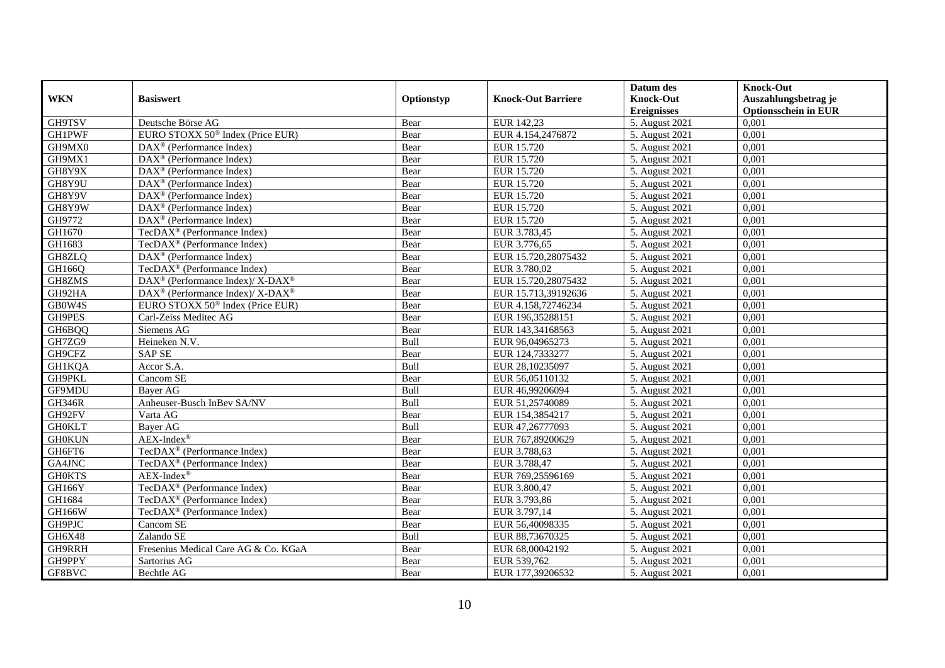|               |                                                             |            |                           | Datum des          | <b>Knock-Out</b>            |
|---------------|-------------------------------------------------------------|------------|---------------------------|--------------------|-----------------------------|
| <b>WKN</b>    | <b>Basiswert</b>                                            | Optionstyp | <b>Knock-Out Barriere</b> | <b>Knock-Out</b>   | Auszahlungsbetrag je        |
|               |                                                             |            |                           | <b>Ereignisses</b> | <b>Optionsschein in EUR</b> |
| GH9TSV        | Deutsche Börse AG                                           | Bear       | EUR 142,23                | 5. August 2021     | 0,001                       |
| <b>GH1PWF</b> | EURO STOXX 50 <sup>®</sup> Index (Price EUR)                | Bear       | EUR 4.154,2476872         | 5. August 2021     | 0,001                       |
| GH9MX0        | DAX <sup>®</sup> (Performance Index)                        | Bear       | EUR 15.720                | 5. August 2021     | 0,001                       |
| GH9MX1        | $DAX^{\circledR}$ (Performance Index)                       | Bear       | EUR 15.720                | 5. August 2021     | 0.001                       |
| GH8Y9X        | $\overline{\text{DAX}}^{\textcirc}$ (Performance Index)     | Bear       | EUR 15.720                | 5. August 2021     | 0,001                       |
| GH8Y9U        | $DAX^{\circledR}$ (Performance Index)                       | Bear       | <b>EUR 15.720</b>         | 5. August 2021     | 0,001                       |
| GH8Y9V        | $DAX^{\circledR}$ (Performance Index)                       | Bear       | EUR 15.720                | 5. August 2021     | 0,001                       |
| GH8Y9W        | $\text{DAX}^{\otimes}$ (Performance Index)                  | Bear       | EUR 15.720                | 5. August 2021     | 0,001                       |
| GH9772        | $\text{DAX}^{\circledast}$ (Performance Index)              | Bear       | EUR 15.720                | 5. August 2021     | 0,001                       |
| GH1670        | TecDAX <sup>®</sup> (Performance Index)                     | Bear       | EUR 3.783,45              | 5. August 2021     | 0,001                       |
| GH1683        | $TecDAX^{\otimes}$ (Performance Index)                      | Bear       | EUR 3.776,65              | 5. August 2021     | 0,001                       |
| GH8ZLQ        | DAX <sup>®</sup> (Performance Index)                        | Bear       | EUR 15.720,28075432       | 5. August 2021     | 0,001                       |
| GH166Q        | TecDAX <sup>®</sup> (Performance Index)                     | Bear       | EUR 3.780,02              | 5. August 2021     | 0,001                       |
| GH8ZMS        | DAX <sup>®</sup> (Performance Index)/ X-DAX <sup>®</sup>    | Bear       | EUR 15.720,28075432       | 5. August 2021     | 0,001                       |
| GH92HA        | $DAX^{\circledast}$ (Performance Index)/ X-DAX <sup>®</sup> | Bear       | EUR 15.713,39192636       | 5. August 2021     | 0,001                       |
| GB0W4S        | EURO STOXX 50 <sup>®</sup> Index (Price EUR)                | Bear       | EUR 4.158,72746234        | 5. August 2021     | 0,001                       |
| <b>GH9PES</b> | Carl-Zeiss Meditec AG                                       | Bear       | EUR 196,35288151          | 5. August 2021     | 0,001                       |
| GH6BQQ        | Siemens AG                                                  | Bear       | EUR 143,34168563          | 5. August 2021     | 0,001                       |
| GH7ZG9        | Heineken N.V.                                               | Bull       | EUR 96,04965273           | 5. August 2021     | 0,001                       |
| GH9CFZ        | <b>SAP SE</b>                                               | Bear       | EUR 124,7333277           | 5. August 2021     | 0,001                       |
| <b>GH1KQA</b> | Accor S.A.                                                  | Bull       | EUR 28,10235097           | 5. August 2021     | 0,001                       |
| GH9PKL        | Cancom SE                                                   | Bear       | EUR 56,05110132           | 5. August 2021     | 0,001                       |
| GF9MDU        | Bayer AG                                                    | Bull       | EUR 46,99206094           | 5. August 2021     | 0,001                       |
| <b>GH346R</b> | Anheuser-Busch InBev SA/NV                                  | Bull       | EUR 51,25740089           | 5. August 2021     | 0,001                       |
| GH92FV        | Varta AG                                                    | Bear       | EUR 154,3854217           | 5. August 2021     | 0,001                       |
| <b>GH0KLT</b> | Bayer AG                                                    | Bull       | EUR 47,26777093           | 5. August 2021     | 0,001                       |
| <b>GH0KUN</b> | $AEX-Index^{\circledR}$                                     | Bear       | EUR 767,89200629          | 5. August 2021     | 0,001                       |
| GH6FT6        | TecDAX <sup>®</sup> (Performance Index)                     | Bear       | EUR 3.788,63              | 5. August 2021     | 0,001                       |
| GA4JNC        | TecDAX <sup>®</sup> (Performance Index)                     | Bear       | EUR 3.788,47              | 5. August 2021     | 0,001                       |
| <b>GH0KTS</b> | $AEX-Index^{\circledR}$                                     | Bear       | EUR 769,25596169          | 5. August 2021     | 0,001                       |
| GH166Y        | TecDAX <sup>®</sup> (Performance Index)                     | Bear       | EUR 3.800,47              | 5. August 2021     | 0,001                       |
| GH1684        | TecDAX <sup>®</sup> (Performance Index)                     | Bear       | EUR 3.793,86              | 5. August 2021     | 0.001                       |
| <b>GH166W</b> | TecDAX <sup>®</sup> (Performance Index)                     | Bear       | EUR 3.797,14              | 5. August 2021     | 0,001                       |
| GH9PJC        | Cancom SE                                                   | Bear       | EUR 56,40098335           | 5. August 2021     | 0,001                       |
| GH6X48        | Zalando SE                                                  | Bull       | EUR 88,73670325           | 5. August 2021     | 0,001                       |
| GH9RRH        | Fresenius Medical Care AG & Co. KGaA                        | Bear       | EUR 68,00042192           | 5. August 2021     | 0,001                       |
| GH9PPY        | Sartorius AG                                                | Bear       | EUR 539,762               | 5. August 2021     | 0,001                       |
| GF8BVC        | Bechtle AG                                                  | Bear       | EUR 177,39206532          | 5. August 2021     | 0,001                       |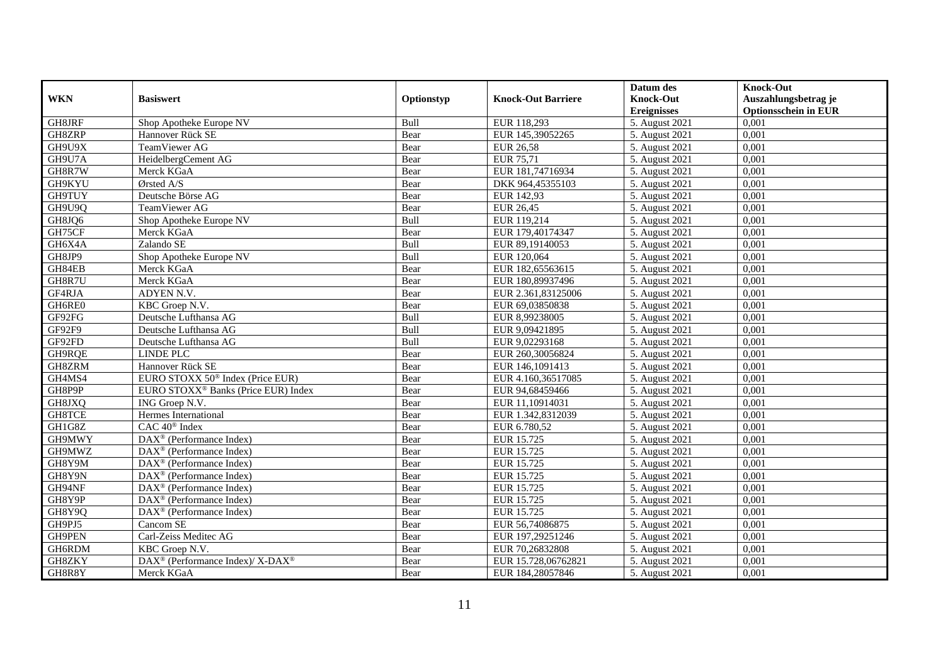|               |                                                                          |             |                           | Datum des          | <b>Knock-Out</b>            |
|---------------|--------------------------------------------------------------------------|-------------|---------------------------|--------------------|-----------------------------|
| <b>WKN</b>    | <b>Basiswert</b>                                                         | Optionstyp  | <b>Knock-Out Barriere</b> | <b>Knock-Out</b>   | Auszahlungsbetrag je        |
|               |                                                                          |             |                           | <b>Ereignisses</b> | <b>Optionsschein in EUR</b> |
| GH8JRF        | Shop Apotheke Europe NV                                                  | Bull        | EUR 118,293               | 5. August 2021     | 0,001                       |
| GH8ZRP        | Hannover Rück SE                                                         | Bear        | EUR 145,39052265          | 5. August 2021     | 0,001                       |
| GH9U9X        | TeamViewer AG                                                            | Bear        | <b>EUR 26,58</b>          | 5. August 2021     | 0,001                       |
| GH9U7A        | HeidelbergCement AG                                                      | Bear        | EUR 75,71                 | 5. August 2021     | 0.001                       |
| GH8R7W        | Merck KGaA                                                               | Bear        | EUR 181,74716934          | 5. August 2021     | 0,001                       |
| GH9KYU        | Ørsted A/S                                                               | Bear        | DKK 964,45355103          | 5. August 2021     | 0,001                       |
| GH9TUY        | Deutsche Börse AG                                                        | Bear        | EUR 142,93                | 5. August 2021     | 0,001                       |
| GH9U9Q        | TeamViewer AG                                                            | Bear        | EUR 26,45                 | 5. August 2021     | 0,001                       |
| GH8JQ6        | Shop Apotheke Europe NV                                                  | Bull        | EUR 119,214               | 5. August 2021     | 0,001                       |
| GH75CF        | Merck KGaA                                                               | Bear        | EUR 179,40174347          | 5. August 2021     | 0.001                       |
| GH6X4A        | Zalando SE                                                               | Bull        | EUR 89,19140053           | 5. August 2021     | 0,001                       |
| GH8JP9        | Shop Apotheke Europe NV                                                  | Bull        | EUR 120,064               | 5. August 2021     | 0,001                       |
| GH84EB        | Merck KGaA                                                               | Bear        | EUR 182,65563615          | 5. August 2021     | 0,001                       |
| GH8R7U        | Merck KGaA                                                               | Bear        | EUR 180,89937496          | 5. August 2021     | 0,001                       |
| GF4RJA        | ADYEN N.V.                                                               | Bear        | EUR 2.361,83125006        | 5. August 2021     | 0,001                       |
| GH6RE0        | KBC Groep N.V.                                                           | Bear        | EUR 69,03850838           | 5. August 2021     | 0,001                       |
| GF92FG        | Deutsche Lufthansa AG                                                    | Bull        | EUR 8,99238005            | 5. August 2021     | 0,001                       |
| <b>GF92F9</b> | Deutsche Lufthansa AG                                                    | <b>Bull</b> | EUR 9.09421895            | 5. August 2021     | 0.001                       |
| GF92FD        | Deutsche Lufthansa AG                                                    | Bull        | EUR 9,02293168            | 5. August 2021     | 0,001                       |
| GH9RQE        | <b>LINDE PLC</b>                                                         | Bear        | EUR 260,30056824          | 5. August 2021     | 0,001                       |
| GH8ZRM        | Hannover Rück SE                                                         | Bear        | EUR 146,1091413           | 5. August 2021     | 0,001                       |
| GH4MS4        | EURO STOXX 50 <sup>®</sup> Index (Price EUR)                             | Bear        | EUR 4.160,36517085        | 5. August 2021     | 0,001                       |
| GH8P9P        | EURO STOXX <sup>®</sup> Banks (Price EUR) Index                          | Bear        | EUR 94,68459466           | 5. August 2021     | 0,001                       |
| GH8JXQ        | ING Groep N.V.                                                           | Bear        | EUR 11,10914031           | 5. August 2021     | 0,001                       |
| <b>GH8TCE</b> | Hermes International                                                     | Bear        | EUR 1.342,8312039         | 5. August 2021     | 0,001                       |
| GH1G8Z        | CAC 40 <sup>®</sup> Index                                                | Bear        | EUR 6.780,52              | 5. August 2021     | 0,001                       |
| GH9MWY        | DAX <sup>®</sup> (Performance Index)                                     | Bear        | EUR 15.725                | 5. August 2021     | 0,001                       |
| GH9MWZ        | $DAX^{\circledR}$ (Performance Index)                                    | Bear        | EUR 15.725                | 5. August 2021     | 0,001                       |
| GH8Y9M        | $\overline{\text{DAX}^{\otimes}}$ (Performance Index)                    | Bear        | EUR 15.725                | 5. August 2021     | 0,001                       |
| GH8Y9N        | $\text{DAX}^{\textcircled{}}$ (Performance Index)                        | Bear        | EUR 15.725                | 5. August 2021     | 0,001                       |
| GH94NF        | $DAX^{\circledast}$ (Performance Index)                                  | Bear        | EUR 15.725                | 5. August 2021     | 0,001                       |
| GH8Y9P        | $DAX^{\circledcirc}$ (Performance Index)                                 | Bear        | EUR 15.725                | 5. August 2021     | 0.001                       |
| GH8Y9Q        | DAX <sup>®</sup> (Performance Index)                                     | Bear        | EUR 15.725                | 5. August 2021     | 0,001                       |
| GH9PJ5        | Cancom SE                                                                | Bear        | EUR 56,74086875           | 5. August 2021     | 0,001                       |
| <b>GH9PEN</b> | Carl-Zeiss Meditec AG                                                    | Bear        | EUR 197,29251246          | 5. August 2021     | 0,001                       |
| GH6RDM        | KBC Groep N.V.                                                           | Bear        | EUR 70,26832808           | 5. August 2021     | 0,001                       |
| GH8ZKY        | $\overline{\text{DAX}^{\otimes}}$ (Performance Index)/X-DAX <sup>®</sup> | Bear        | EUR 15.728,06762821       | 5. August 2021     | 0,001                       |
| GH8R8Y        | Merck KGaA                                                               | Bear        | EUR 184,28057846          | 5. August 2021     | 0,001                       |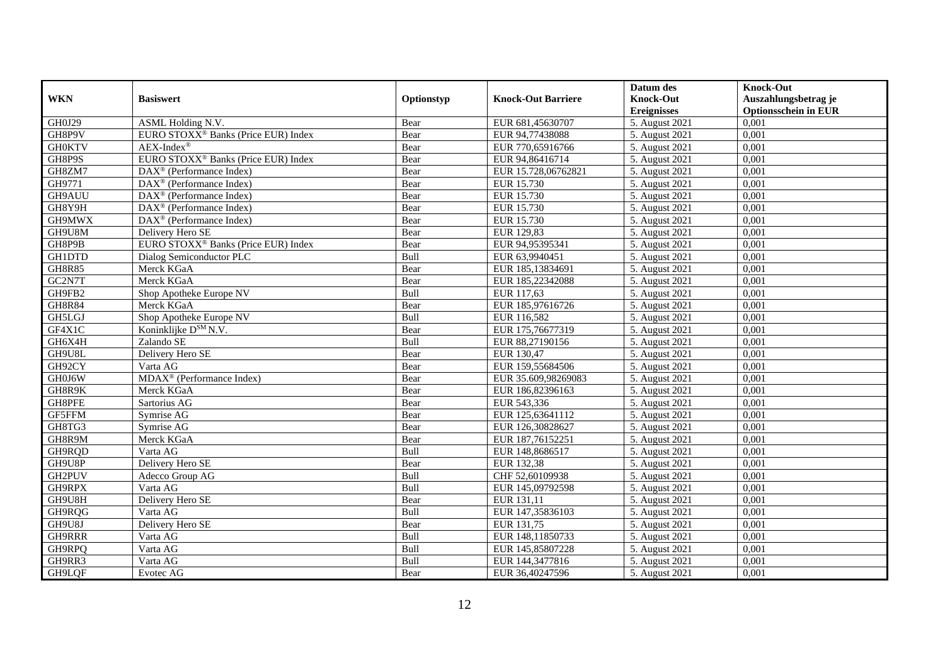|               |                                                         |            |                           | Datum des          | <b>Knock-Out</b>            |
|---------------|---------------------------------------------------------|------------|---------------------------|--------------------|-----------------------------|
| <b>WKN</b>    | <b>Basiswert</b>                                        | Optionstyp | <b>Knock-Out Barriere</b> | <b>Knock-Out</b>   | Auszahlungsbetrag je        |
|               |                                                         |            |                           | <b>Ereignisses</b> | <b>Optionsschein in EUR</b> |
| GH0J29        | ASML Holding N.V.                                       | Bear       | EUR 681,45630707          | 5. August 2021     | 0,001                       |
| GH8P9V        | EURO STOXX <sup>®</sup> Banks (Price EUR) Index         | Bear       | EUR 94,77438088           | 5. August 2021     | 0,001                       |
| <b>GH0KTV</b> | AEX-Index®                                              | Bear       | EUR 770,65916766          | 5. August 2021     | 0,001                       |
| GH8P9S        | EURO STOXX <sup>®</sup> Banks (Price EUR) Index         | Bear       | EUR 94,86416714           | 5. August 2021     | 0,001                       |
| GH8ZM7        | DAX <sup>®</sup> (Performance Index)                    | Bear       | EUR 15.728,06762821       | 5. August 2021     | 0,001                       |
| GH9771        | DAX <sup>®</sup> (Performance Index)                    | Bear       | EUR 15.730                | 5. August 2021     | 0,001                       |
| GH9AUU        | $DAX^{\otimes}$ (Performance Index)                     | Bear       | <b>EUR 15.730</b>         | 5. August 2021     | 0,001                       |
| GH8Y9H        | $\overline{\text{DAX}}^{\textcirc}$ (Performance Index) | Bear       | EUR 15.730                | 5. August 2021     | 0,001                       |
| GH9MWX        | $DAX^{\circledast}$ (Performance Index)                 | Bear       | EUR 15.730                | 5. August 2021     | 0,001                       |
| GH9U8M        | Delivery Hero SE                                        | Bear       | EUR 129,83                | 5. August 2021     | 0,001                       |
| GH8P9B        | EURO STOXX <sup>®</sup> Banks (Price EUR) Index         | Bear       | EUR 94,95395341           | 5. August 2021     | 0,001                       |
| <b>GH1DTD</b> | Dialog Semiconductor PLC                                | Bull       | EUR 63,9940451            | 5. August 2021     | 0,001                       |
| <b>GH8R85</b> | Merck KGaA                                              | Bear       | EUR 185,13834691          | 5. August 2021     | 0,001                       |
| GC2N7T        | Merck KGaA                                              | Bear       | EUR 185,22342088          | 5. August 2021     | 0.001                       |
| GH9FB2        | Shop Apotheke Europe NV                                 | Bull       | EUR 117,63                | 5. August 2021     | 0,001                       |
| <b>GH8R84</b> | Merck KGaA                                              | Bear       | EUR 185,97616726          | 5. August 2021     | 0,001                       |
| GH5LGJ        | Shop Apotheke Europe NV                                 | Bull       | EUR 116,582               | 5. August 2021     | 0,001                       |
| GF4X1C        | Koninklijke D <sup>SM</sup> N.V.                        | Bear       | EUR 175,76677319          | 5. August 2021     | 0,001                       |
| GH6X4H        | Zalando SE                                              | Bull       | EUR 88,27190156           | 5. August 2021     | 0,001                       |
| GH9U8L        | Delivery Hero SE                                        | Bear       | EUR 130,47                | 5. August 2021     | 0,001                       |
| GH92CY        | Varta AG                                                | Bear       | EUR 159,55684506          | 5. August 2021     | 0,001                       |
| GH0J6W        | $MDAX^{\circledR}$ (Performance Index)                  | Bear       | EUR 35.609,98269083       | 5. August 2021     | 0,001                       |
| GH8R9K        | Merck KGaA                                              | Bear       | EUR 186,82396163          | 5. August 2021     | 0,001                       |
| GH8PFE        | Sartorius AG                                            | Bear       | EUR 543,336               | 5. August 2021     | 0,001                       |
| GF5FFM        | Symrise AG                                              | Bear       | EUR 125,63641112          | 5. August 2021     | 0,001                       |
| GH8TG3        | Symrise AG                                              | Bear       | EUR 126,30828627          | 5. August 2021     | 0,001                       |
| GH8R9M        | Merck KGaA                                              | Bear       | EUR 187,76152251          | 5. August 2021     | 0,001                       |
| GH9RQD        | Varta AG                                                | Bull       | EUR 148,8686517           | 5. August 2021     | 0,001                       |
| GH9U8P        | Delivery Hero SE                                        | Bear       | EUR 132,38                | 5. August 2021     | 0,001                       |
| GH2PUV        | Adecco Group AG                                         | Bull       | CHF 52,60109938           | 5. August 2021     | 0,001                       |
| GH9RPX        | Varta AG                                                | Bull       | EUR 145,09792598          | 5. August 2021     | 0,001                       |
| GH9U8H        | Delivery Hero SE                                        | Bear       | EUR 131,11                | 5. August 2021     | 0,001                       |
| GH9RQG        | Varta AG                                                | Bull       | EUR 147,35836103          | 5. August 2021     | 0,001                       |
| GH9U8J        | Delivery Hero SE                                        | Bear       | EUR 131,75                | 5. August 2021     | 0,001                       |
| GH9RRR        | Varta AG                                                | Bull       | EUR 148,11850733          | 5. August 2021     | 0,001                       |
| GH9RPQ        | Varta AG                                                | Bull       | EUR 145,85807228          | 5. August 2021     | 0,001                       |
| GH9RR3        | Varta AG                                                | Bull       | EUR 144,3477816           | 5. August 2021     | 0,001                       |
| GH9LQF        | Evotec AG                                               | Bear       | EUR 36,40247596           | 5. August 2021     | 0,001                       |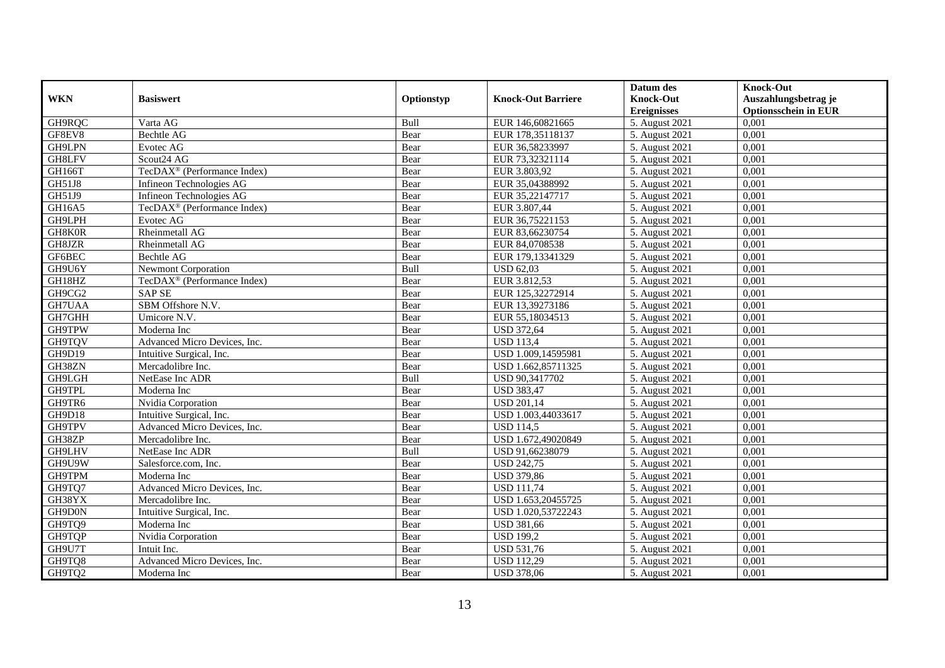|            |                                         |            |                           | Datum des          | <b>Knock-Out</b>            |
|------------|-----------------------------------------|------------|---------------------------|--------------------|-----------------------------|
| <b>WKN</b> | <b>Basiswert</b>                        | Optionstyp | <b>Knock-Out Barriere</b> | <b>Knock-Out</b>   | Auszahlungsbetrag je        |
|            |                                         |            |                           | <b>Ereignisses</b> | <b>Optionsschein in EUR</b> |
| GH9RQC     | Varta AG                                | Bull       | EUR 146,60821665          | 5. August 2021     | 0,001                       |
| GF8EV8     | Bechtle AG                              | Bear       | EUR 178,35118137          | 5. August 2021     | 0,001                       |
| GH9LPN     | Evotec AG                               | Bear       | EUR 36,58233997           | 5. August $2021$   | 0,001                       |
| GH8LFV     | Scout24 AG                              | Bear       | EUR 73,32321114           | 5. August 2021     | 0,001                       |
| GH166T     | TecDAX <sup>®</sup> (Performance Index) | Bear       | EUR 3.803,92              | 5. August 2021     | 0,001                       |
| GH51J8     | Infineon Technologies AG                | Bear       | EUR 35,04388992           | 5. August 2021     | 0,001                       |
| GH51J9     | Infineon Technologies AG                | Bear       | EUR 35,22147717           | 5. August 2021     | 0,001                       |
| GH16A5     | TecDAX <sup>®</sup> (Performance Index) | Bear       | EUR 3.807,44              | 5. August 2021     | 0,001                       |
| GH9LPH     | Evotec AG                               | Bear       | EUR 36,75221153           | 5. August 2021     | 0,001                       |
| GH8K0R     | Rheinmetall AG                          | Bear       | EUR 83,66230754           | 5. August 2021     | 0,001                       |
| GH8JZR     | Rheinmetall AG                          | Bear       | EUR 84,0708538            | 5. August 2021     | 0,001                       |
| GF6BEC     | Bechtle AG                              | Bear       | EUR 179,13341329          | 5. August 2021     | 0,001                       |
| GH9U6Y     | <b>Newmont Corporation</b>              | Bull       | <b>USD 62,03</b>          | 5. August 2021     | 0,001                       |
| GH18HZ     | TecDAX <sup>®</sup> (Performance Index) | Bear       | EUR 3.812,53              | 5. August 2021     | 0,001                       |
| GH9CG2     | <b>SAP SE</b>                           | Bear       | EUR 125,32272914          | 5. August 2021     | 0,001                       |
| GH7UAA     | SBM Offshore N.V.                       | Bear       | EUR 13,39273186           | 5. August 2021     | 0,001                       |
| GH7GHH     | Umicore N.V.                            | Bear       | EUR 55,18034513           | 5. August 2021     | 0,001                       |
| GH9TPW     | Moderna Inc                             | Bear       | <b>USD 372.64</b>         | 5. August 2021     | 0.001                       |
| GH9TQV     | Advanced Micro Devices, Inc.            | Bear       | <b>USD 113,4</b>          | 5. August 2021     | 0,001                       |
| GH9D19     | Intuitive Surgical, Inc.                | Bear       | USD 1.009,14595981        | 5. August 2021     | 0,001                       |
| GH38ZN     | Mercadolibre Inc.                       | Bear       | USD 1.662,85711325        | 5. August 2021     | 0,001                       |
| GH9LGH     | NetEase Inc ADR                         | Bull       | USD 90,3417702            | 5. August 2021     | 0,001                       |
| GH9TPL     | Moderna Inc                             | Bear       | <b>USD 383,47</b>         | 5. August 2021     | 0,001                       |
| GH9TR6     | Nvidia Corporation                      | Bear       | <b>USD 201,14</b>         | 5. August 2021     | 0,001                       |
| GH9D18     | Intuitive Surgical, Inc.                | Bear       | USD 1.003,44033617        | 5. August 2021     | 0,001                       |
| GH9TPV     | Advanced Micro Devices, Inc.            | Bear       | <b>USD 114,5</b>          | 5. August 2021     | 0,001                       |
| GH38ZP     | Mercadolibre Inc.                       | Bear       | USD 1.672,49020849        | 5. August 2021     | 0,001                       |
| GH9LHV     | NetEase Inc ADR                         | Bull       | USD 91,66238079           | 5. August 2021     | 0,001                       |
| GH9U9W     | Salesforce.com. Inc.                    | Bear       | <b>USD 242,75</b>         | 5. August 2021     | 0,001                       |
| GH9TPM     | Moderna Inc                             | Bear       | <b>USD 379,86</b>         | 5. August 2021     | 0,001                       |
| GH9TQ7     | Advanced Micro Devices, Inc.            | Bear       | <b>USD 111,74</b>         | 5. August 2021     | 0,001                       |
| GH38YX     | Mercadolibre Inc.                       | Bear       | USD 1.653,20455725        | 5. August 2021     | 0,001                       |
| GH9D0N     | Intuitive Surgical, Inc.                | Bear       | USD 1.020,53722243        | 5. August 2021     | 0,001                       |
| GH9TQ9     | Moderna Inc                             | Bear       | <b>USD 381,66</b>         | 5. August 2021     | 0,001                       |
| GH9TQP     | Nvidia Corporation                      | Bear       | <b>USD 199,2</b>          | 5. August 2021     | 0,001                       |
| GH9U7T     | Intuit Inc.                             | Bear       | <b>USD 531,76</b>         | 5. August 2021     | 0,001                       |
| GH9TQ8     | Advanced Micro Devices, Inc.            | Bear       | <b>USD 112,29</b>         | 5. August 2021     | 0,001                       |
| GH9TQ2     | Moderna Inc                             | Bear       | <b>USD 378,06</b>         | 5. August 2021     | 0,001                       |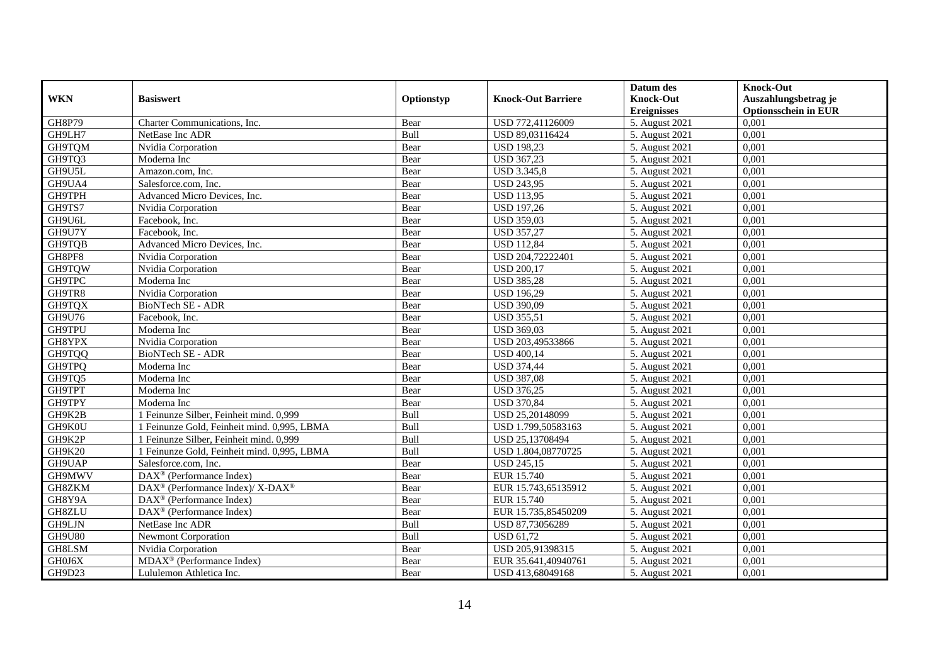|               |                                                          |            |                           | Datum des          | <b>Knock-Out</b>            |
|---------------|----------------------------------------------------------|------------|---------------------------|--------------------|-----------------------------|
| <b>WKN</b>    | <b>Basiswert</b>                                         | Optionstyp | <b>Knock-Out Barriere</b> | <b>Knock-Out</b>   | Auszahlungsbetrag je        |
|               |                                                          |            |                           | <b>Ereignisses</b> | <b>Optionsschein in EUR</b> |
| <b>GH8P79</b> | Charter Communications, Inc.                             | Bear       | USD 772,41126009          | 5. August 2021     | 0,001                       |
| GH9LH7        | NetEase Inc ADR                                          | Bull       | USD 89,03116424           | 5. August 2021     | 0,001                       |
| GH9TQM        | Nvidia Corporation                                       | Bear       | <b>USD 198,23</b>         | 5. August 2021     | 0,001                       |
| GH9TQ3        | Moderna Inc                                              | Bear       | <b>USD 367,23</b>         | 5. August 2021     | 0,001                       |
| GH9U5L        | Amazon.com, Inc.                                         | Bear       | <b>USD 3.345,8</b>        | 5. August 2021     | 0,001                       |
| GH9UA4        | Salesforce.com, Inc.                                     | Bear       | <b>USD 243,95</b>         | 5. August 2021     | 0,001                       |
| <b>GH9TPH</b> | Advanced Micro Devices, Inc.                             | Bear       | <b>USD 113,95</b>         | 5. August 2021     | 0,001                       |
| GH9TS7        | Nvidia Corporation                                       | Bear       | <b>USD 197,26</b>         | 5. August 2021     | 0,001                       |
| GH9U6L        | Facebook. Inc.                                           | Bear       | <b>USD 359,03</b>         | 5. August 2021     | 0,001                       |
| GH9U7Y        | Facebook. Inc.                                           | Bear       | <b>USD 357,27</b>         | 5. August 2021     | 0,001                       |
| GH9TQB        | Advanced Micro Devices, Inc.                             | Bear       | <b>USD 112,84</b>         | 5. August 2021     | 0,001                       |
| GH8PF8        | Nvidia Corporation                                       | Bear       | USD 204,72222401          | 5. August 2021     | 0,001                       |
| GH9TQW        | Nvidia Corporation                                       | Bear       | <b>USD 200,17</b>         | 5. August 2021     | 0,001                       |
| GH9TPC        | Moderna Inc                                              | Bear       | <b>USD 385,28</b>         | 5. August 2021     | 0,001                       |
| GH9TR8        | Nvidia Corporation                                       | Bear       | <b>USD 196,29</b>         | 5. August 2021     | 0,001                       |
| GH9TQX        | <b>BioNTech SE - ADR</b>                                 | Bear       | <b>USD 390,09</b>         | 5. August 2021     | 0,001                       |
| GH9U76        | Facebook, Inc.                                           | Bear       | <b>USD 355,51</b>         | 5. August 2021     | 0,001                       |
| <b>GH9TPU</b> | Moderna Inc                                              | Bear       | <b>USD 369,03</b>         | 5. August 2021     | 0,001                       |
| GH8YPX        | Nvidia Corporation                                       | Bear       | USD 203,49533866          | 5. August 2021     | 0,001                       |
| GH9TQQ        | BioNTech SE - ADR                                        | Bear       | <b>USD 400,14</b>         | 5. August 2021     | 0,001                       |
| GH9TPQ        | Moderna Inc                                              | Bear       | <b>USD 374,44</b>         | 5. August 2021     | 0,001                       |
| GH9TQ5        | Moderna Inc                                              | Bear       | <b>USD 387,08</b>         | 5. August 2021     | 0,001                       |
| GH9TPT        | Moderna Inc                                              | Bear       | <b>USD 376,25</b>         | 5. August 2021     | 0,001                       |
| GH9TPY        | Moderna Inc                                              | Bear       | <b>USD 370,84</b>         | 5. August 2021     | 0,001                       |
| GH9K2B        | 1 Feinunze Silber, Feinheit mind. 0,999                  | Bull       | USD 25,20148099           | 5. August 2021     | 0,001                       |
| GH9K0U        | 1 Feinunze Gold, Feinheit mind. 0,995, LBMA              | Bull       | USD 1.799,50583163        | 5. August 2021     | 0,001                       |
| GH9K2P        | 1 Feinunze Silber, Feinheit mind. 0,999                  | Bull       | USD 25,13708494           | 5. August 2021     | 0,001                       |
| GH9K20        | 1 Feinunze Gold, Feinheit mind. 0,995, LBMA              | Bull       | USD 1.804,08770725        | 5. August 2021     | 0,001                       |
| GH9UAP        | Salesforce.com, Inc.                                     | Bear       | <b>USD 245,15</b>         | 5. August 2021     | 0,001                       |
| GH9MWV        | $DAX^{\circledR}$ (Performance Index)                    | Bear       | EUR 15.740                | 5. August 2021     | 0.001                       |
| GH8ZKM        | DAX <sup>®</sup> (Performance Index)/ X-DAX <sup>®</sup> | Bear       | EUR 15.743,65135912       | 5. August 2021     | 0,001                       |
| GH8Y9A        | $DAX^{\circledR}$ (Performance Index)                    | Bear       | EUR 15.740                | 5. August 2021     | 0,001                       |
| <b>GH8ZLU</b> | $\overline{\text{DAX}^{\otimes}}$ (Performance Index)    | Bear       | EUR 15.735,85450209       | 5. August 2021     | 0,001                       |
| GH9LJN        | NetEase Inc ADR                                          | Bull       | USD 87,73056289           | 5. August 2021     | 0,001                       |
| GH9U80        | Newmont Corporation                                      | Bull       | <b>USD 61,72</b>          | 5. August 2021     | 0,001                       |
| GH8LSM        | Nvidia Corporation                                       | Bear       | USD 205,91398315          | 5. August 2021     | 0,001                       |
| GH0J6X        | $MDAX^{\circledcirc}$ (Performance Index)                | Bear       | EUR 35.641,40940761       | 5. August 2021     | 0,001                       |
| GH9D23        | Lululemon Athletica Inc.                                 | Bear       | USD 413,68049168          | 5. August 2021     | 0,001                       |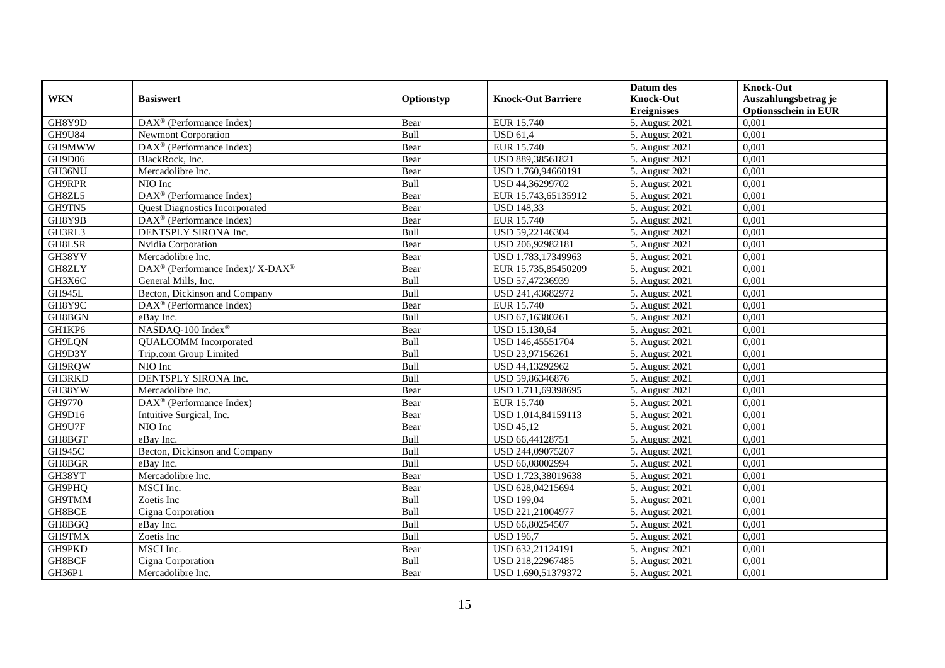|               |                                                          |             |                           | Datum des          | <b>Knock-Out</b>            |
|---------------|----------------------------------------------------------|-------------|---------------------------|--------------------|-----------------------------|
| <b>WKN</b>    | <b>Basiswert</b>                                         | Optionstyp  | <b>Knock-Out Barriere</b> | <b>Knock-Out</b>   | Auszahlungsbetrag je        |
|               |                                                          |             |                           | <b>Ereignisses</b> | <b>Optionsschein in EUR</b> |
| GH8Y9D        | DAX <sup>®</sup> (Performance Index)                     | Bear        | EUR 15.740                | 5. August 2021     | 0,001                       |
| GH9U84        | <b>Newmont Corporation</b>                               | Bull        | <b>USD 61.4</b>           | 5. August 2021     | 0,001                       |
| GH9MWW        | $DAX^{\circledR}$ (Performance Index)                    | Bear        | EUR 15.740                | 5. August 2021     | 0,001                       |
| GH9D06        | BlackRock, Inc.                                          | Bear        | USD 889,38561821          | 5. August 2021     | 0,001                       |
| GH36NU        | Mercadolibre Inc.                                        | Bear        | USD 1.760,94660191        | 5. August 2021     | 0,001                       |
| GH9RPR        | NIO Inc                                                  | Bull        | USD 44,36299702           | 5. August 2021     | 0,001                       |
| GH8ZL5        | DAX <sup>®</sup> (Performance Index)                     | Bear        | EUR 15.743,65135912       | 5. August 2021     | 0,001                       |
| GH9TN5        | <b>Quest Diagnostics Incorporated</b>                    | Bear        | <b>USD 148,33</b>         | 5. August 2021     | 0,001                       |
| GH8Y9B        | DAX <sup>®</sup> (Performance Index)                     | Bear        | EUR 15.740                | 5. August 2021     | 0,001                       |
| GH3RL3        | DENTSPLY SIRONA Inc.                                     | Bull        | USD 59,22146304           | 5. August 2021     | 0,001                       |
| <b>GH8LSR</b> | Nvidia Corporation                                       | Bear        | USD 206,92982181          | 5. August 2021     | 0,001                       |
| GH38YV        | Mercadolibre Inc.                                        | Bear        | USD 1.783,17349963        | 5. August 2021     | 0,001                       |
| GH8ZLY        | DAX <sup>®</sup> (Performance Index)/ X-DAX <sup>®</sup> | Bear        | EUR 15.735,85450209       | 5. August 2021     | 0,001                       |
| GH3X6C        | General Mills, Inc.                                      | <b>Bull</b> | USD 57,47236939           | 5. August 2021     | 0.001                       |
| GH945L        | Becton, Dickinson and Company                            | Bull        | USD 241,43682972          | 5. August 2021     | 0,001                       |
| GH8Y9C        | DAX <sup>®</sup> (Performance Index)                     | Bear        | EUR 15.740                | 5. August 2021     | 0,001                       |
| GH8BGN        | eBay Inc.                                                | Bull        | USD 67,16380261           | 5. August 2021     | 0,001                       |
| GH1KP6        | NASDAQ-100 Index®                                        | Bear        | USD 15.130,64             | 5. August 2021     | 0,001                       |
| GH9LQN        | <b>QUALCOMM</b> Incorporated                             | Bull        | USD 146,45551704          | 5. August 2021     | 0,001                       |
| GH9D3Y        | Trip.com Group Limited                                   | Bull        | USD 23,97156261           | 5. August 2021     | 0,001                       |
| GH9RQW        | NIO Inc                                                  | Bull        | USD 44,13292962           | 5. August 2021     | 0,001                       |
| GH3RKD        | DENTSPLY SIRONA Inc.                                     | <b>Bull</b> | USD 59,86346876           | 5. August 2021     | 0,001                       |
| GH38YW        | Mercadolibre Inc.                                        | Bear        | USD 1.711,69398695        | 5. August 2021     | 0,001                       |
| GH9770        | DAX <sup>®</sup> (Performance Index)                     | Bear        | EUR 15.740                | 5. August 2021     | 0,001                       |
| GH9D16        | Intuitive Surgical, Inc.                                 | Bear        | USD 1.014,84159113        | 5. August 2021     | 0,001                       |
| GH9U7F        | NIO Inc                                                  | Bear        | <b>USD 45,12</b>          | 5. August 2021     | 0,001                       |
| GH8BGT        | eBay Inc.                                                | Bull        | USD 66,44128751           | 5. August 2021     | 0,001                       |
| <b>GH945C</b> | Becton, Dickinson and Company                            | Bull        | USD 244,09075207          | 5. August 2021     | 0,001                       |
| GH8BGR        | eBay Inc.                                                | Bull        | USD 66,08002994           | 5. August 2021     | 0,001                       |
| GH38YT        | Mercadolibre Inc.                                        | Bear        | USD 1.723,38019638        | 5. August 2021     | 0,001                       |
| GH9PHQ        | MSCI Inc.                                                | Bear        | USD 628,04215694          | 5. August 2021     | 0,001                       |
| GH9TMM        | Zoetis Inc                                               | Bull        | <b>USD 199,04</b>         | 5. August 2021     | 0,001                       |
| GH8BCE        | Cigna Corporation                                        | Bull        | USD 221,21004977          | 5. August 2021     | 0,001                       |
| GH8BGQ        | eBay Inc.                                                | Bull        | USD 66,80254507           | 5. August 2021     | 0,001                       |
| GH9TMX        | Zoetis Inc                                               | <b>Bull</b> | <b>USD 196,7</b>          | 5. August 2021     | 0,001                       |
| GH9PKD        | MSCI Inc.                                                | Bear        | USD 632,21124191          | 5. August 2021     | 0,001                       |
| GH8BCF        | Cigna Corporation                                        | Bull        | USD 218,22967485          | 5. August 2021     | 0,001                       |
| GH36P1        | Mercadolibre Inc.                                        | Bear        | USD 1.690,51379372        | 5. August 2021     | 0,001                       |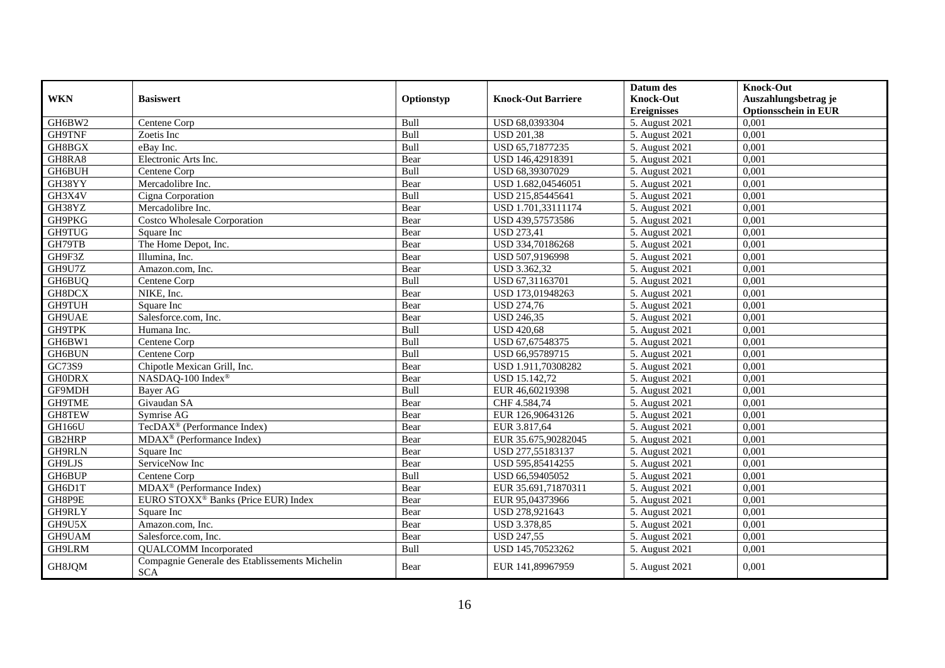|               |                                                              |            |                           | Datum des          | <b>Knock-Out</b>            |
|---------------|--------------------------------------------------------------|------------|---------------------------|--------------------|-----------------------------|
| <b>WKN</b>    | <b>Basiswert</b>                                             | Optionstyp | <b>Knock-Out Barriere</b> | <b>Knock-Out</b>   | Auszahlungsbetrag je        |
|               |                                                              |            |                           | <b>Ereignisses</b> | <b>Optionsschein in EUR</b> |
| GH6BW2        | Centene Corp                                                 | Bull       | USD 68,0393304            | 5. August 2021     | 0,001                       |
| GH9TNF        | Zoetis Inc                                                   | Bull       | <b>USD 201,38</b>         | 5. August 2021     | 0,001                       |
| GH8BGX        | eBav Inc.                                                    | Bull       | USD 65,71877235           | 5. August 2021     | 0,001                       |
| GH8RA8        | Electronic Arts Inc.                                         | Bear       | USD 146,42918391          | 5. August 2021     | 0,001                       |
| GH6BUH        | Centene Corp                                                 | Bull       | USD 68,39307029           | 5. August 2021     | 0,001                       |
| GH38YY        | Mercadolibre Inc.                                            | Bear       | USD 1.682,04546051        | 5. August 2021     | 0,001                       |
| GH3X4V        | Cigna Corporation                                            | Bull       | USD 215,85445641          | 5. August 2021     | 0,001                       |
| GH38YZ        | Mercadolibre Inc.                                            | Bear       | USD 1.701,33111174        | 5. August 2021     | 0,001                       |
| GH9PKG        | <b>Costco Wholesale Corporation</b>                          | Bear       | USD 439,57573586          | 5. August 2021     | 0,001                       |
| <b>GH9TUG</b> | Square Inc                                                   | Bear       | <b>USD 273,41</b>         | 5. August 2021     | 0,001                       |
| GH79TB        | The Home Depot, Inc.                                         | Bear       | USD 334,70186268          | 5. August 2021     | 0,001                       |
| GH9F3Z        | Illumina, Inc.                                               | Bear       | USD 507,9196998           | 5. August 2021     | 0,001                       |
| GH9U7Z        | Amazon.com. Inc.                                             | Bear       | USD 3.362,32              | 5. August 2021     | 0,001                       |
| GH6BUQ        | Centene Corp                                                 | Bull       | USD 67,31163701           | 5. August 2021     | 0,001                       |
| GH8DCX        | NIKE, Inc.                                                   | Bear       | USD 173,01948263          | 5. August 2021     | 0,001                       |
| <b>GH9TUH</b> | Square Inc                                                   | Bear       | <b>USD 274,76</b>         | 5. August 2021     | 0,001                       |
| GH9UAE        | Salesforce.com, Inc.                                         | Bear       | <b>USD 246,35</b>         | 5. August 2021     | 0,001                       |
| <b>GH9TPK</b> | Humana Inc.                                                  | Bull       | <b>USD 420,68</b>         | 5. August 2021     | 0.001                       |
| GH6BW1        | Centene Corp                                                 | Bull       | USD 67,67548375           | 5. August 2021     | 0,001                       |
| GH6BUN        | Centene Corp                                                 | Bull       | USD 66,95789715           | 5. August 2021     | 0,001                       |
| GC73S9        | Chipotle Mexican Grill, Inc.                                 | Bear       | USD 1.911,70308282        | 5. August 2021     | 0,001                       |
| <b>GHODRX</b> | NASDAQ-100 Index®                                            | Bear       | USD 15.142,72             | 5. August 2021     | 0,001                       |
| GF9MDH        | Bayer AG                                                     | Bull       | EUR 46,60219398           | 5. August 2021     | 0,001                       |
| GH9TME        | Givaudan SA                                                  | Bear       | CHF 4.584,74              | 5. August 2021     | 0,001                       |
| <b>GH8TEW</b> | Symrise AG                                                   | Bear       | EUR 126,90643126          | 5. August 2021     | 0,001                       |
| <b>GH166U</b> | TecDAX <sup>®</sup> (Performance Index)                      | Bear       | EUR 3.817,64              | 5. August 2021     | 0,001                       |
| GB2HRP        | $\overline{\text{MD}}$ AX <sup>®</sup> (Performance Index)   | Bear       | EUR 35.675,90282045       | 5. August 2021     | 0,001                       |
| GH9RLN        | Square Inc                                                   | Bear       | USD 277,55183137          | 5. August 2021     | 0,001                       |
| GH9LJS        | ServiceNow Inc                                               | Bear       | USD 595,85414255          | 5. August 2021     | 0,001                       |
| GH6BUP        | Centene Corp                                                 | Bull       | USD 66,59405052           | 5. August 2021     | 0,001                       |
| GH6D1T        | MDAX <sup>®</sup> (Performance Index)                        | Bear       | EUR 35.691,71870311       | 5. August 2021     | 0,001                       |
| GH8P9E        | EURO STOXX <sup>®</sup> Banks (Price EUR) Index              | Bear       | EUR 95,04373966           | 5. August 2021     | 0,001                       |
| GH9RLY        | Square Inc                                                   | Bear       | USD 278,921643            | 5. August 2021     | 0,001                       |
| GH9U5X        | Amazon.com, Inc.                                             | Bear       | USD 3.378,85              | 5. August 2021     | 0,001                       |
| GH9UAM        | Salesforce.com, Inc.                                         | Bear       | <b>USD 247,55</b>         | 5. August 2021     | 0,001                       |
| GH9LRM        | <b>QUALCOMM</b> Incorporated                                 | Bull       | USD 145,70523262          | 5. August 2021     | 0,001                       |
| GH8JQM        | Compagnie Generale des Etablissements Michelin<br><b>SCA</b> | Bear       | EUR 141,89967959          | 5. August 2021     | 0,001                       |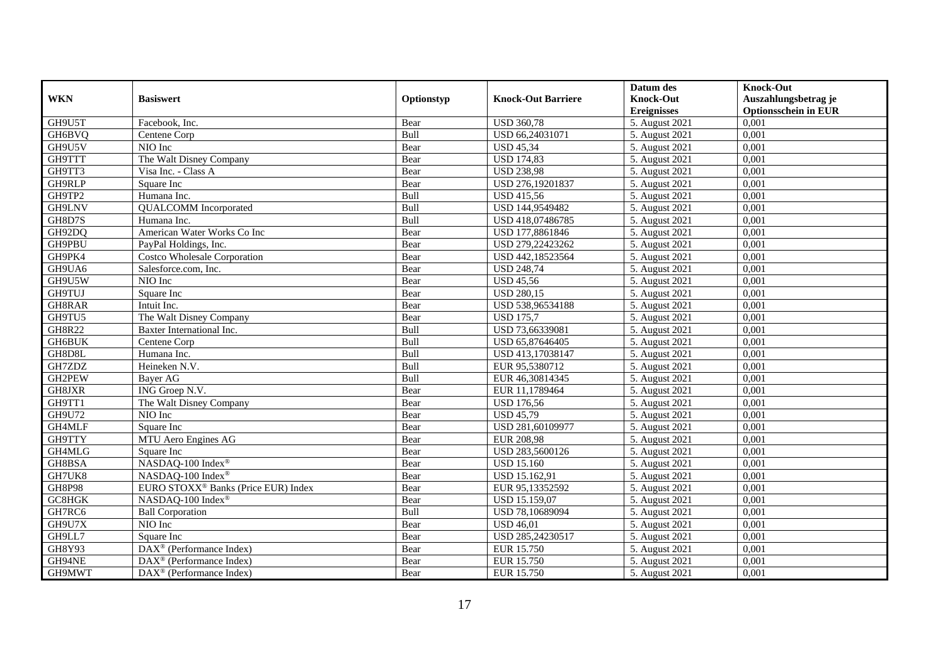|               |                                                 |             |                           | Datum des          | <b>Knock-Out</b>            |
|---------------|-------------------------------------------------|-------------|---------------------------|--------------------|-----------------------------|
| <b>WKN</b>    | <b>Basiswert</b>                                | Optionstyp  | <b>Knock-Out Barriere</b> | <b>Knock-Out</b>   | Auszahlungsbetrag je        |
|               |                                                 |             |                           | <b>Ereignisses</b> | <b>Optionsschein in EUR</b> |
| GH9U5T        | Facebook, Inc.                                  | Bear        | <b>USD 360,78</b>         | 5. August 2021     | 0,001                       |
| GH6BVQ        | Centene Corp                                    | Bull        | USD 66,24031071           | 5. August 2021     | 0,001                       |
| GH9U5V        | NIO Inc                                         | Bear        | <b>USD 45,34</b>          | 5. August 2021     | 0,001                       |
| GH9TTT        | The Walt Disney Company                         | Bear        | <b>USD 174,83</b>         | 5. August 2021     | 0,001                       |
| GH9TT3        | Visa Inc. - Class A                             | Bear        | <b>USD 238,98</b>         | 5. August 2021     | 0,001                       |
| GH9RLP        | Square Inc                                      | Bear        | USD 276,19201837          | 5. August 2021     | 0,001                       |
| GH9TP2        | Humana Inc.                                     | <b>Bull</b> | <b>USD 415,56</b>         | 5. August 2021     | 0,001                       |
| GH9LNV        | <b>QUALCOMM</b> Incorporated                    | Bull        | USD 144,9549482           | 5. August 2021     | 0,001                       |
| GH8D7S        | Humana Inc.                                     | Bull        | USD 418,07486785          | 5. August 2021     | 0,001                       |
| GH92DQ        | American Water Works Co Inc                     | Bear        | USD 177,8861846           | 5. August 2021     | 0,001                       |
| GH9PBU        | PayPal Holdings, Inc.                           | Bear        | USD 279,22423262          | 5. August 2021     | 0,001                       |
| GH9PK4        | <b>Costco Wholesale Corporation</b>             | Bear        | USD 442,18523564          | 5. August 2021     | 0,001                       |
| GH9UA6        | Salesforce.com, Inc.                            | Bear        | <b>USD 248,74</b>         | 5. August 2021     | 0,001                       |
| GH9U5W        | NIO Inc                                         | Bear        | <b>USD 45,56</b>          | 5. August 2021     | 0.001                       |
| <b>GH9TUJ</b> | Square Inc                                      | Bear        | <b>USD 280,15</b>         | 5. August 2021     | 0,001                       |
| GH8RAR        | Intuit Inc.                                     | Bear        | USD 538,96534188          | 5. August 2021     | 0,001                       |
| GH9TU5        | The Walt Disney Company                         | Bear        | <b>USD 175,7</b>          | 5. August 2021     | 0,001                       |
| <b>GH8R22</b> | Baxter International Inc.                       | Bull        | USD 73,66339081           | 5. August 2021     | 0,001                       |
| <b>GH6BUK</b> | Centene Corp                                    | Bull        | USD 65,87646405           | 5. August 2021     | 0,001                       |
| GH8D8L        | Humana Inc.                                     | Bull        | USD 413,17038147          | 5. August 2021     | 0,001                       |
| GH7ZDZ        | Heineken N.V.                                   | Bull        | EUR 95,5380712            | 5. August 2021     | 0,001                       |
| GH2PEW        | Bayer AG                                        | Bull        | EUR 46.30814345           | 5. August 2021     | 0,001                       |
| GH8JXR        | ING Groep N.V.                                  | Bear        | EUR 11,1789464            | 5. August 2021     | 0,001                       |
| GH9TT1        | The Walt Disney Company                         | Bear        | <b>USD 176,56</b>         | 5. August 2021     | 0,001                       |
| GH9U72        | NIO Inc                                         | Bear        | <b>USD 45,79</b>          | 5. August 2021     | 0,001                       |
| GH4MLF        | Square Inc                                      | Bear        | USD 281,60109977          | 5. August 2021     | 0,001                       |
| GH9TTY        | MTU Aero Engines AG                             | Bear        | <b>EUR 208,98</b>         | 5. August 2021     | 0,001                       |
| GH4MLG        | Square Inc                                      | Bear        | USD 283,5600126           | 5. August 2021     | 0,001                       |
| GH8BSA        | NASDAQ-100 Index®                               | Bear        | <b>USD 15.160</b>         | 5. August 2021     | 0,001                       |
| GH7UK8        | NASDAQ-100 Index®                               | Bear        | USD 15.162,91             | 5. August 2021     | 0,001                       |
| <b>GH8P98</b> | EURO STOXX <sup>®</sup> Banks (Price EUR) Index | Bear        | EUR 95,13352592           | 5. August 2021     | 0,001                       |
| GC8HGK        | NASDAQ-100 Index®                               | Bear        | USD 15.159,07             | 5. August 2021     | 0,001                       |
| GH7RC6        | <b>Ball Corporation</b>                         | Bull        | USD 78,10689094           | 5. August 2021     | 0,001                       |
| GH9U7X        | NIO Inc                                         | Bear        | <b>USD 46,01</b>          | 5. August 2021     | 0,001                       |
| GH9LL7        | Square Inc                                      | Bear        | USD 285,24230517          | 5. August 2021     | 0,001                       |
| GH8Y93        | DAX <sup>®</sup> (Performance Index)            | Bear        | EUR 15.750                | 5. August 2021     | 0,001                       |
| GH94NE        | $\text{DAX}^{\circledast}$ (Performance Index)  | Bear        | EUR 15.750                | 5. August 2021     | 0,001                       |
| GH9MWT        | $\text{DAX}^{\otimes}$ (Performance Index)      | Bear        | EUR 15.750                | 5. August 2021     | 0,001                       |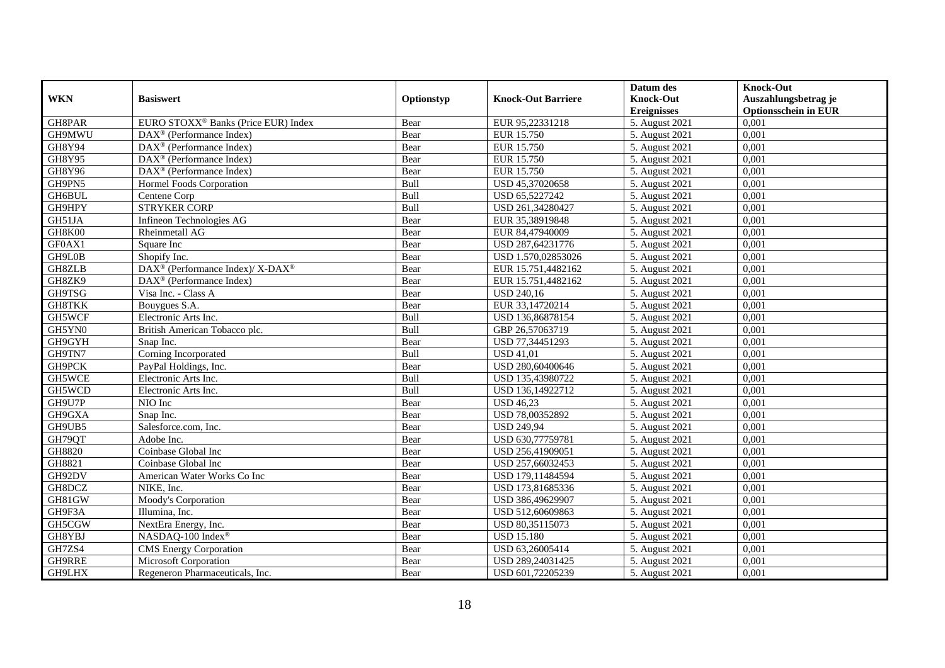|               |                                                          |             |                           | Datum des          | <b>Knock-Out</b>            |
|---------------|----------------------------------------------------------|-------------|---------------------------|--------------------|-----------------------------|
| <b>WKN</b>    | <b>Basiswert</b>                                         | Optionstyp  | <b>Knock-Out Barriere</b> | <b>Knock-Out</b>   | Auszahlungsbetrag je        |
|               |                                                          |             |                           | <b>Ereignisses</b> | <b>Optionsschein in EUR</b> |
| GH8PAR        | EURO STOXX <sup>®</sup> Banks (Price EUR) Index          | Bear        | EUR 95,22331218           | 5. August 2021     | 0,001                       |
| GH9MWU        | DAX <sup>®</sup> (Performance Index)                     | Bear        | EUR 15.750                | 5. August 2021     | 0,001                       |
| GH8Y94        | $DAX^{\circledcirc}$ (Performance Index)                 | Bear        | EUR 15.750                | 5. August 2021     | 0,001                       |
| GH8Y95        | $DAX^{\circledcirc}$ (Performance Index)                 | Bear        | EUR 15.750                | 5. August 2021     | 0.001                       |
| <b>GH8Y96</b> | $DAX^{\circledR}$ (Performance Index)                    | Bear        | EUR 15.750                | 5. August 2021     | 0,001                       |
| GH9PN5        | Hormel Foods Corporation                                 | Bull        | USD 45,37020658           | 5. August 2021     | 0,001                       |
| GH6BUL        | Centene Corp                                             | Bull        | USD 65,5227242            | 5. August 2021     | 0,001                       |
| GH9HPY        | <b>STRYKER CORP</b>                                      | Bull        | USD 261,34280427          | 5. August 2021     | 0,001                       |
| GH51JA        | Infineon Technologies AG                                 | Bear        | EUR 35,38919848           | 5. August 2021     | 0,001                       |
| GH8K00        | Rheinmetall AG                                           | Bear        | EUR 84,47940009           | 5. August 2021     | 0.001                       |
| GF0AX1        | Square Inc                                               | Bear        | USD 287,64231776          | 5. August 2021     | 0,001                       |
| GH9L0B        | Shopify Inc.                                             | Bear        | USD 1.570,02853026        | 5. August 2021     | 0,001                       |
| <b>GH8ZLB</b> | DAX <sup>®</sup> (Performance Index)/ X-DAX <sup>®</sup> | Bear        | EUR 15.751,4482162        | 5. August 2021     | 0,001                       |
| GH8ZK9        | $DAX^{\circledR}$ (Performance Index)                    | Bear        | EUR 15.751,4482162        | 5. August 2021     | 0,001                       |
| GH9TSG        | Visa Inc. - Class A                                      | Bear        | <b>USD 240,16</b>         | 5. August 2021     | 0,001                       |
| <b>GH8TKK</b> | Bouygues S.A.                                            | Bear        | EUR 33,14720214           | 5. August 2021     | 0,001                       |
| GH5WCF        | Electronic Arts Inc.                                     | Bull        | USD 136,86878154          | 5. August 2021     | 0,001                       |
| GH5YN0        | British American Tobacco plc.                            | <b>Bull</b> | GBP 26.57063719           | 5. August 2021     | 0.001                       |
| GH9GYH        | Snap Inc.                                                | Bear        | USD 77,34451293           | 5. August 2021     | 0,001                       |
| GH9TN7        | Corning Incorporated                                     | Bull        | <b>USD 41,01</b>          | 5. August 2021     | 0,001                       |
| GH9PCK        | PayPal Holdings, Inc.                                    | Bear        | USD 280,60400646          | 5. August 2021     | 0,001                       |
| GH5WCE        | Electronic Arts Inc.                                     | Bull        | USD 135,43980722          | 5. August 2021     | 0,001                       |
| GH5WCD        | Electronic Arts Inc.                                     | <b>Bull</b> | USD 136,14922712          | 5. August 2021     | 0,001                       |
| GH9U7P        | $\overline{N}$ IO Inc                                    | Bear        | <b>USD 46,23</b>          | 5. August 2021     | 0,001                       |
| GH9GXA        | Snap Inc.                                                | Bear        | USD 78,00352892           | 5. August 2021     | 0.001                       |
| GH9UB5        | Salesforce.com, Inc.                                     | Bear        | <b>USD 249,94</b>         | 5. August 2021     | 0,001                       |
| GH79QT        | Adobe Inc.                                               | Bear        | USD 630,77759781          | 5. August 2021     | 0,001                       |
| GH8820        | Coinbase Global Inc                                      | Bear        | USD 256,41909051          | 5. August 2021     | 0,001                       |
| GH8821        | Coinbase Global Inc                                      | Bear        | USD 257,66032453          | 5. August 2021     | 0,001                       |
| GH92DV        | American Water Works Co Inc                              | Bear        | USD 179,11484594          | 5. August 2021     | 0,001                       |
| GH8DCZ        | NIKE, Inc.                                               | Bear        | USD 173,81685336          | 5. August 2021     | 0,001                       |
| GH81GW        | Moody's Corporation                                      | Bear        | USD 386,49629907          | 5. August 2021     | 0.001                       |
| GH9F3A        | Illumina, Inc.                                           | Bear        | USD 512,60609863          | 5. August 2021     | 0,001                       |
| GH5CGW        | NextEra Energy, Inc.                                     | Bear        | USD 80,35115073           | 5. August 2021     | 0,001                       |
| GH8YBJ        | NASDAQ-100 Index®                                        | Bear        | <b>USD 15.180</b>         | 5. August 2021     | 0,001                       |
| GH7ZS4        | <b>CMS</b> Energy Corporation                            | Bear        | USD 63,26005414           | 5. August 2021     | 0,001                       |
| GH9RRE        | Microsoft Corporation                                    | Bear        | USD 289,24031425          | 5. August 2021     | 0,001                       |
| GH9LHX        | Regeneron Pharmaceuticals, Inc.                          | Bear        | USD 601,72205239          | 5. August 2021     | 0,001                       |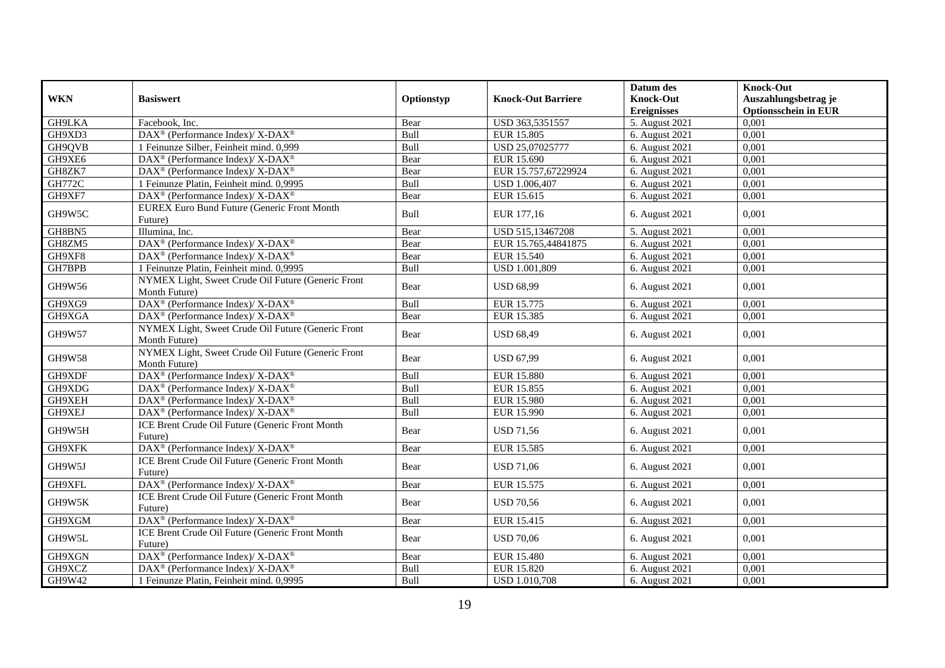|               |                                                                     |            |                           | Datum des          | <b>Knock-Out</b>            |
|---------------|---------------------------------------------------------------------|------------|---------------------------|--------------------|-----------------------------|
| <b>WKN</b>    | <b>Basiswert</b>                                                    | Optionstyp | <b>Knock-Out Barriere</b> | <b>Knock-Out</b>   | Auszahlungsbetrag je        |
|               |                                                                     |            |                           | <b>Ereignisses</b> | <b>Optionsschein in EUR</b> |
| <b>GH9LKA</b> | Facebook, Inc.                                                      | Bear       | USD 363,5351557           | 5. August 2021     | 0,001                       |
| GH9XD3        | DAX <sup>®</sup> (Performance Index)/ X-DAX <sup>®</sup>            | Bull       | EUR 15.805                | 6. August 2021     | 0,001                       |
| GH9QVB        | 1 Feinunze Silber, Feinheit mind. 0,999                             | Bull       | USD 25,07025777           | 6. August 2021     | 0,001                       |
| GH9XE6        | DAX <sup>®</sup> (Performance Index)/ X-DAX <sup>®</sup>            | Bear       | EUR 15.690                | 6. August 2021     | 0,001                       |
| GH8ZK7        | DAX <sup>®</sup> (Performance Index)/ X-DAX <sup>®</sup>            | Bear       | EUR 15.757,67229924       | 6. August 2021     | 0,001                       |
| <b>GH772C</b> | 1 Feinunze Platin, Feinheit mind. 0,9995                            | Bull       | USD 1.006,407             | 6. August 2021     | 0,001                       |
| GH9XF7        | $DAX^{\circledast}$ (Performance Index)/ X-DAX <sup>®</sup>         | Bear       | EUR 15.615                | 6. August 2021     | 0,001                       |
| GH9W5C        | EUREX Euro Bund Future (Generic Front Month<br>Future)              | Bull       | EUR 177,16                | 6. August 2021     | 0,001                       |
| GH8BN5        | Illumina, Inc.                                                      | Bear       | USD 515,13467208          | 5. August 2021     | 0,001                       |
| GH8ZM5        | DAX <sup>®</sup> (Performance Index)/ X-DAX <sup>®</sup>            | Bear       | EUR 15.765,44841875       | 6. August 2021     | 0,001                       |
| GH9XF8        | DAX <sup>®</sup> (Performance Index)/ X-DAX <sup>®</sup>            | Bear       | EUR 15.540                | 6. August 2021     | 0,001                       |
| GH7BPB        | 1 Feinunze Platin, Feinheit mind. 0,9995                            | Bull       | <b>USD 1.001,809</b>      | 6. August 2021     | 0,001                       |
| GH9W56        | NYMEX Light, Sweet Crude Oil Future (Generic Front<br>Month Future) | Bear       | <b>USD 68,99</b>          | 6. August 2021     | 0,001                       |
| GH9XG9        | DAX <sup>®</sup> (Performance Index)/ X-DAX <sup>®</sup>            | Bull       | EUR 15.775                | 6. August 2021     | 0,001                       |
| GH9XGA        | DAX <sup>®</sup> (Performance Index)/X-DAX <sup>®</sup>             | Bear       | EUR 15.385                | 6. August 2021     | 0,001                       |
| GH9W57        | NYMEX Light, Sweet Crude Oil Future (Generic Front<br>Month Future) | Bear       | <b>USD 68,49</b>          | 6. August 2021     | 0,001                       |
| <b>GH9W58</b> | NYMEX Light, Sweet Crude Oil Future (Generic Front<br>Month Future) | Bear       | <b>USD 67,99</b>          | 6. August 2021     | 0,001                       |
| GH9XDF        | DAX <sup>®</sup> (Performance Index)/X-DAX <sup>®</sup>             | Bull       | <b>EUR 15.880</b>         | 6. August 2021     | 0,001                       |
| GH9XDG        | DAX <sup>®</sup> (Performance Index)/ X-DAX <sup>®</sup>            | Bull       | EUR 15.855                | 6. August 2021     | 0,001                       |
| GH9XEH        | DAX <sup>®</sup> (Performance Index)/ X-DAX <sup>®</sup>            | Bull       | <b>EUR 15.980</b>         | 6. August 2021     | 0,001                       |
| GH9XEJ        | $DAX^{\circledast}$ (Performance Index)/ X-DAX <sup>®</sup>         | Bull       | EUR 15.990                | 6. August 2021     | 0,001                       |
| GH9W5H        | ICE Brent Crude Oil Future (Generic Front Month<br>Future)          | Bear       | <b>USD 71,56</b>          | 6. August 2021     | 0,001                       |
| GH9XFK        | DAX <sup>®</sup> (Performance Index)/X-DAX <sup>®</sup>             | Bear       | EUR 15.585                | 6. August 2021     | 0,001                       |
| GH9W5J        | ICE Brent Crude Oil Future (Generic Front Month<br>Future)          | Bear       | <b>USD 71,06</b>          | 6. August 2021     | 0,001                       |
| GH9XFL        | DAX <sup>®</sup> (Performance Index)/ X-DAX <sup>®</sup>            | Bear       | EUR 15.575                | 6. August 2021     | 0,001                       |
| GH9W5K        | ICE Brent Crude Oil Future (Generic Front Month<br>Future)          | Bear       | <b>USD 70,56</b>          | 6. August 2021     | 0,001                       |
| GH9XGM        | DAX <sup>®</sup> (Performance Index)/ X-DAX <sup>®</sup>            | Bear       | EUR 15.415                | 6. August 2021     | 0,001                       |
| GH9W5L        | ICE Brent Crude Oil Future (Generic Front Month<br>Future)          | Bear       | <b>USD 70,06</b>          | 6. August 2021     | 0,001                       |
| GH9XGN        | DAX <sup>®</sup> (Performance Index)/ X-DAX <sup>®</sup>            | Bear       | <b>EUR 15.480</b>         | 6. August 2021     | 0,001                       |
| GH9XCZ        | DAX <sup>®</sup> (Performance Index)/ X-DAX <sup>®</sup>            | Bull       | <b>EUR 15.820</b>         | 6. August 2021     | 0,001                       |
| GH9W42        | 1 Feinunze Platin, Feinheit mind. 0,9995                            | Bull       | <b>USD 1.010,708</b>      | 6. August 2021     | 0,001                       |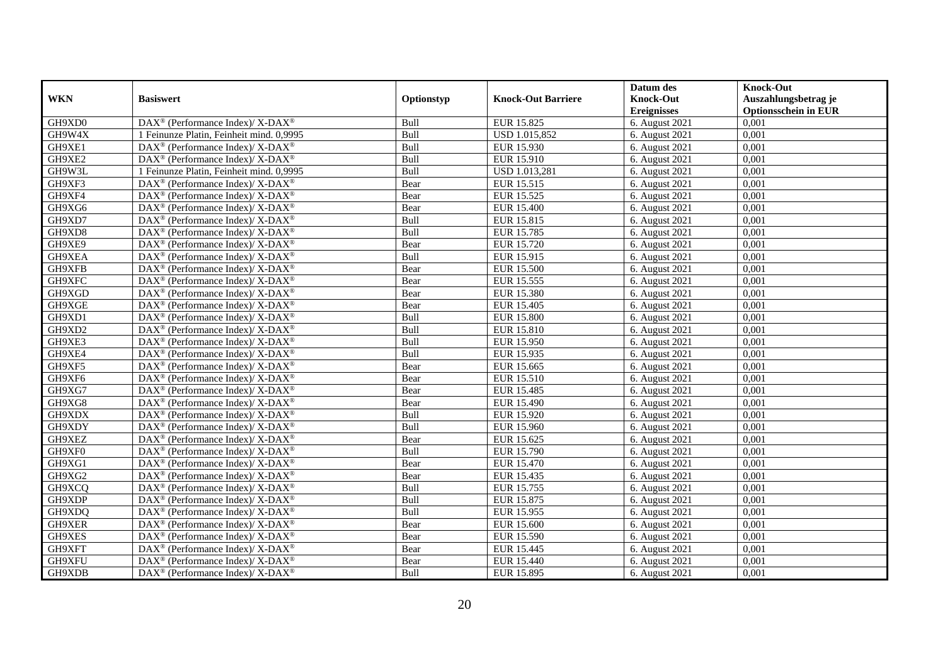|            |                                                                    |            |                           | Datum des          | <b>Knock-Out</b>            |
|------------|--------------------------------------------------------------------|------------|---------------------------|--------------------|-----------------------------|
| <b>WKN</b> | <b>Basiswert</b>                                                   | Optionstyp | <b>Knock-Out Barriere</b> | <b>Knock-Out</b>   | Auszahlungsbetrag je        |
|            |                                                                    |            |                           | <b>Ereignisses</b> | <b>Optionsschein in EUR</b> |
| GH9XD0     | DAX <sup>®</sup> (Performance Index)/ X-DAX <sup>®</sup>           | Bull       | EUR 15.825                | 6. August 2021     | 0,001                       |
| GH9W4X     | 1 Feinunze Platin, Feinheit mind. 0,9995                           | Bull       | USD 1.015,852             | 6. August 2021     | 0,001                       |
| GH9XE1     | $DAX^{\circledast}$ (Performance Index)/ X-DAX <sup>®</sup>        | Bull       | EUR 15.930                | 6. August 2021     | 0,001                       |
| GH9XE2     | $DAX^{\circledast}$ (Performance Index)/ X-DAX <sup>®</sup>        | Bull       | EUR 15.910                | 6. August 2021     | 0,001                       |
| GH9W3L     | 1 Feinunze Platin, Feinheit mind. 0,9995                           | Bull       | USD 1.013,281             | 6. August 2021     | 0,001                       |
| GH9XF3     | DAX <sup>®</sup> (Performance Index)/ X-DAX <sup>®</sup>           | Bear       | EUR 15.515                | 6. August 2021     | 0,001                       |
| GH9XF4     | $DAX^{\circledcirc}$ (Performance Index)/ X-DAX <sup>®</sup>       | Bear       | EUR 15.525                | 6. August 2021     | 0,001                       |
| GH9XG6     | $DAX^{\circledast}$ (Performance Index)/ X-DAX <sup>®</sup>        | Bear       | EUR 15.400                | 6. August 2021     | 0,001                       |
| GH9XD7     | $DAX^{\circledast}$ (Performance Index)/ X-DAX <sup>®</sup>        | Bull       | EUR 15.815                | 6. August $2021$   | 0,001                       |
| GH9XD8     | DAX <sup>®</sup> (Performance Index)/ X-DAX <sup>®</sup>           | Bull       | EUR 15.785                | 6. August 2021     | 0,001                       |
| GH9XE9     | DAX <sup>®</sup> (Performance Index)/ X-DAX <sup>®</sup>           | Bear       | EUR 15.720                | 6. August 2021     | 0,001                       |
| GH9XEA     | DAX <sup>®</sup> (Performance Index)/ X-DAX <sup>®</sup>           | Bull       | EUR 15.915                | 6. August 2021     | 0,001                       |
| GH9XFB     | $DAX^{\circledast}$ (Performance Index)/ X-DAX <sup>®</sup>        | Bear       | <b>EUR 15.500</b>         | 6. August 2021     | 0,001                       |
| GH9XFC     | $DAX^{\circledast}$ (Performance Index)/ X-DAX <sup>®</sup>        | Bear       | EUR 15.555                | 6. August 2021     | 0,001                       |
| GH9XGD     | DAX <sup>®</sup> (Performance Index)/ X-DAX <sup>®</sup>           | Bear       | EUR 15.380                | 6. August 2021     | 0,001                       |
| GH9XGE     | DAX <sup>®</sup> (Performance Index)/ X-DAX <sup>®</sup>           | Bear       | EUR 15.405                | 6. August 2021     | 0,001                       |
| GH9XD1     | $DAX^{\circledast}$ (Performance Index)/ X-DAX <sup>®</sup>        | Bull       | <b>EUR 15.800</b>         | 6. August 2021     | 0,001                       |
| GH9XD2     | DAX <sup>®</sup> (Performance Index)/ X-DAX <sup>®</sup>           | Bull       | EUR 15.810                | 6. August 2021     | 0.001                       |
| GH9XE3     | $DAX^{\circledast}$ (Performance Index)/ X-DAX <sup>®</sup>        | Bull       | EUR 15.950                | 6. August 2021     | 0,001                       |
| GH9XE4     | DAX <sup>®</sup> (Performance Index)/ X-DAX <sup>®</sup>           | Bull       | EUR 15.935                | 6. August 2021     | 0,001                       |
| GH9XF5     | $DAX^{\circledast}$ (Performance Index)/ X-DAX <sup>®</sup>        | Bear       | EUR 15.665                | 6. August 2021     | 0,001                       |
| GH9XF6     | $DAX^{\circledast}$ (Performance Index)/ X-DAX <sup>®</sup>        | Bear       | EUR 15.510                | 6. August 2021     | 0,001                       |
| GH9XG7     | DAX <sup>®</sup> (Performance Index)/ X-DAX <sup>®</sup>           | Bear       | EUR 15.485                | 6. August 2021     | 0,001                       |
| GH9XG8     | $DAX^{\circledast}$ (Performance Index)/ X-DAX <sup>®</sup>        | Bear       | EUR 15.490                | 6. August 2021     | 0,001                       |
| GH9XDX     | $DAX^{\circledcirc}$ (Performance Index)/ X-DAX <sup>®</sup>       | Bull       | EUR 15.920                | 6. August 2021     | 0,001                       |
| GH9XDY     | $DAX^{\circledast}$ (Performance Index)/ X-DAX <sup>®</sup>        | Bull       | EUR 15.960                | 6. August 2021     | 0,001                       |
| GH9XEZ     | DAX <sup>®</sup> (Performance Index)/ X-DAX <sup>®</sup>           | Bear       | EUR 15.625                | 6. August 2021     | 0,001                       |
| GH9XF0     | DAX <sup>®</sup> (Performance Index)/ X-DAX <sup>®</sup>           | Bull       | EUR 15.790                | 6. August 2021     | 0,001                       |
| GH9XG1     | $DAX^{\circledast}$ (Performance Index)/ X-DAX <sup>®</sup>        | Bear       | <b>EUR 15.470</b>         | 6. August 2021     | 0,001                       |
| GH9XG2     | $DAX^{\circledast}$ (Performance Index)/ X-DAX <sup>®</sup>        | Bear       | EUR 15.435                | 6. August 2021     | 0,001                       |
| GH9XCQ     | $DAX^{\circledast}$ (Performance Index)/ X-DAX <sup>®</sup>        | Bull       | EUR 15.755                | 6. August 2021     | 0,001                       |
| GH9XDP     | $DAX^{\circledast}$ (Performance Index)/ X-DAX <sup>®</sup>        | Bull       | EUR 15.875                | 6. August 2021     | 0,001                       |
| GH9XDQ     | $DAX^{\circledast}$ (Performance Index)/ X-DAX <sup>®</sup>        | Bull       | EUR 15.955                | 6. August 2021     | 0,001                       |
| GH9XER     | DAX <sup>®</sup> (Performance Index)/ X-DAX <sup>®</sup>           | Bear       | <b>EUR 15.600</b>         | 6. August 2021     | 0,001                       |
| GH9XES     | DAX <sup>®</sup> (Performance Index)/ X-DAX <sup>®</sup>           | Bear       | EUR 15.590                | 6. August 2021     | 0,001                       |
| GH9XFT     | $\text{DAX}^{\circledast}$ (Performance Index)/ X-DAX <sup>®</sup> | Bear       | EUR 15.445                | 6. August 2021     | 0,001                       |
| GH9XFU     | DAX <sup>®</sup> (Performance Index)/ X-DAX <sup>®</sup>           | Bear       | EUR 15.440                | 6. August 2021     | 0,001                       |
| GH9XDB     | DAX <sup>®</sup> (Performance Index)/ X-DAX <sup>®</sup>           | Bull       | EUR 15.895                | 6. August 2021     | 0,001                       |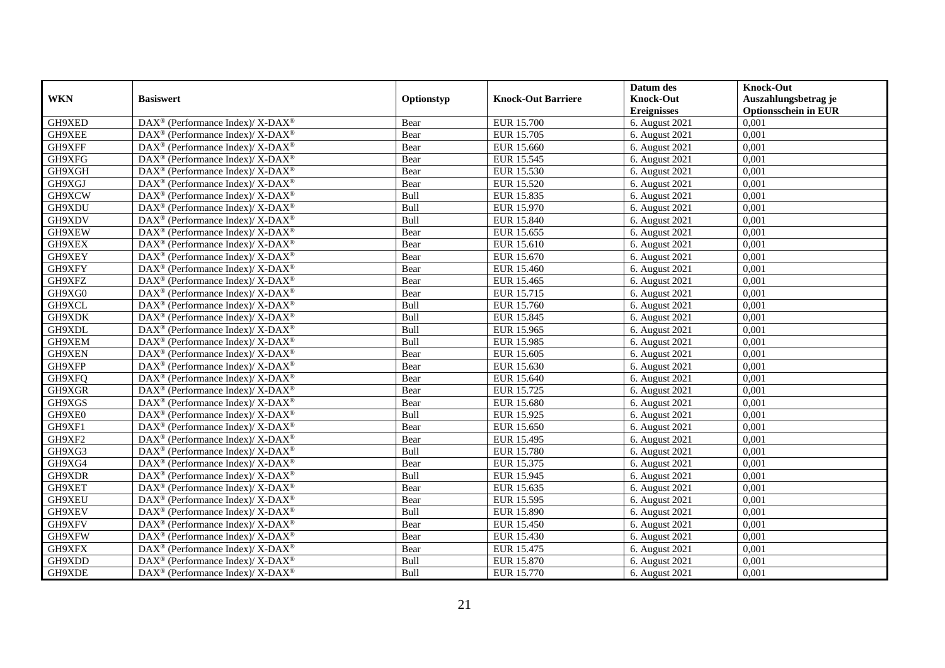|            |                                                              |            |                           | Datum des          | <b>Knock-Out</b>            |
|------------|--------------------------------------------------------------|------------|---------------------------|--------------------|-----------------------------|
| <b>WKN</b> | <b>Basiswert</b>                                             | Optionstyp | <b>Knock-Out Barriere</b> | <b>Knock-Out</b>   | Auszahlungsbetrag je        |
|            |                                                              |            |                           | <b>Ereignisses</b> | <b>Optionsschein in EUR</b> |
| GH9XED     | DAX <sup>®</sup> (Performance Index)/ X-DAX <sup>®</sup>     | Bear       | <b>EUR 15.700</b>         | 6. August 2021     | 0,001                       |
| GH9XEE     | $DAX^{\circledast}$ (Performance Index)/ X-DAX <sup>®</sup>  | Bear       | EUR 15.705                | 6. August 2021     | 0,001                       |
| GH9XFF     | $DAX^{\circledast}$ (Performance Index)/ X-DAX <sup>®</sup>  | Bear       | EUR 15.660                | 6. August 2021     | 0,001                       |
| GH9XFG     | $DAX^{\circledast}$ (Performance Index)/ X-DAX <sup>®</sup>  | Bear       | EUR 15.545                | 6. August 2021     | 0,001                       |
| GH9XGH     | $DAX^{\circledast}$ (Performance Index)/ X-DAX <sup>®</sup>  | Bear       | EUR 15.530                | 6. August 2021     | 0,001                       |
| GH9XGJ     | DAX <sup>®</sup> (Performance Index)/ X-DAX <sup>®</sup>     | Bear       | EUR 15.520                | 6. August 2021     | 0,001                       |
| GH9XCW     | $DAX^{\circledcirc}$ (Performance Index)/ X-DAX <sup>®</sup> | Bull       | EUR 15.835                | 6. August 2021     | 0,001                       |
| GH9XDU     | $DAX^{\circledast}$ (Performance Index)/ X-DAX <sup>®</sup>  | Bull       | EUR 15.970                | 6. August 2021     | 0,001                       |
| GH9XDV     | $DAX^{\circledast}$ (Performance Index)/ X-DAX <sup>®</sup>  | Bull       | EUR 15.840                | 6. August $2021$   | 0,001                       |
| GH9XEW     | DAX <sup>®</sup> (Performance Index)/ X-DAX <sup>®</sup>     | Bear       | EUR 15.655                | 6. August 2021     | 0,001                       |
| GH9XEX     | DAX <sup>®</sup> (Performance Index)/ X-DAX <sup>®</sup>     | Bear       | EUR 15.610                | 6. August 2021     | 0,001                       |
| GH9XEY     | DAX <sup>®</sup> (Performance Index)/ X-DAX <sup>®</sup>     | Bear       | EUR 15.670                | 6. August 2021     | 0,001                       |
| GH9XFY     | $DAX^{\circledast}$ (Performance Index)/ X-DAX <sup>®</sup>  | Bear       | EUR 15.460                | 6. August 2021     | 0,001                       |
| GH9XFZ     | $DAX^{\circledast}$ (Performance Index)/ X-DAX <sup>®</sup>  | Bear       | EUR 15.465                | 6. August 2021     | 0,001                       |
| GH9XG0     | DAX <sup>®</sup> (Performance Index)/ X-DAX <sup>®</sup>     | Bear       | EUR 15.715                | 6. August 2021     | 0,001                       |
| GH9XCL     | DAX <sup>®</sup> (Performance Index)/ X-DAX <sup>®</sup>     | Bull       | EUR 15.760                | 6. August 2021     | 0,001                       |
| GH9XDK     | $DAX^{\circledast}$ (Performance Index)/ X-DAX <sup>®</sup>  | Bull       | EUR 15.845                | 6. August 2021     | 0,001                       |
| GH9XDL     | $DAX^{\circledcirc}$ (Performance Index)/ X-DAX <sup>®</sup> | Bull       | EUR 15.965                | 6. August 2021     | 0,001                       |
| GH9XEM     | $DAX^{\circledast}$ (Performance Index)/ X-DAX <sup>®</sup>  | Bull       | EUR 15.985                | 6. August 2021     | 0,001                       |
| GH9XEN     | DAX <sup>®</sup> (Performance Index)/ X-DAX <sup>®</sup>     | Bear       | EUR 15.605                | 6. August 2021     | 0,001                       |
| GH9XFP     | $DAX^{\circledast}$ (Performance Index)/ X-DAX <sup>®</sup>  | Bear       | EUR 15.630                | 6. August 2021     | 0,001                       |
| GH9XFQ     | $DAX^{\circledast}$ (Performance Index)/ X-DAX <sup>®</sup>  | Bear       | EUR 15.640                | 6. August 2021     | 0,001                       |
| GH9XGR     | DAX <sup>®</sup> (Performance Index)/ X-DAX <sup>®</sup>     | Bear       | EUR 15.725                | 6. August 2021     | 0,001                       |
| GH9XGS     | DAX <sup>®</sup> (Performance Index)/ X-DAX <sup>®</sup>     | Bear       | <b>EUR 15.680</b>         | 6. August 2021     | 0,001                       |
| GH9XE0     | $DAX^{\circledcirc}$ (Performance Index)/ X-DAX <sup>®</sup> | Bull       | EUR 15.925                | 6. August 2021     | 0,001                       |
| GH9XF1     | $DAX^{\circledast}$ (Performance Index)/ X-DAX <sup>®</sup>  | Bear       | EUR 15.650                | 6. August 2021     | 0,001                       |
| GH9XF2     | DAX <sup>®</sup> (Performance Index)/ X-DAX <sup>®</sup>     | Bear       | <b>EUR 15.495</b>         | 6. August 2021     | 0,001                       |
| GH9XG3     | DAX <sup>®</sup> (Performance Index)/ X-DAX <sup>®</sup>     | Bull       | <b>EUR 15.780</b>         | 6. August 2021     | 0,001                       |
| GH9XG4     | $DAX^{\circledast}$ (Performance Index)/ X-DAX <sup>®</sup>  | Bear       | EUR 15.375                | 6. August 2021     | 0,001                       |
| GH9XDR     | $DAX^{\circledast}$ (Performance Index)/ X-DAX <sup>®</sup>  | Bull       | EUR 15.945                | 6. August 2021     | 0,001                       |
| GH9XET     | $DAX^{\circledast}$ (Performance Index)/ X-DAX <sup>®</sup>  | Bear       | EUR 15.635                | 6. August 2021     | 0,001                       |
| GH9XEU     | $DAX^{\circledast}$ (Performance Index)/ X-DAX <sup>®</sup>  | Bear       | EUR 15.595                | 6. August 2021     | 0,001                       |
| GH9XEV     | $DAX^{\circledast}$ (Performance Index)/ X-DAX <sup>®</sup>  | Bull       | EUR 15.890                | 6. August 2021     | 0,001                       |
| GH9XFV     | DAX <sup>®</sup> (Performance Index)/ X-DAX <sup>®</sup>     | Bear       | EUR 15.450                | 6. August 2021     | 0,001                       |
| GH9XFW     | DAX <sup>®</sup> (Performance Index)/ X-DAX <sup>®</sup>     | Bear       | EUR 15.430                | 6. August 2021     | 0,001                       |
| GH9XFX     | $DAX^{\circledast}$ (Performance Index)/ X-DAX <sup>®</sup>  | Bear       | EUR 15.475                | 6. August 2021     | 0,001                       |
| GH9XDD     | $DAX^{\circledast}$ (Performance Index)/ X-DAX <sup>®</sup>  | Bull       | EUR 15.870                | 6. August 2021     | 0,001                       |
| GH9XDE     | DAX <sup>®</sup> (Performance Index)/ X-DAX <sup>®</sup>     | Bull       | EUR 15.770                | 6. August 2021     | 0,001                       |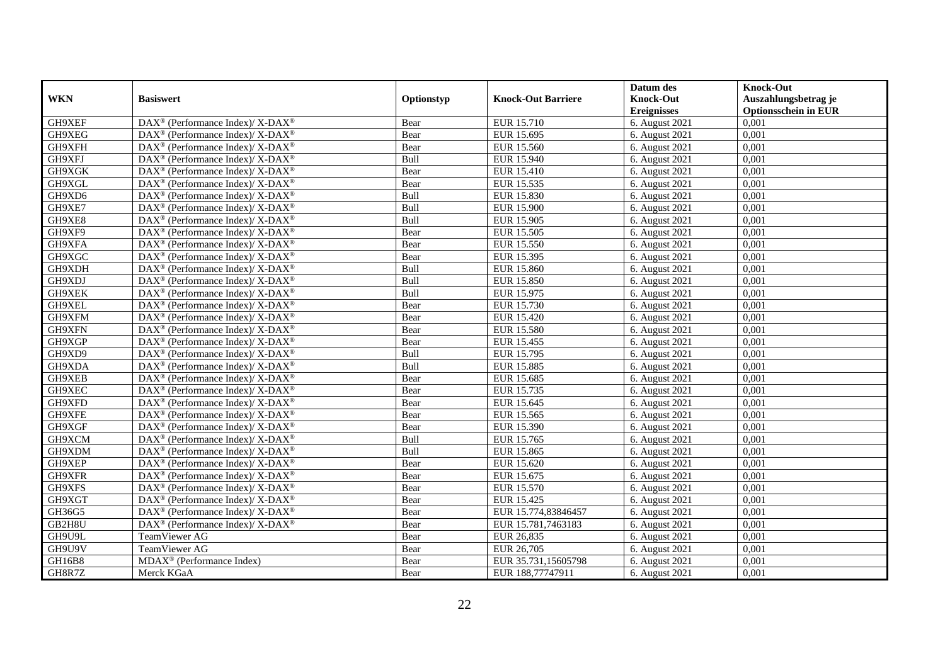|            |                                                                          |             |                           | Datum des          | <b>Knock-Out</b>            |
|------------|--------------------------------------------------------------------------|-------------|---------------------------|--------------------|-----------------------------|
| <b>WKN</b> | <b>Basiswert</b>                                                         | Optionstyp  | <b>Knock-Out Barriere</b> | <b>Knock-Out</b>   | Auszahlungsbetrag je        |
|            |                                                                          |             |                           | <b>Ereignisses</b> | <b>Optionsschein in EUR</b> |
| GH9XEF     | DAX <sup>®</sup> (Performance Index)/ X-DAX <sup>®</sup>                 | Bear        | EUR 15.710                | 6. August 2021     | 0,001                       |
| GH9XEG     | $DAX^{\circledast}$ (Performance Index)/ X-DAX <sup>®</sup>              | Bear        | EUR 15.695                | 6. August 2021     | 0,001                       |
| GH9XFH     | $DAX^{\circledast}$ (Performance Index)/ X-DAX <sup>®</sup>              | Bear        | EUR 15.560                | 6. August 2021     | 0,001                       |
| GH9XFJ     | $DAX^{\circledast}$ (Performance Index)/ X-DAX <sup>®</sup>              | Bull        | EUR 15.940                | 6. August 2021     | 0,001                       |
| GH9XGK     | DAX <sup>®</sup> (Performance Index)/ X-DAX <sup>®</sup>                 | Bear        | EUR 15.410                | 6. August 2021     | 0,001                       |
| GH9XGL     | DAX <sup>®</sup> (Performance Index)/ X-DAX <sup>®</sup>                 | Bear        | EUR 15.535                | 6. August 2021     | 0,001                       |
| GH9XD6     | $DAX^{\circledcirc}$ (Performance Index)/ X-DAX <sup>®</sup>             | Bull        | EUR 15.830                | 6. August 2021     | 0,001                       |
| GH9XE7     | $DAX^{\circledast}$ (Performance Index)/ X-DAX <sup>®</sup>              | <b>Bull</b> | EUR 15.900                | 6. August 2021     | 0,001                       |
| GH9XE8     | $DAX^{\circledast}$ (Performance Index)/ X-DAX <sup>®</sup>              | Bull        | EUR 15.905                | 6. August 2021     | 0,001                       |
| GH9XF9     | $DAX^{\circledast}$ (Performance Index)/ X-DAX <sup>®</sup>              | Bear        | EUR 15.505                | 6. August 2021     | 0,001                       |
| GH9XFA     | $\overline{\text{DAX}^{\otimes}}$ (Performance Index)/X-DAX <sup>®</sup> | Bear        | EUR 15.550                | 6. August 2021     | 0,001                       |
| GH9XGC     | DAX <sup>®</sup> (Performance Index)/ X-DAX <sup>®</sup>                 | Bear        | EUR 15.395                | 6. August 2021     | 0,001                       |
| GH9XDH     | $DAX^{\circledast}$ (Performance Index)/ X-DAX <sup>®</sup>              | Bull        | EUR 15.860                | 6. August 2021     | 0,001                       |
| GH9XDJ     | $DAX^{\circledast}$ (Performance Index)/ X-DAX <sup>®</sup>              | Bull        | EUR 15.850                | 6. August 2021     | 0,001                       |
| GH9XEK     | DAX <sup>®</sup> (Performance Index)/ X-DAX <sup>®</sup>                 | Bull        | EUR 15.975                | 6. August 2021     | 0,001                       |
| GH9XEL     | DAX <sup>®</sup> (Performance Index)/ X-DAX <sup>®</sup>                 | Bear        | EUR 15.730                | 6. August 2021     | 0,001                       |
| GH9XFM     | $DAX^{\circledast}$ (Performance Index)/ X-DAX <sup>®</sup>              | Bear        | EUR 15.420                | 6. August 2021     | 0,001                       |
| GH9XFN     | $DAX^{\circledcirc}$ (Performance Index)/ X-DAX <sup>®</sup>             | Bear        | <b>EUR 15.580</b>         | 6. August 2021     | 0.001                       |
| GH9XGP     | $DAX^{\circledast}$ (Performance Index)/ X-DAX <sup>®</sup>              | Bear        | EUR 15.455                | 6. August 2021     | 0,001                       |
| GH9XD9     | $DAX^{\circledast}$ (Performance Index)/ X-DAX <sup>®</sup>              | Bull        | EUR 15.795                | 6. August 2021     | 0,001                       |
| GH9XDA     | DAX <sup>®</sup> (Performance Index)/ X-DAX <sup>®</sup>                 | Bull        | <b>EUR 15.885</b>         | 6. August 2021     | 0,001                       |
| GH9XEB     | $DAX^{\circledast}$ (Performance Index)/ X-DAX <sup>®</sup>              | Bear        | EUR 15.685                | 6. August 2021     | 0,001                       |
| GH9XEC     | DAX <sup>®</sup> (Performance Index)/ X-DAX <sup>®</sup>                 | Bear        | EUR 15.735                | 6. August 2021     | 0,001                       |
| GH9XFD     | DAX <sup>®</sup> (Performance Index)/ X-DAX <sup>®</sup>                 | Bear        | EUR 15.645                | 6. August 2021     | 0,001                       |
| GH9XFE     | $DAX^{\circledcirc}$ (Performance Index)/ X-DAX <sup>®</sup>             | Bear        | EUR 15.565                | 6. August 2021     | 0,001                       |
| GH9XGF     | $DAX^{\circledast}$ (Performance Index)/ X-DAX <sup>®</sup>              | Bear        | EUR 15.390                | 6. August 2021     | 0,001                       |
| GH9XCM     | DAX <sup>®</sup> (Performance Index)/ X-DAX <sup>®</sup>                 | Bull        | EUR 15.765                | 6. August 2021     | 0,001                       |
| GH9XDM     | DAX <sup>®</sup> (Performance Index)/ X-DAX <sup>®</sup>                 | Bull        | EUR 15.865                | 6. August 2021     | 0,001                       |
| GH9XEP     | DAX <sup>®</sup> (Performance Index)/ X-DAX <sup>®</sup>                 | Bear        | EUR 15.620                | 6. August 2021     | 0,001                       |
| GH9XFR     | $DAX^{\circledast}$ (Performance Index)/ X-DAX <sup>®</sup>              | Bear        | EUR 15.675                | 6. August 2021     | 0,001                       |
| GH9XFS     | $DAX^{\circledast}$ (Performance Index)/ X-DAX <sup>®</sup>              | Bear        | EUR 15.570                | 6. August 2021     | 0,001                       |
| GH9XGT     | DAX <sup>®</sup> (Performance Index)/ X-DAX <sup>®</sup>                 | Bear        | EUR 15.425                | 6. August 2021     | 0.001                       |
| GH36G5     | $DAX^{\circledast}$ (Performance Index)/ X-DAX <sup>®</sup>              | Bear        | EUR 15.774,83846457       | 6. August 2021     | 0,001                       |
| GB2H8U     | DAX <sup>®</sup> (Performance Index)/ X-DAX <sup>®</sup>                 | Bear        | EUR 15.781,7463183        | 6. August 2021     | 0,001                       |
| GH9U9L     | TeamViewer AG                                                            | Bear        | EUR 26,835                | 6. August 2021     | 0,001                       |
| GH9U9V     | TeamViewer AG                                                            | Bear        | EUR 26,705                | 6. August 2021     | 0,001                       |
| GH16B8     | $MDAX^{\circledR}$ (Performance Index)                                   | Bear        | EUR 35.731,15605798       | 6. August 2021     | 0,001                       |
| GH8R7Z     | Merck KGaA                                                               | Bear        | EUR 188,77747911          | 6. August 2021     | 0,001                       |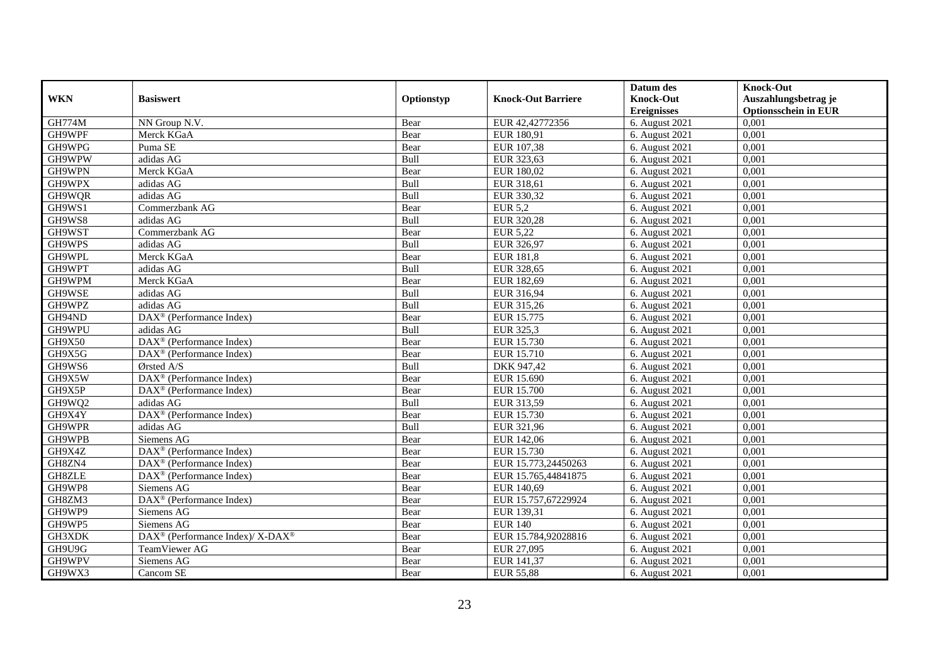|               |                                                             |             |                           | Datum des          | <b>Knock-Out</b>            |
|---------------|-------------------------------------------------------------|-------------|---------------------------|--------------------|-----------------------------|
| <b>WKN</b>    | <b>Basiswert</b>                                            | Optionstyp  | <b>Knock-Out Barriere</b> | <b>Knock-Out</b>   | Auszahlungsbetrag je        |
|               |                                                             |             |                           | <b>Ereignisses</b> | <b>Optionsschein in EUR</b> |
| <b>GH774M</b> | NN Group N.V.                                               | Bear        | EUR 42,42772356           | 6. August 2021     | 0,001                       |
| GH9WPF        | Merck KGaA                                                  | Bear        | EUR 180,91                | 6. August 2021     | 0,001                       |
| GH9WPG        | Puma SE                                                     | Bear        | EUR 107,38                | 6. August $2021$   | 0,001                       |
| GH9WPW        | adidas AG                                                   | Bull        | EUR 323,63                | 6. August 2021     | 0,001                       |
| GH9WPN        | Merck KGaA                                                  | Bear        | EUR 180,02                | 6. August 2021     | 0,001                       |
| GH9WPX        | adidas AG                                                   | Bull        | EUR 318,61                | 6. August 2021     | 0,001                       |
| GH9WQR        | adidas AG                                                   | <b>Bull</b> | EUR 330,32                | 6. August 2021     | 0,001                       |
| GH9WS1        | Commerzbank AG                                              | Bear        | <b>EUR 5,2</b>            | 6. August 2021     | 0,001                       |
| GH9WS8        | adidas AG                                                   | Bull        | EUR 320,28                | 6. August 2021     | 0,001                       |
| GH9WST        | Commerzbank AG                                              | Bear        | EUR 5,22                  | 6. August 2021     | 0,001                       |
| GH9WPS        | adidas AG                                                   | Bull        | EUR 326,97                | 6. August 2021     | 0,001                       |
| GH9WPL        | Merck KGaA                                                  | Bear        | <b>EUR 181,8</b>          | 6. August 2021     | 0,001                       |
| GH9WPT        | adidas AG                                                   | Bull        | EUR 328,65                | 6. August 2021     | 0,001                       |
| GH9WPM        | Merck KGaA                                                  | Bear        | EUR 182,69                | 6. August 2021     | 0.001                       |
| GH9WSE        | adidas AG                                                   | Bull        | EUR 316,94                | 6. August 2021     | 0,001                       |
| GH9WPZ        | adidas AG                                                   | Bull        | EUR 315,26                | 6. August 2021     | 0,001                       |
| GH94ND        | $\overline{\text{DAX}^{\otimes}(\text{Performance Index})}$ | Bear        | EUR 15.775                | 6. August 2021     | 0,001                       |
| GH9WPU        | adidas AG                                                   | Bull        | EUR 325,3                 | 6. August 2021     | 0,001                       |
| <b>GH9X50</b> | DAX <sup>®</sup> (Performance Index)                        | Bear        | EUR 15.730                | 6. August 2021     | 0,001                       |
| GH9X5G        | DAX <sup>®</sup> (Performance Index)                        | Bear        | EUR 15.710                | 6. August 2021     | 0,001                       |
| GH9WS6        | Ørsted A/S                                                  | Bull        | DKK 947,42                | 6. August 2021     | 0,001                       |
| GH9X5W        | DAX <sup>®</sup> (Performance Index)                        | Bear        | EUR 15.690                | 6. August 2021     | 0,001                       |
| GH9X5P        | $DAX^{\otimes}$ (Performance Index)                         | Bear        | <b>EUR 15.700</b>         | 6. August 2021     | 0,001                       |
| GH9WQ2        | adidas AG                                                   | Bull        | EUR 313,59                | 6. August 2021     | 0,001                       |
| GH9X4Y        | $DAX^{\otimes}$ (Performance Index)                         | Bear        | EUR 15.730                | 6. August $2021$   | 0,001                       |
| GH9WPR        | adidas AG                                                   | Bull        | EUR 321,96                | 6. August 2021     | 0,001                       |
| GH9WPB        | Siemens AG                                                  | Bear        | EUR 142,06                | 6. August 2021     | 0,001                       |
| GH9X4Z        | DAX <sup>®</sup> (Performance Index)                        | Bear        | EUR 15.730                | 6. August $2021$   | 0,001                       |
| GH8ZN4        | $\text{DAX}^{\otimes}$ (Performance Index)                  | Bear        | EUR 15.773,24450263       | 6. August 2021     | 0,001                       |
| GH8ZLE        | DAX <sup>®</sup> (Performance Index)                        | Bear        | EUR 15.765,44841875       | 6. August 2021     | 0,001                       |
| GH9WP8        | Siemens AG                                                  | Bear        | EUR 140,69                | 6. August 2021     | 0,001                       |
| GH8ZM3        | DAX <sup>®</sup> (Performance Index)                        | Bear        | EUR 15.757,67229924       | 6. August 2021     | 0,001                       |
| GH9WP9        | Siemens AG                                                  | Bear        | EUR 139,31                | 6. August 2021     | 0,001                       |
| GH9WP5        | Siemens AG                                                  | Bear        | <b>EUR 140</b>            | 6. August 2021     | 0,001                       |
| GH3XDK        | DAX <sup>®</sup> (Performance Index)/ X-DAX <sup>®</sup>    | Bear        | EUR 15.784,92028816       | 6. August 2021     | 0,001                       |
| GH9U9G        | TeamViewer AG                                               | Bear        | EUR 27,095                | 6. August 2021     | 0,001                       |
| GH9WPV        | Siemens AG                                                  | Bear        | EUR 141,37                | 6. August 2021     | 0,001                       |
| GH9WX3        | Cancom SE                                                   | Bear        | <b>EUR 55,88</b>          | 6. August 2021     | 0,001                       |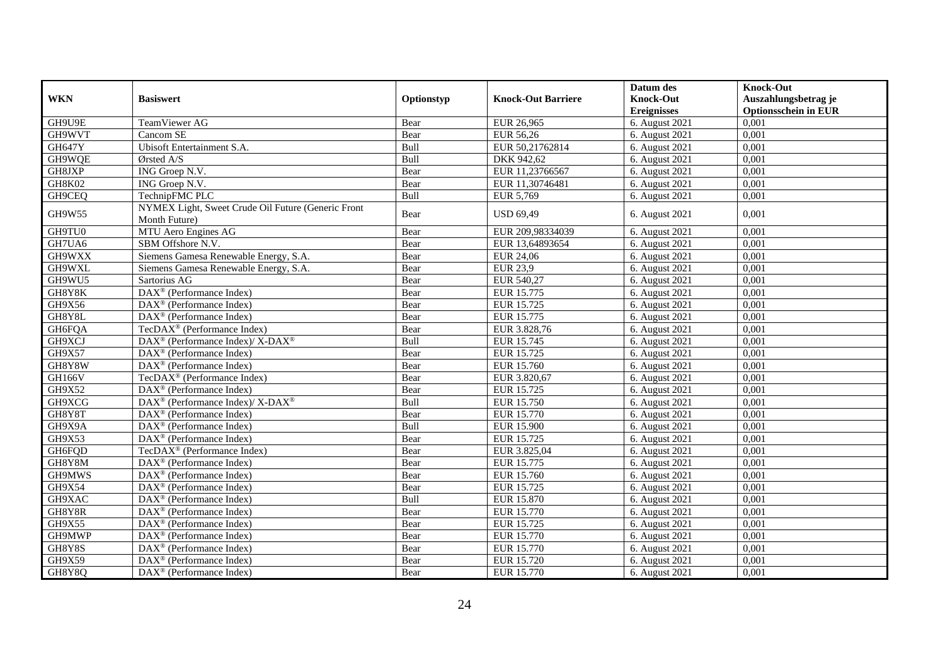|               |                                                                     |            |                           | Datum des          | <b>Knock-Out</b>            |
|---------------|---------------------------------------------------------------------|------------|---------------------------|--------------------|-----------------------------|
| <b>WKN</b>    | <b>Basiswert</b>                                                    | Optionstyp | <b>Knock-Out Barriere</b> | <b>Knock-Out</b>   | Auszahlungsbetrag je        |
|               |                                                                     |            |                           | <b>Ereignisses</b> | <b>Optionsschein in EUR</b> |
| GH9U9E        | TeamViewer AG                                                       | Bear       | EUR 26,965                | 6. August 2021     | 0,001                       |
| GH9WVT        | Cancom $\overline{\text{SE}}$                                       | Bear       | EUR 56,26                 | 6. August 2021     | 0,001                       |
| <b>GH647Y</b> | Ubisoft Entertainment S.A.                                          | Bull       | EUR 50,21762814           | 6. August 2021     | 0,001                       |
| GH9WQE        | Ørsted A/S                                                          | Bull       | DKK 942,62                | 6. August 2021     | 0,001                       |
| GH8JXP        | ING Groep N.V.                                                      | Bear       | EUR 11,23766567           | 6. August 2021     | 0,001                       |
| <b>GH8K02</b> | ING Groep N.V.                                                      | Bear       | EUR 11,30746481           | 6. August 2021     | 0,001                       |
| GH9CEQ        | TechnipFMC PLC                                                      | Bull       | EUR 5,769                 | 6. August 2021     | 0,001                       |
| GH9W55        | NYMEX Light, Sweet Crude Oil Future (Generic Front<br>Month Future) | Bear       | <b>USD 69,49</b>          | 6. August 2021     | 0,001                       |
| GH9TU0        | MTU Aero Engines AG                                                 | Bear       | EUR 209,98334039          | 6. August 2021     | 0,001                       |
| GH7UA6        | SBM Offshore N.V.                                                   | Bear       | EUR 13,64893654           | 6. August 2021     | 0,001                       |
| GH9WXX        | Siemens Gamesa Renewable Energy, S.A.                               | Bear       | <b>EUR 24,06</b>          | 6. August 2021     | 0,001                       |
| GH9WXL        | Siemens Gamesa Renewable Energy, S.A.                               | Bear       | <b>EUR 23,9</b>           | 6. August 2021     | 0,001                       |
| GH9WU5        | Sartorius AG                                                        | Bear       | EUR 540,27                | 6. August 2021     | 0,001                       |
| GH8Y8K        | $DAX^{\otimes}$ (Performance Index)                                 | Bear       | EUR 15.775                | 6. August 2021     | 0.001                       |
| GH9X56        | DAX <sup>®</sup> (Performance Index)                                | Bear       | EUR 15.725                | 6. August 2021     | 0,001                       |
| GH8Y8L        | DAX <sup>®</sup> (Performance Index)                                | Bear       | <b>EUR 15.775</b>         | 6. August 2021     | 0,001                       |
| GH6FQA        | TecDAX <sup>®</sup> (Performance Index)                             | Bear       | EUR 3.828,76              | 6. August 2021     | 0,001                       |
| GH9XCJ        | DAX <sup>®</sup> (Performance Index)/ X-DAX <sup>®</sup>            | Bull       | EUR 15.745                | 6. August 2021     | 0,001                       |
| GH9X57        | $\text{DAX}^{\otimes}$ (Performance Index)                          | Bear       | EUR 15.725                | 6. August 2021     | 0,001                       |
| GH8Y8W        | $DAX^{\otimes}$ (Performance Index)                                 | Bear       | EUR 15.760                | 6. August 2021     | 0,001                       |
| <b>GH166V</b> | TecDAX <sup>®</sup> (Performance Index)                             | Bear       | EUR 3.820,67              | 6. August 2021     | 0,001                       |
| GH9X52        | $DAX^{\otimes}$ (Performance Index)                                 | Bear       | EUR 15.725                | 6. August 2021     | 0,001                       |
| GH9XCG        | DAX <sup>®</sup> (Performance Index)/ X-DAX <sup>®</sup>            | Bull       | EUR 15.750                | 6. August 2021     | 0,001                       |
| GH8Y8T        | $\overline{\text{DAX}^{\otimes}}$ (Performance Index)               | Bear       | EUR 15.770                | 6. August 2021     | 0,001                       |
| GH9X9A        | DAX <sup>®</sup> (Performance Index)                                | Bull       | EUR 15.900                | 6. August 2021     | 0,001                       |
| GH9X53        | $DAX^{\otimes}$ (Performance Index)                                 | Bear       | EUR 15.725                | 6. August 2021     | 0,001                       |
| GH6FQD        | TecDAX <sup>®</sup> (Performance Index)                             | Bear       | EUR 3.825,04              | 6. August 2021     | 0,001                       |
| GH8Y8M        | $DAX^{\circledast}$ (Performance Index)                             | Bear       | EUR 15.775                | 6. August 2021     | 0,001                       |
| GH9MWS        | $DAX^{\otimes}$ (Performance Index)                                 | Bear       | EUR 15.760                | 6. August 2021     | 0,001                       |
| GH9X54        | $\text{DAX}^{\otimes}$ (Performance Index)                          | Bear       | EUR 15.725                | 6. August 2021     | 0,001                       |
| GH9XAC        | $\text{DAX}^{\otimes}$ (Performance Index)                          | Bull       | <b>EUR 15.870</b>         | 6. August 2021     | 0,001                       |
| GH8Y8R        | $DAX^{\otimes}$ (Performance Index)                                 | Bear       | EUR 15.770                | 6. August 2021     | 0,001                       |
| GH9X55        | DAX <sup>®</sup> (Performance Index)                                | Bear       | EUR 15.725                | 6. August 2021     | 0,001                       |
| GH9MWP        | DAX <sup>®</sup> (Performance Index)                                | Bear       | EUR 15.770                | 6. August 2021     | 0,001                       |
| GH8Y8S        | $\text{DAX}^{\otimes}$ (Performance Index)                          | Bear       | EUR 15.770                | 6. August 2021     | 0,001                       |
| GH9X59        | $DAX^{\circledast}$ (Performance Index)                             | Bear       | EUR 15.720                | 6. August 2021     | 0,001                       |
| GH8Y8Q        | $\overline{\text{DAX}^{\otimes}}$ (Performance Index)               | Bear       | EUR 15.770                | 6. August 2021     | 0,001                       |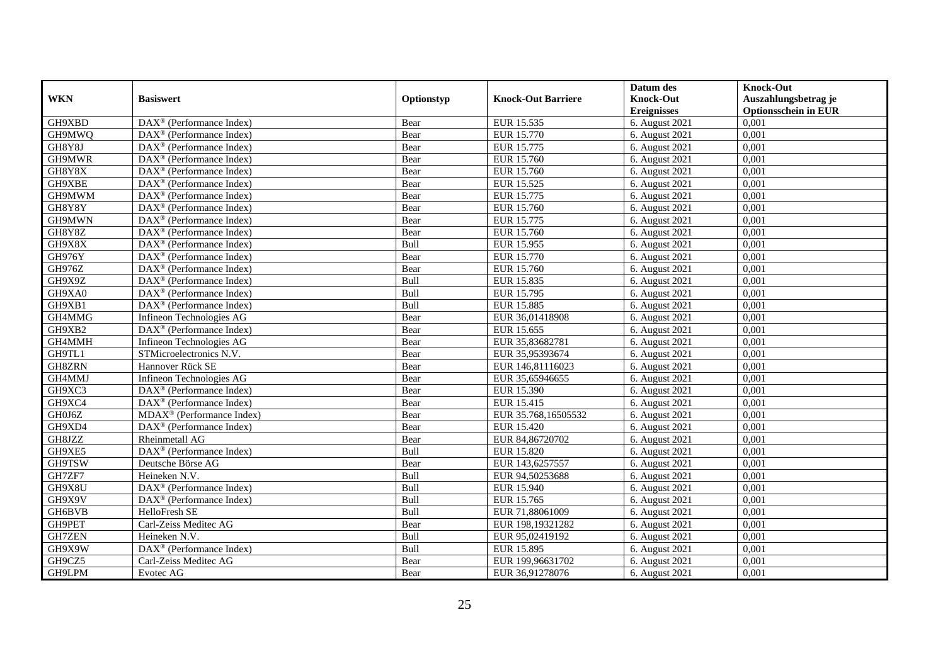|               |                                                         |             |                           | Datum des          | <b>Knock-Out</b>            |
|---------------|---------------------------------------------------------|-------------|---------------------------|--------------------|-----------------------------|
| <b>WKN</b>    | <b>Basiswert</b>                                        | Optionstyp  | <b>Knock-Out Barriere</b> | <b>Knock-Out</b>   | Auszahlungsbetrag je        |
|               |                                                         |             |                           | <b>Ereignisses</b> | <b>Optionsschein in EUR</b> |
| GH9XBD        | $\overline{\text{DAX}}^{\textcirc}$ (Performance Index) | Bear        | EUR 15.535                | 6. August 2021     | 0,001                       |
| GH9MWQ        | $\text{DAX}^{\textcircled{}}$ (Performance Index)       | Bear        | EUR 15.770                | 6. August 2021     | 0,001                       |
| GH8Y8J        | $DAX^{\circledcirc}$ (Performance Index)                | Bear        | EUR 15.775                | 6. August $2021$   | 0,001                       |
| GH9MWR        | $\text{DAX}^{\otimes}$ (Performance Index)              | Bear        | EUR 15.760                | 6. August 2021     | 0,001                       |
| GH8Y8X        | $\text{DAX}^{\circledast}$ (Performance Index)          | Bear        | EUR 15.760                | 6. August 2021     | 0,001                       |
| GH9XBE        | $DAX^{\circledR}$ (Performance Index)                   | Bear        | EUR 15.525                | 6. August 2021     | 0,001                       |
| GH9MWM        | $DAX^{\circledR}$ (Performance Index)                   | Bear        | EUR 15.775                | 6. August 2021     | 0,001                       |
| GH8Y8Y        | $DAX^{\circledR}$ (Performance Index)                   | Bear        | EUR 15.760                | 6. August 2021     | 0,001                       |
| GH9MWN        | $DAX^{\circledast}$ (Performance Index)                 | Bear        | EUR 15.775                | 6. August 2021     | 0,001                       |
| GH8Y8Z        | $DAX^{\circledR}$ (Performance Index)                   | Bear        | <b>EUR 15.760</b>         | 6. August 2021     | 0,001                       |
| GH9X8X        | $\overline{\text{DAX}^{\otimes}}$ (Performance Index)   | Bull        | EUR 15.955                | 6. August 2021     | 0,001                       |
| GH976Y        | $\overline{\text{DAX}^{\otimes}}$ (Performance Index)   | Bear        | EUR 15.770                | 6. August 2021     | 0,001                       |
| GH976Z        | $\text{DAX}^{\otimes}$ (Performance Index)              | Bear        | EUR 15.760                | 6. August 2021     | 0,001                       |
| GH9X9Z        | $\text{DAX}^{\otimes}$ (Performance Index)              | <b>Bull</b> | EUR 15.835                | 6. August 2021     | 0.001                       |
| GH9XA0        | $DAX^{\circledR}$ (Performance Index)                   | Bull        | EUR 15.795                | 6. August 2021     | 0,001                       |
| GH9XB1        | $DAX^{\circledR}$ (Performance Index)                   | Bull        | <b>EUR 15.885</b>         | 6. August 2021     | 0,001                       |
| GH4MMG        | Infineon Technologies AG                                | Bear        | EUR 36,01418908           | 6. August 2021     | 0,001                       |
| GH9XB2        | DAX <sup>®</sup> (Performance Index)                    | Bear        | EUR 15.655                | 6. August 2021     | 0,001                       |
| GH4MMH        | Infineon Technologies AG                                | Bear        | EUR 35,83682781           | 6. August 2021     | 0,001                       |
| GH9TL1        | STMicroelectronics N.V.                                 | Bear        | EUR 35,95393674           | 6. August 2021     | 0,001                       |
| GH8ZRN        | Hannover Rück SE                                        | Bear        | EUR 146,81116023          | 6. August 2021     | 0,001                       |
| GH4MMJ        | Infineon Technologies AG                                | Bear        | EUR 35,65946655           | 6. August 2021     | 0,001                       |
| GH9XC3        | $DAX^{\circledR}$ (Performance Index)                   | Bear        | EUR 15.390                | 6. August 2021     | 0,001                       |
| GH9XC4        | $DAX^{\circledR}$ (Performance Index)                   | Bear        | EUR 15.415                | 6. August 2021     | 0,001                       |
| GH0J6Z        | $MDAX^{\circledR}$ (Performance Index)                  | Bear        | EUR 35.768,16505532       | 6. August $2021$   | 0,001                       |
| GH9XD4        | $\overline{\text{DAX}^{\otimes}}$ (Performance Index)   | Bear        | EUR 15.420                | 6. August 2021     | 0,001                       |
| GH8JZZ        | Rheinmetall AG                                          | Bear        | EUR 84,86720702           | 6. August 2021     | 0,001                       |
| GH9XE5        | $\overline{\text{DAX}^{\otimes}}$ (Performance Index)   | Bull        | <b>EUR 15.820</b>         | 6. August 2021     | 0,001                       |
| GH9TSW        | Deutsche Börse AG                                       | Bear        | EUR 143,6257557           | 6. August 2021     | 0,001                       |
| GH7ZF7        | Heineken N.V.                                           | <b>Bull</b> | EUR 94,50253688           | 6. August 2021     | 0,001                       |
| GH9X8U        | $DAX^{\circledR}$ (Performance Index)                   | Bull        | EUR 15.940                | 6. August 2021     | 0,001                       |
| GH9X9V        | DAX <sup>®</sup> (Performance Index)                    | Bull        | EUR 15.765                | 6. August 2021     | 0,001                       |
| GH6BVB        | HelloFresh SE                                           | Bull        | EUR 71,88061009           | 6. August 2021     | 0,001                       |
| GH9PET        | Carl-Zeiss Meditec AG                                   | Bear        | EUR 198,19321282          | 6. August 2021     | 0,001                       |
| <b>GH7ZEN</b> | Heineken N.V.                                           | <b>Bull</b> | EUR 95,02419192           | 6. August 2021     | 0,001                       |
| GH9X9W        | $\text{DAX}^{\otimes}$ (Performance Index)              | Bull        | EUR 15.895                | 6. August 2021     | 0,001                       |
| GH9CZ5        | Carl-Zeiss Meditec AG                                   | Bear        | EUR 199,96631702          | 6. August 2021     | 0,001                       |
| GH9LPM        | Evotec AG                                               | Bear        | EUR 36,91278076           | 6. August 2021     | 0,001                       |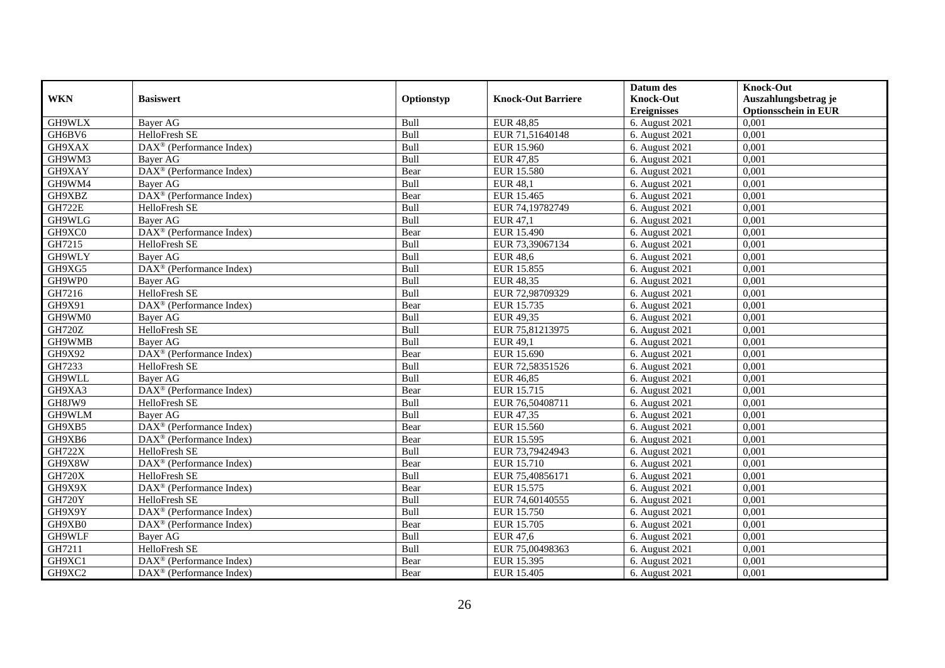|               |                                                         |             |                           | Datum des          | <b>Knock-Out</b>            |
|---------------|---------------------------------------------------------|-------------|---------------------------|--------------------|-----------------------------|
| <b>WKN</b>    | <b>Basiswert</b>                                        | Optionstyp  | <b>Knock-Out Barriere</b> | <b>Knock-Out</b>   | Auszahlungsbetrag je        |
|               |                                                         |             |                           | <b>Ereignisses</b> | <b>Optionsschein in EUR</b> |
| GH9WLX        | <b>Bayer AG</b>                                         | Bull        | <b>EUR 48,85</b>          | 6. August 2021     | 0,001                       |
| GH6BV6        | HelloFresh SE                                           | Bull        | EUR 71,51640148           | 6. August 2021     | 0,001                       |
| GH9XAX        | $DAX^{\circledR}$ (Performance Index)                   | Bull        | EUR 15.960                | 6. August $2021$   | 0,001                       |
| GH9WM3        | Bayer AG                                                | Bull        | EUR 47,85                 | 6. August 2021     | 0,001                       |
| GH9XAY        | DAX <sup>®</sup> (Performance Index)                    | Bear        | EUR 15.580                | 6. August 2021     | 0,001                       |
| GH9WM4        | <b>Bayer AG</b>                                         | Bull        | <b>EUR 48,1</b>           | 6. August 2021     | 0,001                       |
| GH9XBZ        | $\overline{\text{DAX}}^{\textcirc}$ (Performance Index) | Bear        | EUR 15.465                | 6. August 2021     | 0,001                       |
| <b>GH722E</b> | HelloFresh SE                                           | Bull        | EUR 74,19782749           | 6. August 2021     | 0,001                       |
| GH9WLG        | Bayer AG                                                | Bull        | <b>EUR 47,1</b>           | 6. August 2021     | 0,001                       |
| GH9XC0        | DAX <sup>®</sup> (Performance Index)                    | Bear        | <b>EUR 15.490</b>         | 6. August 2021     | 0,001                       |
| GH7215        | HelloFresh SE                                           | Bull        | EUR 73,39067134           | 6. August 2021     | 0,001                       |
| GH9WLY        | Bayer AG                                                | Bull        | <b>EUR 48,6</b>           | 6. August 2021     | 0,001                       |
| GH9XG5        | $DAX^{\circledast}$ (Performance Index)                 | Bull        | EUR 15.855                | 6. August 2021     | 0,001                       |
| GH9WP0        | Baver AG                                                | <b>Bull</b> | EUR 48,35                 | 6. August 2021     | 0.001                       |
| GH7216        | HelloFresh SE                                           | Bull        | EUR 72,98709329           | 6. August 2021     | 0,001                       |
| GH9X91        | DAX <sup>®</sup> (Performance Index)                    | Bear        | EUR 15.735                | 6. August 2021     | 0,001                       |
| GH9WM0        | <b>Bayer AG</b>                                         | Bull        | EUR 49,35                 | 6. August 2021     | 0,001                       |
| <b>GH720Z</b> | HelloFresh SE                                           | Bull        | EUR 75,81213975           | 6. August 2021     | 0,001                       |
| GH9WMB        | Bayer AG                                                | Bull        | <b>EUR 49,1</b>           | 6. August 2021     | 0,001                       |
| GH9X92        | DAX <sup>®</sup> (Performance Index)                    | Bear        | EUR 15.690                | 6. August 2021     | 0,001                       |
| GH7233        | HelloFresh SE                                           | Bull        | EUR 72,58351526           | 6. August 2021     | 0,001                       |
| GH9WLL        | <b>Bayer AG</b>                                         | <b>Bull</b> | EUR 46.85                 | 6. August 2021     | 0,001                       |
| GH9XA3        | $\overline{\text{DAX}}^{\textcirc}$ (Performance Index) | Bear        | EUR 15.715                | 6. August 2021     | 0,001                       |
| GH8JW9        | HelloFresh SE                                           | Bull        | EUR 76,50408711           | 6. August 2021     | 0,001                       |
| GH9WLM        | <b>Baver AG</b>                                         | Bull        | EUR 47,35                 | 6. August $2021$   | 0,001                       |
| GH9XB5        | DAX <sup>®</sup> (Performance Index)                    | Bear        | EUR 15.560                | 6. August 2021     | 0,001                       |
| GH9XB6        | DAX <sup>®</sup> (Performance Index)                    | Bear        | EUR 15.595                | 6. August 2021     | 0,001                       |
| <b>GH722X</b> | HelloFresh SE                                           | Bull        | EUR 73,79424943           | 6. August 2021     | 0,001                       |
| GH9X8W        | $DAX^{\circledast}$ (Performance Index)                 | Bear        | EUR 15.710                | 6. August 2021     | 0.001                       |
| <b>GH720X</b> | HelloFresh SE                                           | Bull        | EUR 75,40856171           | 6. August 2021     | 0,001                       |
| GH9X9X        | DAX <sup>®</sup> (Performance Index)                    | Bear        | EUR 15.575                | 6. August 2021     | 0,001                       |
| <b>GH720Y</b> | HelloFresh SE                                           | Bull        | EUR 74,60140555           | 6. August 2021     | 0,001                       |
| GH9X9Y        | $DAX^{\circledR}$ (Performance Index)                   | Bull        | EUR 15.750                | 6. August 2021     | 0,001                       |
| GH9XB0        | DAX <sup>®</sup> (Performance Index)                    | Bear        | EUR 15.705                | 6. August 2021     | 0,001                       |
| GH9WLF        | Bayer AG                                                | <b>Bull</b> | EUR 47,6                  | 6. August 2021     | 0,001                       |
| GH7211        | HelloFresh SE                                           | Bull        | EUR 75,00498363           | 6. August 2021     | 0,001                       |
| GH9XC1        | DAX <sup>®</sup> (Performance Index)                    | Bear        | EUR 15.395                | 6. August 2021     | 0,001                       |
| GH9XC2        | $\text{DAX}^{\circledast}$ (Performance Index)          | Bear        | EUR 15.405                | 6. August 2021     | 0,001                       |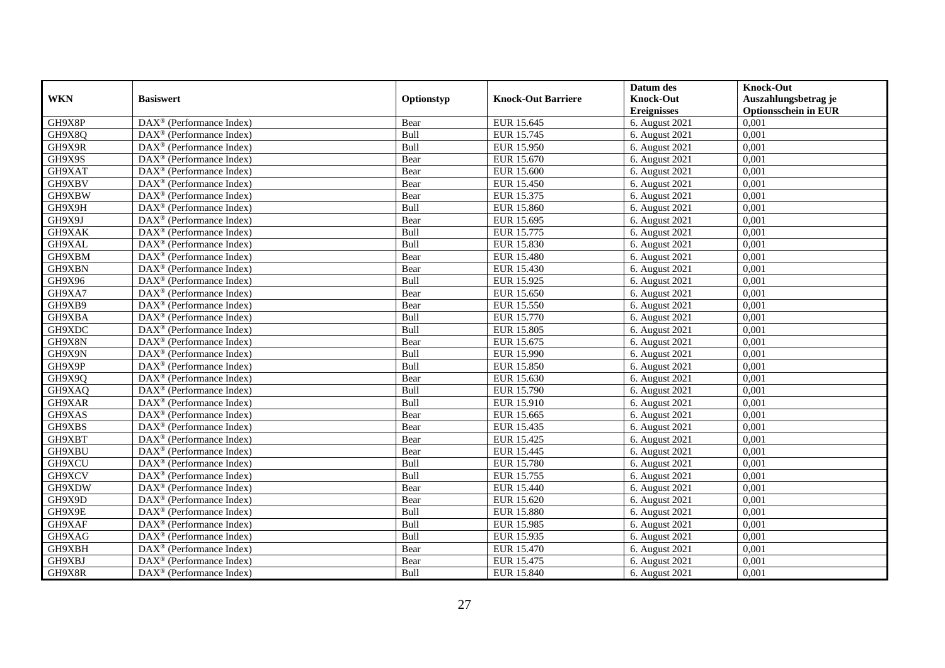|            |                                                         |             |                           | Datum des          | <b>Knock-Out</b>            |
|------------|---------------------------------------------------------|-------------|---------------------------|--------------------|-----------------------------|
| <b>WKN</b> | <b>Basiswert</b>                                        | Optionstyp  | <b>Knock-Out Barriere</b> | <b>Knock-Out</b>   | Auszahlungsbetrag je        |
|            |                                                         |             |                           | <b>Ereignisses</b> | <b>Optionsschein in EUR</b> |
| GH9X8P     | DAX <sup>®</sup> (Performance Index)                    | Bear        | EUR 15.645                | 6. August 2021     | 0,001                       |
| GH9X8Q     | $DAX^{\circledast}$ (Performance Index)                 | <b>Bull</b> | EUR 15.745                | 6. August 2021     | 0,001                       |
| GH9X9R     | $DAX^{\circledcirc}$ (Performance Index)                | Bull        | EUR 15.950                | 6. August $2021$   | 0,001                       |
| GH9X9S     | $\text{DAX}^{\otimes}$ (Performance Index)              | Bear        | EUR 15.670                | 6. August 2021     | 0,001                       |
| GH9XAT     | DAX <sup>®</sup> (Performance Index)                    | Bear        | <b>EUR 15.600</b>         | 6. August 2021     | 0,001                       |
| GH9XBV     | $DAX^{\circledR}$ (Performance Index)                   | Bear        | EUR 15.450                | 6. August 2021     | 0,001                       |
| GH9XBW     | $DAX^{\circledR}$ (Performance Index)                   | Bear        | EUR 15.375                | 6. August 2021     | 0,001                       |
| GH9X9H     | $\text{DAX}^{\otimes}$ (Performance Index)              | <b>Bull</b> | <b>EUR 15.860</b>         | 6. August 2021     | 0,001                       |
| GH9X9J     | $\text{DAX}^{\otimes}$ (Performance Index)              | Bear        | EUR 15.695                | 6. August 2021     | 0,001                       |
| GH9XAK     | $DAX^{\circledast}$ (Performance Index)                 | Bull        | EUR 15.775                | 6. August 2021     | 0,001                       |
| GH9XAL     | $\overline{\text{DAX}}^{\textcirc}$ (Performance Index) | Bull        | EUR 15.830                | 6. August 2021     | 0,001                       |
| GH9XBM     | $\overline{\text{DAX}^{\otimes}}$ (Performance Index)   | Bear        | <b>EUR 15.480</b>         | 6. August 2021     | 0,001                       |
| GH9XBN     | $\text{DAX}^{\otimes}$ (Performance Index)              | Bear        | EUR 15.430                | 6. August 2021     | 0,001                       |
| GH9X96     | $DAX^{\circledR}$ (Performance Index)                   | Bull        | EUR 15.925                | 6. August 2021     | 0,001                       |
| GH9XA7     | $\text{DAX}^{\otimes}$ (Performance Index)              | Bear        | EUR 15.650                | 6. August 2021     | 0,001                       |
| GH9XB9     | DAX <sup>®</sup> (Performance Index)                    | Bear        | EUR 15.550                | 6. August 2021     | 0,001                       |
| GH9XBA     | DAX <sup>®</sup> (Performance Index)                    | Bull        | EUR 15.770                | 6. August 2021     | 0,001                       |
| GH9XDC     | $DAX^{\circledcirc}$ (Performance Index)                | <b>Bull</b> | EUR 15.805                | 6. August 2021     | 0.001                       |
| GH9X8N     | $DAX^{\circledcirc}$ (Performance Index)                | Bear        | EUR 15.675                | 6. August 2021     | 0,001                       |
| GH9X9N     | DAX <sup>®</sup> (Performance Index)                    | Bull        | EUR 15.990                | 6. August 2021     | 0,001                       |
| GH9X9P     | DAX <sup>®</sup> (Performance Index)                    | Bull        | EUR 15.850                | 6. August 2021     | 0,001                       |
| GH9X9Q     | $\overline{\text{DAX}^{\otimes}}$ (Performance Index)   | Bear        | EUR 15.630                | 6. August $2021$   | 0,001                       |
| GH9XAQ     | DAX <sup>®</sup> (Performance Index)                    | Bull        | EUR 15.790                | 6. August 2021     | 0,001                       |
| GH9XAR     | DAX <sup>®</sup> (Performance Index)                    | Bull        | EUR 15.910                | 6. August 2021     | 0,001                       |
| GH9XAS     | DAX <sup>®</sup> (Performance Index)                    | Bear        | EUR 15.665                | 6. August 2021     | 0,001                       |
| GH9XBS     | DAX <sup>®</sup> (Performance Index)                    | Bear        | EUR 15.435                | 6. August 2021     | 0,001                       |
| GH9XBT     | DAX <sup>®</sup> (Performance Index)                    | Bear        | <b>EUR 15.425</b>         | 6. August 2021     | 0,001                       |
| GH9XBU     | $DAX^{\circledR}$ (Performance Index)                   | Bear        | EUR 15.445                | 6. August 2021     | 0,001                       |
| GH9XCU     | $\overline{\text{DAX}^{\otimes}}$ (Performance Index)   | Bull        | <b>EUR 15.780</b>         | 6. August 2021     | 0,001                       |
| GH9XCV     | $DAX^{\circledast}$ (Performance Index)                 | <b>Bull</b> | EUR 15.755                | 6. August 2021     | 0,001                       |
| GH9XDW     | $\text{DAX}^{\otimes}$ (Performance Index)              | Bear        | EUR 15.440                | 6. August 2021     | 0,001                       |
| GH9X9D     | $DAX^{\circledcirc}$ (Performance Index)                | Bear        | EUR 15.620                | 6. August 2021     | 0.001                       |
| GH9X9E     | $DAX^{\circledR}$ (Performance Index)                   | Bull        | <b>EUR 15.880</b>         | 6. August 2021     | 0,001                       |
| GH9XAF     | $\overline{\text{DAX}}^{\textcirc}$ (Performance Index) | Bull        | <b>EUR 15.985</b>         | 6. August 2021     | 0,001                       |
| GH9XAG     | DAX <sup>®</sup> (Performance Index)                    | Bull        | EUR 15.935                | 6. August 2021     | 0,001                       |
| GH9XBH     | $DAX^{\circledcirc}$ (Performance Index)                | Bear        | EUR 15.470                | 6. August 2021     | 0,001                       |
| GH9XBJ     | $DAX^{\circledast}$ (Performance Index)                 | Bear        | EUR 15.475                | 6. August 2021     | 0,001                       |
| GH9X8R     | $\overline{\text{DAX}^{\otimes}}$ (Performance Index)   | <b>Bull</b> | EUR 15.840                | 6. August 2021     | 0,001                       |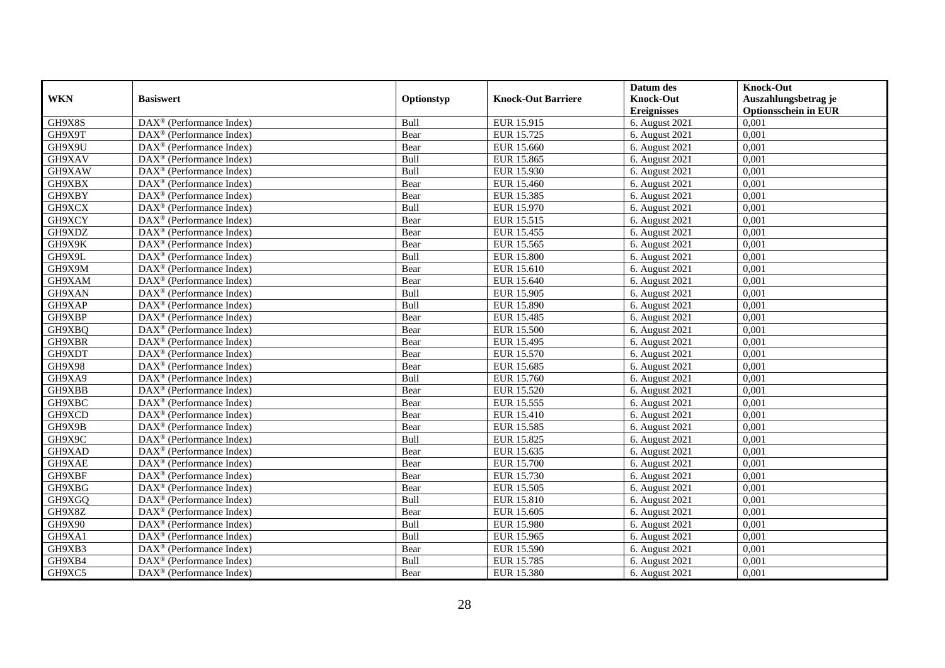|            |                                                         |            |                           | Datum des          | <b>Knock-Out</b>            |
|------------|---------------------------------------------------------|------------|---------------------------|--------------------|-----------------------------|
| <b>WKN</b> | <b>Basiswert</b>                                        | Optionstyp | <b>Knock-Out Barriere</b> | <b>Knock-Out</b>   | Auszahlungsbetrag je        |
|            |                                                         |            |                           | <b>Ereignisses</b> | <b>Optionsschein in EUR</b> |
| GH9X8S     | DAX <sup>®</sup> (Performance Index)                    | Bull       | EUR 15.915                | 6. August 2021     | 0,001                       |
| GH9X9T     | DAX <sup>®</sup> (Performance Index)                    | Bear       | EUR 15.725                | 6. August 2021     | 0,001                       |
| GH9X9U     | $DAX^{\circledR}$ (Performance Index)                   | Bear       | EUR 15.660                | 6. August 2021     | 0,001                       |
| GH9XAV     | $\text{DAX}^{\otimes}$ (Performance Index)              | Bull       | EUR 15.865                | 6. August 2021     | 0,001                       |
| GH9XAW     | DAX <sup>®</sup> (Performance Index)                    | Bull       | EUR 15.930                | 6. August 2021     | 0,001                       |
| GH9XBX     | $DAX^{\otimes}$ (Performance Index)                     | Bear       | <b>EUR 15.460</b>         | 6. August 2021     | 0,001                       |
| GH9XBY     | $DAX^{\circledR}$ (Performance Index)                   | Bear       | EUR 15.385                | 6. August 2021     | 0,001                       |
| GH9XCX     | DAX <sup>®</sup> (Performance Index)                    | Bull       | EUR 15.970                | 6. August 2021     | 0,001                       |
| GH9XCY     | $DAX^{\circledast}$ (Performance Index)                 | Bear       | EUR 15.515                | 6. August 2021     | 0,001                       |
| GH9XDZ     | $\overline{\text{DAX}^{\otimes}}$ (Performance Index)   | Bear       | <b>EUR 15.455</b>         | 6. August 2021     | 0,001                       |
| GH9X9K     | $\overline{\text{DAX}^{\otimes}}$ (Performance Index)   | Bear       | EUR 15.565                | 6. August 2021     | 0,001                       |
| GH9X9L     | DAX <sup>®</sup> (Performance Index)                    | Bull       | <b>EUR 15.800</b>         | 6. August 2021     | 0,001                       |
| GH9X9M     | $\text{DAX}^{\otimes}$ (Performance Index)              | Bear       | EUR 15.610                | 6. August 2021     | 0,001                       |
| GH9XAM     | DAX <sup>®</sup> (Performance Index)                    | Bear       | EUR 15.640                | 6. August 2021     | 0,001                       |
| GH9XAN     | DAX <sup>®</sup> (Performance Index)                    | Bull       | EUR 15.905                | 6. August 2021     | 0,001                       |
| GH9XAP     | DAX <sup>®</sup> (Performance Index)                    | Bull       | EUR 15.890                | 6. August 2021     | 0,001                       |
| GH9XBP     | DAX <sup>®</sup> (Performance Index)                    | Bear       | <b>EUR 15.485</b>         | 6. August 2021     | 0,001                       |
| GH9XBQ     | $\text{DAX}^{\otimes}$ (Performance Index)              | Bear       | <b>EUR 15.500</b>         | 6. August 2021     | 0,001                       |
| GH9XBR     | $\text{DAX}^{\otimes}$ (Performance Index)              | Bear       | EUR 15.495                | 6. August 2021     | 0,001                       |
| GH9XDT     | $DAX^{\circledast}$ (Performance Index)                 | Bear       | EUR 15.570                | 6. August 2021     | 0,001                       |
| GH9X98     | $\text{DAX}^{\otimes}$ (Performance Index)              | Bear       | EUR 15.685                | 6. August 2021     | 0,001                       |
| GH9XA9     | $\overline{\text{DAX}}^{\textcirc}$ (Performance Index) | Bull       | EUR 15.760                | 6. August 2021     | 0,001                       |
| GH9XBB     | $DAX^{\otimes}$ (Performance Index)                     | Bear       | EUR 15.520                | 6. August 2021     | 0,001                       |
| GH9XBC     | $DAX^{\otimes}$ (Performance Index)                     | Bear       | EUR 15.555                | 6. August 2021     | 0,001                       |
| GH9XCD     | $DAX^{\circledR}$ (Performance Index)                   | Bear       | <b>EUR 15.410</b>         | 6. August 2021     | 0,001                       |
| GH9X9B     | $DAX^{\circledast}$ (Performance Index)                 | Bear       | EUR 15.585                | 6. August 2021     | 0,001                       |
| GH9X9C     | DAX <sup>®</sup> (Performance Index)                    | Bull       | EUR 15.825                | 6. August 2021     | 0,001                       |
| GH9XAD     | DAX <sup>®</sup> (Performance Index)                    | Bear       | EUR 15.635                | 6. August 2021     | 0,001                       |
| GH9XAE     | $\text{DAX}^{\otimes}$ (Performance Index)              | Bear       | EUR 15.700                | 6. August 2021     | 0,001                       |
| GH9XBF     | $\text{DAX}^{\otimes}$ (Performance Index)              | Bear       | EUR 15.730                | 6. August 2021     | 0,001                       |
| GH9XBG     | DAX <sup>®</sup> (Performance Index)                    | Bear       | EUR 15.505                | 6. August 2021     | 0,001                       |
| GH9XGQ     | DAX <sup>®</sup> (Performance Index)                    | Bull       | EUR 15.810                | 6. August 2021     | 0,001                       |
| GH9X8Z     | $DAX^{\otimes}$ (Performance Index)                     | Bear       | EUR 15.605                | 6. August 2021     | 0,001                       |
| GH9X90     | $\overline{\text{DAX}^{\otimes}}$ (Performance Index)   | Bull       | <b>EUR 15.980</b>         | 6. August 2021     | 0,001                       |
| GH9XA1     | $\text{DAX}^{\otimes}$ (Performance Index)              | Bull       | EUR 15.965                | 6. August 2021     | 0,001                       |
| GH9XB3     | DAX <sup>®</sup> (Performance Index)                    | Bear       | EUR 15.590                | 6. August 2021     | 0,001                       |
| GH9XB4     | $DAX^{\circledast}$ (Performance Index)                 | Bull       | EUR 15.785                | 6. August 2021     | 0,001                       |
| GH9XC5     | $\text{DAX}^{\otimes}$ (Performance Index)              | Bear       | EUR 15.380                | 6. August 2021     | 0,001                       |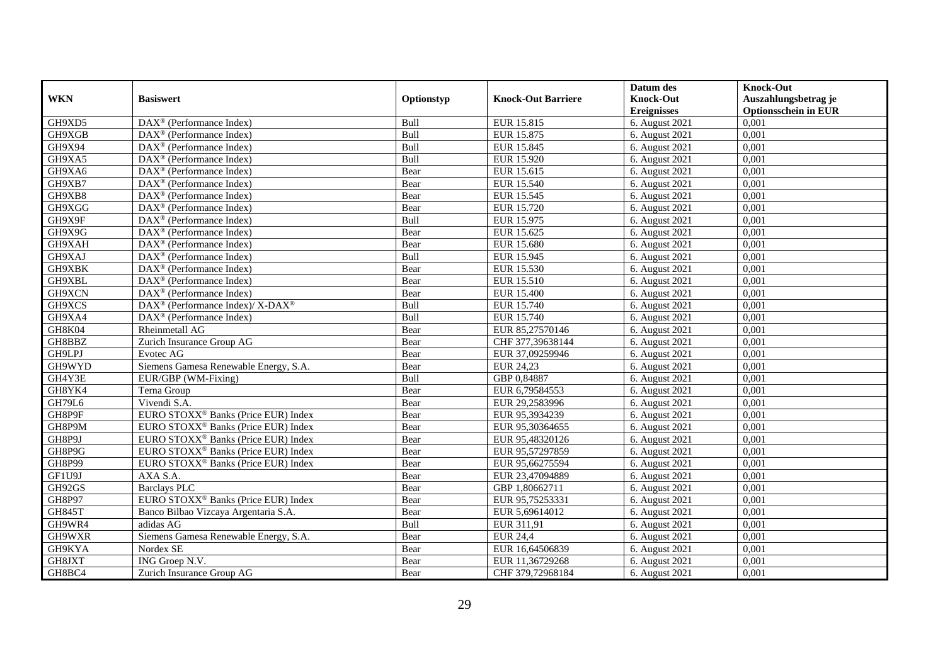|               |                                                          |            |                           | Datum des          | <b>Knock-Out</b>            |
|---------------|----------------------------------------------------------|------------|---------------------------|--------------------|-----------------------------|
| <b>WKN</b>    | <b>Basiswert</b>                                         | Optionstyp | <b>Knock-Out Barriere</b> | <b>Knock-Out</b>   | Auszahlungsbetrag je        |
|               |                                                          |            |                           | <b>Ereignisses</b> | <b>Optionsschein in EUR</b> |
| GH9XD5        | DAX <sup>®</sup> (Performance Index)                     | Bull       | EUR 15.815                | 6. August 2021     | 0,001                       |
| GH9XGB        | $\text{DAX}^{\otimes}$ (Performance Index)               | Bull       | EUR 15.875                | 6. August 2021     | 0,001                       |
| GH9X94        | $DAX^{\circledR}$ (Performance Index)                    | Bull       | EUR 15.845                | 6. August 2021     | 0,001                       |
| GH9XA5        | $\text{DAX}^{\otimes}$ (Performance Index)               | Bull       | EUR 15.920                | 6. August 2021     | 0.001                       |
| GH9XA6        | DAX <sup>®</sup> (Performance Index)                     | Bear       | EUR 15.615                | 6. August 2021     | 0,001                       |
| GH9XB7        | $DAX^{\circledR}$ (Performance Index)                    | Bear       | EUR 15.540                | 6. August 2021     | 0,001                       |
| GH9XB8        | $DAX^{\circledR}$ (Performance Index)                    | Bear       | EUR 15.545                | 6. August 2021     | 0,001                       |
| GH9XGG        | $\text{DAX}^{\otimes}$ (Performance Index)               | Bear       | EUR 15.720                | 6. August 2021     | 0,001                       |
| GH9X9F        | $\text{DAX}^{\otimes}$ (Performance Index)               | Bull       | EUR 15.975                | 6. August 2021     | 0,001                       |
| GH9X9G        | $DAX^{\circledast}$ (Performance Index)                  | Bear       | EUR 15.625                | 6. August 2021     | 0,001                       |
| GH9XAH        | DAX <sup>®</sup> (Performance Index)                     | Bear       | EUR 15.680                | 6. August 2021     | 0,001                       |
| GH9XAJ        | DAX <sup>®</sup> (Performance Index)                     | Bull       | EUR 15.945                | 6. August 2021     | 0,001                       |
| GH9XBK        | DAX <sup>®</sup> (Performance Index)                     | Bear       | EUR 15.530                | 6. August 2021     | 0,001                       |
| GH9XBL        | $DAX^{\otimes}$ (Performance Index)                      | Bear       | EUR 15.510                | 6. August 2021     | 0,001                       |
| GH9XCN        | $\text{DAX}^{\otimes}$ (Performance Index)               | Bear       | EUR 15.400                | 6. August 2021     | 0,001                       |
| GH9XCS        | DAX <sup>®</sup> (Performance Index)/ X-DAX <sup>®</sup> | Bull       | EUR 15.740                | 6. August 2021     | 0,001                       |
| GH9XA4        | DAX <sup>®</sup> (Performance Index)                     | Bull       | EUR 15.740                | 6. August 2021     | 0,001                       |
| GH8K04        | Rheinmetall AG                                           | Bear       | EUR 85,27570146           | 6. August 2021     | 0,001                       |
| GH8BBZ        | Zurich Insurance Group AG                                | Bear       | CHF 377,39638144          | 6. August 2021     | 0,001                       |
| GH9LPJ        | Evotec AG                                                | Bear       | EUR 37,09259946           | 6. August 2021     | 0,001                       |
| GH9WYD        | Siemens Gamesa Renewable Energy, S.A.                    | Bear       | EUR 24,23                 | 6. August 2021     | 0,001                       |
| GH4Y3E        | EUR/GBP (WM-Fixing)                                      | Bull       | GBP 0,84887               | 6. August 2021     | 0,001                       |
| GH8YK4        | Terna Group                                              | Bear       | EUR 6,79584553            | 6. August 2021     | 0,001                       |
| GH79L6        | Vivendi S.A.                                             | Bear       | EUR 29,2583996            | 6. August 2021     | 0,001                       |
| GH8P9F        | EURO STOXX <sup>®</sup> Banks (Price EUR) Index          | Bear       | EUR 95,3934239            | 6. August 2021     | 0,001                       |
| GH8P9M        | EURO STOXX <sup>®</sup> Banks (Price EUR) Index          | Bear       | EUR 95,30364655           | 6. August 2021     | 0,001                       |
| GH8P9J        | EURO STOXX <sup>®</sup> Banks (Price EUR) Index          | Bear       | EUR 95,48320126           | 6. August 2021     | 0,001                       |
| GH8P9G        | EURO STOXX <sup>®</sup> Banks (Price EUR) Index          | Bear       | EUR 95,57297859           | 6. August 2021     | 0,001                       |
| <b>GH8P99</b> | EURO STOXX <sup>®</sup> Banks (Price EUR) Index          | Bear       | EUR 95,66275594           | 6. August 2021     | 0,001                       |
| GF1U9J        | AXA S.A.                                                 | Bear       | EUR 23,47094889           | 6. August 2021     | 0,001                       |
| GH92GS        | <b>Barclays PLC</b>                                      | Bear       | GBP 1,80662711            | 6. August 2021     | 0,001                       |
| <b>GH8P97</b> | EURO STOXX <sup>®</sup> Banks (Price EUR) Index          | Bear       | EUR 95,75253331           | 6. August 2021     | 0.001                       |
| <b>GH845T</b> | Banco Bilbao Vizcaya Argentaria S.A.                     | Bear       | EUR 5,69614012            | 6. August 2021     | 0,001                       |
| GH9WR4        | adidas AG                                                | Bull       | EUR 311,91                | 6. August 2021     | 0,001                       |
| GH9WXR        | Siemens Gamesa Renewable Energy, S.A.                    | Bear       | <b>EUR 24,4</b>           | 6. August 2021     | 0,001                       |
| GH9KYA        | Nordex SE                                                | Bear       | EUR 16,64506839           | 6. August 2021     | 0,001                       |
| GH8JXT        | ING Groep N.V.                                           | Bear       | EUR 11,36729268           | 6. August 2021     | 0,001                       |
| GH8BC4        | Zurich Insurance Group AG                                | Bear       | CHF 379,72968184          | 6. August 2021     | 0,001                       |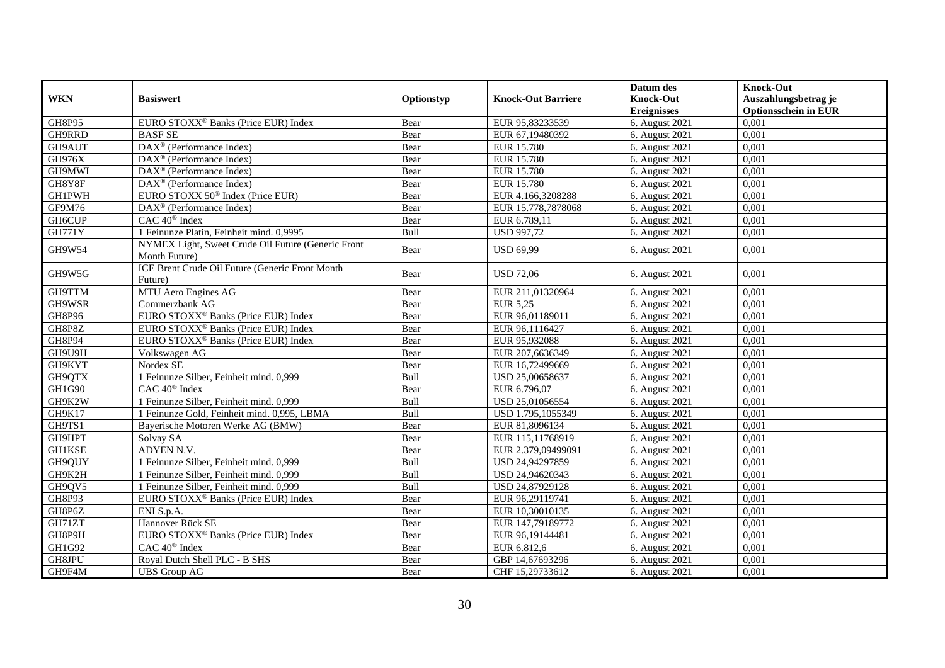|               |                                                                     |             |                           | Datum des          | <b>Knock-Out</b>            |
|---------------|---------------------------------------------------------------------|-------------|---------------------------|--------------------|-----------------------------|
| <b>WKN</b>    | <b>Basiswert</b>                                                    | Optionstyp  | <b>Knock-Out Barriere</b> | <b>Knock-Out</b>   | Auszahlungsbetrag je        |
|               |                                                                     |             |                           | <b>Ereignisses</b> | <b>Optionsschein in EUR</b> |
| GH8P95        | EURO STOXX <sup>®</sup> Banks (Price EUR) Index                     | Bear        | EUR 95,83233539           | 6. August 2021     | 0,001                       |
| GH9RRD        | <b>BASF SE</b>                                                      | Bear        | EUR 67,19480392           | 6. August 2021     | 0,001                       |
| GH9AUT        | $\text{DAX}^{\otimes}$ (Performance Index)                          | Bear        | <b>EUR 15.780</b>         | 6. August 2021     | 0,001                       |
| <b>GH976X</b> | DAX <sup>®</sup> (Performance Index)                                | Bear        | EUR 15.780                | 6. August 2021     | 0,001                       |
| GH9MWL        | DAX <sup>®</sup> (Performance Index)                                | Bear        | <b>EUR 15.780</b>         | 6. August 2021     | 0,001                       |
| GH8Y8F        | $\overline{\text{DAX}^{\otimes}}$ (Performance Index)               | Bear        | <b>EUR 15.780</b>         | 6. August 2021     | 0,001                       |
| <b>GH1PWH</b> | EURO STOXX 50 <sup>®</sup> Index (Price EUR)                        | Bear        | EUR 4.166,3208288         | 6. August 2021     | 0,001                       |
| GF9M76        | DAX <sup>®</sup> (Performance Index)                                | Bear        | EUR 15.778,7878068        | 6. August 2021     | 0,001                       |
| <b>GH6CUP</b> | CAC 40 <sup>®</sup> Index                                           | Bear        | EUR 6.789,11              | 6. August 2021     | 0,001                       |
| <b>GH771Y</b> | 1 Feinunze Platin, Feinheit mind. 0,9995                            | Bull        | <b>USD 997,72</b>         | 6. August 2021     | 0.001                       |
| GH9W54        | NYMEX Light, Sweet Crude Oil Future (Generic Front<br>Month Future) | Bear        | <b>USD 69,99</b>          | 6. August 2021     | 0,001                       |
| GH9W5G        | ICE Brent Crude Oil Future (Generic Front Month<br>Future)          | Bear        | <b>USD 72,06</b>          | 6. August 2021     | 0,001                       |
| GH9TTM        | MTU Aero Engines AG                                                 | Bear        | EUR 211,01320964          | 6. August 2021     | 0.001                       |
| GH9WSR        | Commerzbank AG                                                      | Bear        | EUR 5,25                  | 6. August 2021     | 0,001                       |
| <b>GH8P96</b> | EURO STOXX <sup>®</sup> Banks (Price EUR) Index                     | Bear        | EUR 96,01189011           | 6. August 2021     | 0,001                       |
| GH8P8Z        | EURO STOXX <sup>®</sup> Banks (Price EUR) Index                     | Bear        | EUR 96,1116427            | 6. August 2021     | 0.001                       |
| GH8P94        | EURO STOXX <sup>®</sup> Banks (Price EUR) Index                     | Bear        | EUR 95,932088             | 6. August 2021     | 0,001                       |
| GH9U9H        | Volkswagen AG                                                       | Bear        | EUR 207,6636349           | 6. August 2021     | 0,001                       |
| GH9KYT        | Nordex SE                                                           | Bear        | EUR 16,72499669           | 6. August 2021     | 0,001                       |
| GH9QTX        | 1 Feinunze Silber, Feinheit mind. 0,999                             | Bull        | USD 25,00658637           | 6. August 2021     | 0,001                       |
| GH1G90        | CAC 40 <sup>®</sup> Index                                           | Bear        | EUR 6.796,07              | 6. August 2021     | 0,001                       |
| GH9K2W        | 1 Feinunze Silber, Feinheit mind. 0,999                             | <b>Bull</b> | USD 25,01056554           | 6. August 2021     | 0,001                       |
| GH9K17        | 1 Feinunze Gold, Feinheit mind. 0,995, LBMA                         | Bull        | USD 1.795,1055349         | 6. August $2021$   | 0.001                       |
| GH9TS1        | Baverische Motoren Werke AG (BMW)                                   | Bear        | EUR 81,8096134            | 6. August 2021     | 0,001                       |
| GH9HPT        | Solvay SA                                                           | Bear        | EUR 115,11768919          | 6. August 2021     | 0,001                       |
| <b>GH1KSE</b> | ADYEN N.V.                                                          | Bear        | EUR 2.379,09499091        | 6. August 2021     | 0,001                       |
| GH9QUY        | 1 Feinunze Silber, Feinheit mind. 0,999                             | Bull        | USD 24,94297859           | 6. August 2021     | 0,001                       |
| GH9K2H        | 1 Feinunze Silber, Feinheit mind. 0,999                             | Bull        | USD 24,94620343           | 6. August 2021     | 0,001                       |
| GH9QV5        | 1 Feinunze Silber, Feinheit mind. 0,999                             | Bull        | USD 24,87929128           | 6. August 2021     | 0,001                       |
| GH8P93        | EURO STOXX <sup>®</sup> Banks (Price EUR) Index                     | Bear        | EUR 96,29119741           | 6. August 2021     | 0,001                       |
| GH8P6Z        | ENI S.p.A.                                                          | Bear        | EUR 10,30010135           | 6. August 2021     | 0,001                       |
| GH71ZT        | Hannover Rück SE                                                    | Bear        | EUR 147,79189772          | 6. August 2021     | 0.001                       |
| GH8P9H        | EURO STOXX <sup>®</sup> Banks (Price EUR) Index                     | Bear        | EUR 96,19144481           | 6. August 2021     | 0,001                       |
| GH1G92        | CAC 40 <sup>®</sup> Index                                           | Bear        | EUR 6.812,6               | 6. August 2021     | 0,001                       |
| GH8JPU        | Royal Dutch Shell PLC - B SHS                                       | Bear        | GBP 14,67693296           | 6. August 2021     | 0,001                       |
| GH9F4M        | <b>UBS</b> Group AG                                                 | Bear        | CHF 15,29733612           | 6. August 2021     | 0,001                       |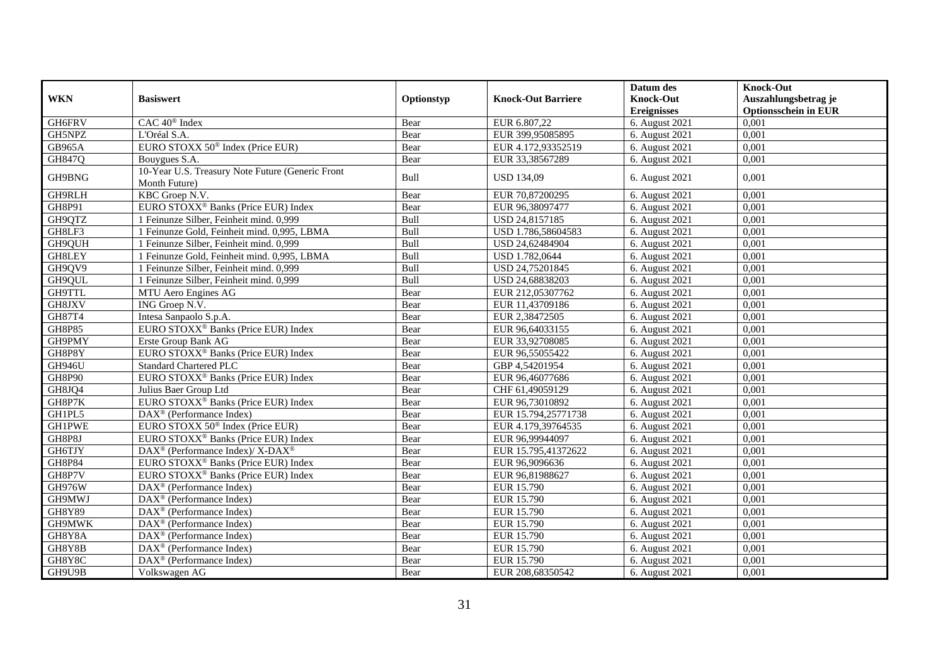|               |                                                                   |             |                           | Datum des                   | <b>Knock-Out</b>            |
|---------------|-------------------------------------------------------------------|-------------|---------------------------|-----------------------------|-----------------------------|
| <b>WKN</b>    | <b>Basiswert</b>                                                  | Optionstyp  | <b>Knock-Out Barriere</b> | <b>Knock-Out</b>            | Auszahlungsbetrag je        |
|               |                                                                   |             |                           | <b>Ereignisses</b>          | <b>Optionsschein in EUR</b> |
| GH6FRV        | CAC 40 <sup>®</sup> Index                                         | Bear        | EUR 6.807,22              | 6. August 2021              | 0,001                       |
| GH5NPZ        | L'Oréal S.A.                                                      | Bear        | EUR 399,95085895          | 6. August 2021              | 0,001                       |
| <b>GB965A</b> | EURO STOXX $50^{\circ}$ Index (Price EUR)                         | Bear        | EUR 4.172,93352519        | 6. August 2021              | 0,001                       |
| GH847Q        | Bouygues S.A.                                                     | Bear        | EUR 33,38567289           | 6. August 2021              | 0,001                       |
| GH9BNG        | 10-Year U.S. Treasury Note Future (Generic Front<br>Month Future) | Bull        | <b>USD 134.09</b>         | 6. August 2021              | 0,001                       |
| GH9RLH        | KBC Groep N.V.                                                    | Bear        | EUR 70,87200295           | 6. August 2021              | 0,001                       |
| GH8P91        | EURO STOXX <sup>®</sup> Banks (Price EUR) Index                   | Bear        | EUR 96,38097477           | 6. August 2021              | 0,001                       |
| GH9QTZ        | 1 Feinunze Silber, Feinheit mind. 0.999                           | Bull        | USD 24,8157185            | 6. August 2021              | 0,001                       |
| GH8LF3        | 1 Feinunze Gold, Feinheit mind. 0,995, LBMA                       | Bull        | USD 1.786,58604583        | 6. August 2021              | 0,001                       |
| GH9QUH        | 1 Feinunze Silber, Feinheit mind. 0,999                           | Bull        | USD 24,62484904           | 6. August 2021              | 0,001                       |
| GH8LEY        | 1 Feinunze Gold, Feinheit mind. 0,995, LBMA                       | Bull        | USD 1.782,0644            | 6. August 2021              | 0,001                       |
| GH9QV9        | 1 Feinunze Silber, Feinheit mind. 0,999                           | <b>Bull</b> | USD 24,75201845           | 6. August 2021              | 0,001                       |
| GH9QUL        | 1 Feinunze Silber, Feinheit mind. 0,999                           | Bull        | USD 24,68838203           | 6. August 2021              | 0,001                       |
| GH9TTL        | MTU Aero Engines AG                                               | Bear        | EUR 212,05307762          | 6. August 2021              | 0.001                       |
| GH8JXV        | ING Groep N.V.                                                    | Bear        | EUR 11,43709186           | 6. August 2021              | 0,001                       |
| GH87T4        | Intesa Sanpaolo S.p.A.                                            | Bear        | EUR 2,38472505            | 6. August 2021              | 0,001                       |
| <b>GH8P85</b> | EURO STOXX <sup>®</sup> Banks (Price EUR) Index                   | Bear        | EUR 96,64033155           | 6. August 2021              | 0,001                       |
| GH9PMY        | Erste Group Bank AG                                               | Bear        | EUR 33,92708085           | 6. August $20\overline{21}$ | 0,001                       |
| GH8P8Y        | EURO STOXX <sup>®</sup> Banks (Price EUR) Index                   | Bear        | EUR 96,55055422           | 6. August 2021              | 0,001                       |
| GH946U        | <b>Standard Chartered PLC</b>                                     | Bear        | GBP 4,54201954            | 6. August 2021              | 0,001                       |
| <b>GH8P90</b> | EURO STOXX <sup>®</sup> Banks (Price EUR) Index                   | Bear        | EUR 96,46077686           | 6. August 2021              | 0,001                       |
| GH8JQ4        | Julius Baer Group Ltd                                             | Bear        | CHF 61,49059129           | 6. August 2021              | 0,001                       |
| GH8P7K        | EURO STOXX <sup>®</sup> Banks (Price EUR) Index                   | Bear        | EUR 96,73010892           | 6. August 2021              | 0,001                       |
| GH1PL5        | $\overline{\text{DAX}^{\otimes}}$ (Performance Index)             | Bear        | EUR 15.794,25771738       | 6. August 2021              | 0,001                       |
| <b>GH1PWE</b> | EURO STOXX 50 <sup>®</sup> Index (Price EUR)                      | Bear        | EUR 4.179,39764535        | 6. August 2021              | 0,001                       |
| GH8P8J        | EURO STOXX <sup>®</sup> Banks (Price EUR) Index                   | Bear        | EUR 96,99944097           | 6. August 2021              | 0,001                       |
| GH6TJY        | DAX <sup>®</sup> (Performance Index)/ X-DAX <sup>®</sup>          | Bear        | EUR 15.795,41372622       | 6. August 2021              | 0,001                       |
| <b>GH8P84</b> | EURO STOXX <sup>®</sup> Banks (Price EUR) Index                   | Bear        | EUR 96,9096636            | 6. August 2021              | 0,001                       |
| GH8P7V        | EURO STOXX <sup>®</sup> Banks (Price EUR) Index                   | Bear        | EUR 96,81988627           | 6. August $20\overline{21}$ | 0,001                       |
| GH976W        | $DAX^{\circledast}$ (Performance Index)                           | Bear        | EUR 15.790                | 6. August 2021              | 0,001                       |
| GH9MWJ        | $DAX^{\circledast}$ (Performance Index)                           | Bear        | <b>EUR 15.790</b>         | 6. August 2021              | 0,001                       |
| <b>GH8Y89</b> | $DAX^{\circledR}$ (Performance Index)                             | Bear        | EUR 15.790                | 6. August 2021              | 0,001                       |
| GH9MWK        | $\text{DAX}^{\otimes}$ (Performance Index)                        | Bear        | EUR 15.790                | 6. August 2021              | 0,001                       |
| GH8Y8A        | DAX <sup>®</sup> (Performance Index)                              | Bear        | EUR 15.790                | 6. August 2021              | 0,001                       |
| GH8Y8B        | $DAX^{\circledcirc}$ (Performance Index)                          | Bear        | EUR 15.790                | 6. August 2021              | 0,001                       |
| GH8Y8C        | DAX <sup>®</sup> (Performance Index)                              | Bear        | EUR 15.790                | 6. August 2021              | 0,001                       |
| GH9U9B        | Volkswagen AG                                                     | Bear        | EUR 208,68350542          | 6. August 2021              | 0,001                       |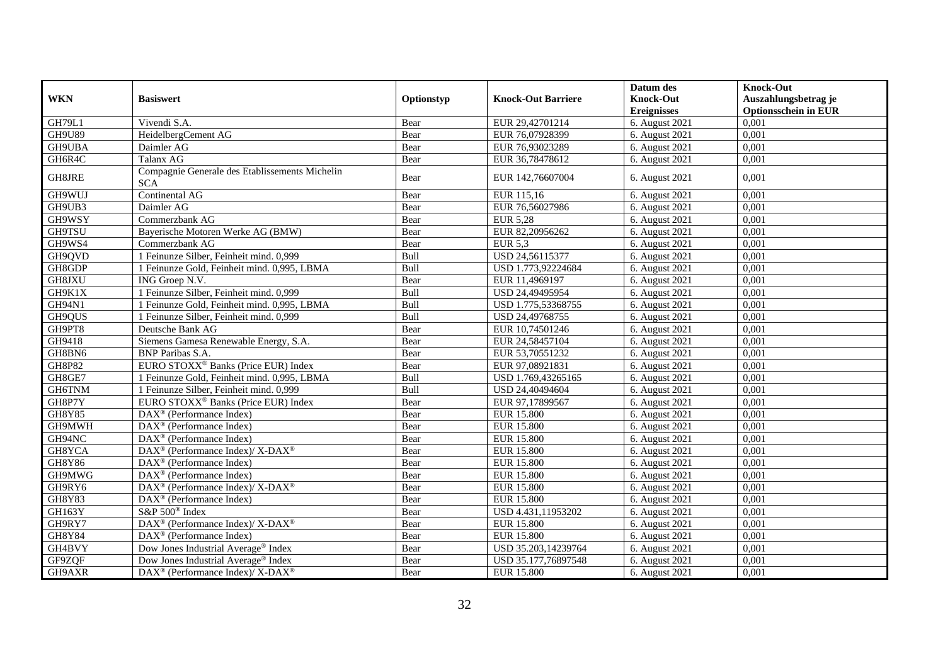|               |                                                                           |            |                           | Datum des          | <b>Knock-Out</b>            |
|---------------|---------------------------------------------------------------------------|------------|---------------------------|--------------------|-----------------------------|
| <b>WKN</b>    | <b>Basiswert</b>                                                          | Optionstyp | <b>Knock-Out Barriere</b> | <b>Knock-Out</b>   | Auszahlungsbetrag je        |
|               |                                                                           |            |                           | <b>Ereignisses</b> | <b>Optionsschein in EUR</b> |
| <b>GH79L1</b> | Vivendi S.A.                                                              | Bear       | EUR 29,42701214           | 6. August 2021     | 0,001                       |
| <b>GH9U89</b> | HeidelbergCement AG                                                       | Bear       | EUR 76,07928399           | 6. August 2021     | 0,001                       |
| GH9UBA        | Daimler AG                                                                | Bear       | EUR 76,93023289           | 6. August 2021     | 0,001                       |
| GH6R4C        | Talanx AG                                                                 | Bear       | EUR 36,78478612           | 6. August 2021     | 0,001                       |
| GH8JRE        | Compagnie Generale des Etablissements Michelin<br><b>SCA</b>              | Bear       | EUR 142,76607004          | 6. August 2021     | 0,001                       |
| GH9WUJ        | Continental AG                                                            | Bear       | EUR 115,16                | 6. August 2021     | 0,001                       |
| GH9UB3        | Daimler AG                                                                | Bear       | EUR 76,56027986           | 6. August 2021     | 0,001                       |
| GH9WSY        | Commerzbank AG                                                            | Bear       | <b>EUR 5,28</b>           | 6. August 2021     | 0,001                       |
| <b>GH9TSU</b> | Bayerische Motoren Werke AG (BMW)                                         | Bear       | EUR 82,20956262           | 6. August 2021     | 0,001                       |
| GH9WS4        | Commerzbank AG                                                            | Bear       | <b>EUR 5,3</b>            | 6. August 2021     | 0,001                       |
| GH9QVD        | 1 Feinunze Silber, Feinheit mind. 0,999                                   | Bull       | USD 24,56115377           | 6. August 2021     | 0,001                       |
| GH8GDP        | 1 Feinunze Gold, Feinheit mind. 0,995, LBMA                               | Bull       | USD 1.773,92224684        | 6. August 2021     | 0,001                       |
| GH8JXU        | ING Groep N.V.                                                            | Bear       | EUR 11,4969197            | 6. August 2021     | 0,001                       |
| GH9K1X        | 1 Feinunze Silber, Feinheit mind. 0,999                                   | Bull       | USD 24,49495954           | 6. August 2021     | 0,001                       |
| GH94N1        | 1 Feinunze Gold, Feinheit mind. 0,995, LBMA                               | Bull       | USD 1.775,53368755        | 6. August 2021     | 0,001                       |
| GH9QUS        | 1 Feinunze Silber, Feinheit mind. 0,999                                   | Bull       | USD 24,49768755           | 6. August 2021     | 0,001                       |
| GH9PT8        | Deutsche Bank AG                                                          | Bear       | EUR 10,74501246           | 6. August 2021     | 0,001                       |
| GH9418        | Siemens Gamesa Renewable Energy, S.A.                                     | Bear       | EUR 24,58457104           | 6. August 2021     | 0,001                       |
| GH8BN6        | <b>BNP Paribas S.A.</b>                                                   | Bear       | EUR 53,70551232           | 6. August 2021     | 0.001                       |
| GH8P82        | EURO STOXX <sup>®</sup> Banks (Price EUR) Index                           | Bear       | EUR 97,08921831           | 6. August 2021     | 0,001                       |
| GH8GE7        | 1 Feinunze Gold, Feinheit mind. 0,995, LBMA                               | Bull       | USD 1.769,43265165        | 6. August 2021     | 0,001                       |
| GH6TNM        | 1 Feinunze Silber, Feinheit mind. 0,999                                   | Bull       | USD 24,40494604           | 6. August 2021     | 0,001                       |
| GH8P7Y        | EURO STOXX <sup>®</sup> Banks (Price EUR) Index                           | Bear       | EUR 97,17899567           | 6. August 2021     | 0,001                       |
| GH8Y85        | DAX <sup>®</sup> (Performance Index)                                      | Bear       | <b>EUR 15.800</b>         | 6. August 2021     | 0,001                       |
| GH9MWH        | DAX <sup>®</sup> (Performance Index)                                      | Bear       | <b>EUR 15.800</b>         | 6. August 2021     | 0,001                       |
| GH94NC        | DAX <sup>®</sup> (Performance Index)                                      | Bear       | <b>EUR 15.800</b>         | 6. August 2021     | 0,001                       |
| GH8YCA        | $DAX^{\circledast}$ (Performance Index)/ $\overline{X-DAX^{\circledast}}$ | Bear       | <b>EUR 15.800</b>         | 6. August 2021     | 0,001                       |
| GH8Y86        | DAX <sup>®</sup> (Performance Index)                                      | Bear       | <b>EUR 15.800</b>         | 6. August 2021     | 0,001                       |
| GH9MWG        | $DAX^{\otimes}$ (Performance Index)                                       | Bear       | <b>EUR 15.800</b>         | 6. August 2021     | 0,001                       |
| GH9RY6        | DAX <sup>®</sup> (Performance Index)/ X-DAX <sup>®</sup>                  | Bear       | <b>EUR 15.800</b>         | 6. August 2021     | 0,001                       |
| GH8Y83        | $\text{DAX}^{\circledast}$ (Performance Index)                            | Bear       | EUR 15.800                | 6. August 2021     | 0,001                       |
| GH163Y        | S&P 500 <sup>®</sup> Index                                                | Bear       | USD 4.431,11953202        | 6. August 2021     | 0,001                       |
| GH9RY7        | DAX <sup>®</sup> (Performance Index)/ X-DAX <sup>®</sup>                  | Bear       | <b>EUR 15.800</b>         | 6. August 2021     | 0,001                       |
| GH8Y84        | $DAX^{\circledR}$ (Performance Index)                                     | Bear       | <b>EUR 15.800</b>         | 6. August 2021     | 0,001                       |
| GH4BVY        | Dow Jones Industrial Average® Index                                       | Bear       | USD 35.203,14239764       | 6. August 2021     | 0,001                       |
| GF9ZQF        | Dow Jones Industrial Average® Index                                       | Bear       | USD 35.177,76897548       | 6. August $2021$   | 0,001                       |
| GH9AXR        | DAX <sup>®</sup> (Performance Index)/ X-DAX <sup>®</sup>                  | Bear       | <b>EUR 15.800</b>         | 6. August 2021     | 0,001                       |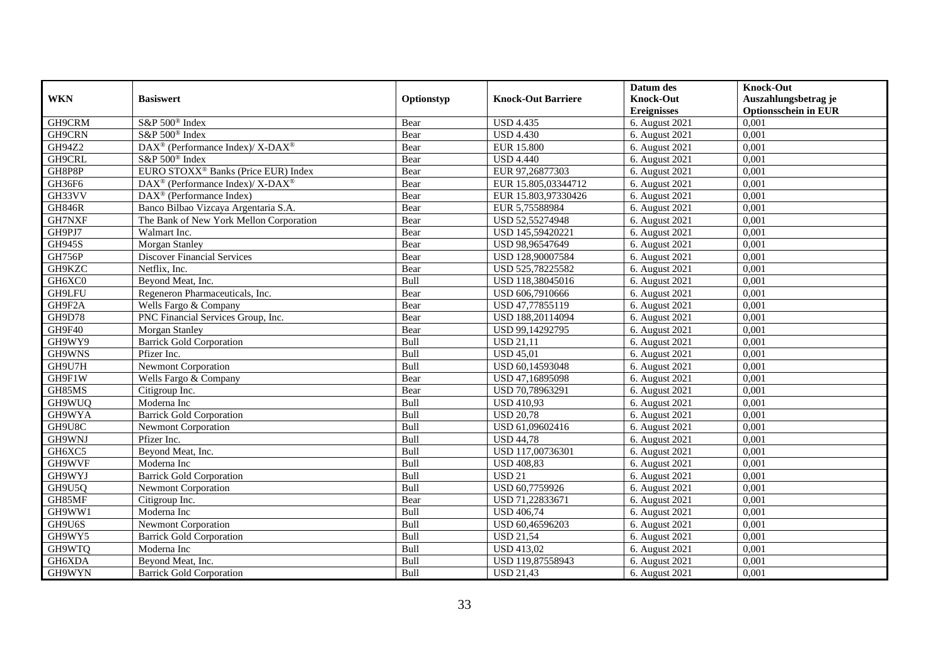|               |                                                          |            |                           | Datum des          | <b>Knock-Out</b>            |
|---------------|----------------------------------------------------------|------------|---------------------------|--------------------|-----------------------------|
| <b>WKN</b>    | <b>Basiswert</b>                                         | Optionstyp | <b>Knock-Out Barriere</b> | <b>Knock-Out</b>   | Auszahlungsbetrag je        |
|               |                                                          |            |                           | <b>Ereignisses</b> | <b>Optionsschein in EUR</b> |
| GH9CRM        | S&P 500 <sup>®</sup> Index                               | Bear       | <b>USD 4.435</b>          | 6. August 2021     | 0,001                       |
| GH9CRN        | S&P 500 <sup>®</sup> Index                               | Bear       | <b>USD</b> 4.430          | 6. August 2021     | 0,001                       |
| GH94Z2        | DAX <sup>®</sup> (Performance Index)/ X-DAX <sup>®</sup> | Bear       | <b>EUR 15.800</b>         | 6. August 2021     | 0,001                       |
| GH9CRL        | S&P 500 <sup>®</sup> Index                               | Bear       | <b>USD 4.440</b>          | 6. August 2021     | 0,001                       |
| GH8P8P        | EURO STOXX <sup>®</sup> Banks (Price EUR) Index          | Bear       | EUR 97,26877303           | 6. August 2021     | 0,001                       |
| GH36F6        | DAX <sup>®</sup> (Performance Index)/ X-DAX <sup>®</sup> | Bear       | EUR 15.805,03344712       | 6. August 2021     | 0,001                       |
| GH33VV        | $DAX^{\circledR}$ (Performance Index)                    | Bear       | EUR 15.803,97330426       | 6. August 2021     | 0,001                       |
| <b>GH846R</b> | Banco Bilbao Vizcaya Argentaria S.A.                     | Bear       | EUR 5,75588984            | 6. August 2021     | 0,001                       |
| GH7NXF        | The Bank of New York Mellon Corporation                  | Bear       | USD 52,55274948           | 6. August 2021     | 0,001                       |
| GH9PJ7        | Walmart Inc.                                             | Bear       | USD 145,59420221          | 6. August 2021     | 0,001                       |
| <b>GH945S</b> | Morgan Stanley                                           | Bear       | USD 98,96547649           | 6. August 2021     | 0,001                       |
| <b>GH756P</b> | <b>Discover Financial Services</b>                       | Bear       | USD 128,90007584          | 6. August 2021     | 0,001                       |
| GH9KZC        | Netflix, Inc.                                            | Bear       | USD 525,78225582          | 6. August 2021     | 0,001                       |
| GH6XC0        | Beyond Meat, Inc.                                        | Bull       | USD 118,38045016          | 6. August 2021     | 0,001                       |
| GH9LFU        | Regeneron Pharmaceuticals, Inc.                          | Bear       | USD 606,7910666           | 6. August 2021     | 0,001                       |
| GH9F2A        | Wells Fargo & Company                                    | Bear       | USD 47,77855119           | 6. August 2021     | 0,001                       |
| GH9D78        | PNC Financial Services Group, Inc.                       | Bear       | USD 188,20114094          | 6. August 2021     | 0,001                       |
| GH9F40        | Morgan Stanley                                           | Bear       | USD 99,14292795           | 6. August 2021     | 0,001                       |
| GH9WY9        | <b>Barrick Gold Corporation</b>                          | Bull       | <b>USD 21,11</b>          | 6. August 2021     | 0,001                       |
| GH9WNS        | Pfizer Inc.                                              | Bull       | <b>USD 45,01</b>          | 6. August 2021     | 0,001                       |
| GH9U7H        | <b>Newmont Corporation</b>                               | Bull       | USD 60,14593048           | 6. August 2021     | 0,001                       |
| GH9F1W        | Wells Fargo & Company                                    | Bear       | USD 47,16895098           | 6. August 2021     | 0,001                       |
| GH85MS        | Citigroup Inc.                                           | Bear       | USD 70,78963291           | 6. August 2021     | 0,001                       |
| GH9WUQ        | Moderna Inc                                              | Bull       | <b>USD 410,93</b>         | 6. August 2021     | 0,001                       |
| GH9WYA        | <b>Barrick Gold Corporation</b>                          | Bull       | <b>USD 20,78</b>          | 6. August 2021     | 0,001                       |
| GH9U8C        | Newmont Corporation                                      | Bull       | USD 61,09602416           | 6. August 2021     | 0.001                       |
| GH9WNJ        | Pfizer Inc.                                              | Bull       | $USD\,44,78$              | 6. August 2021     | 0,001                       |
| GH6XC5        | Beyond Meat, Inc.                                        | Bull       | USD 117,00736301          | 6. August 2021     | 0,001                       |
| GH9WVF        | Moderna Inc                                              | Bull       | <b>USD 408,83</b>         | 6. August 2021     | 0,001                       |
| GH9WYJ        | <b>Barrick Gold Corporation</b>                          | Bull       | <b>USD 21</b>             | 6. August 2021     | 0,001                       |
| GH9U5Q        | Newmont Corporation                                      | Bull       | USD 60,7759926            | 6. August 2021     | 0,001                       |
| GH85MF        | Citigroup Inc.                                           | Bear       | USD 71,22833671           | 6. August 2021     | 0,001                       |
| GH9WW1        | Moderna Inc                                              | Bull       | <b>USD 406,74</b>         | 6. August 2021     | 0,001                       |
| GH9U6S        | <b>Newmont Corporation</b>                               | Bull       | USD 60,46596203           | 6. August 2021     | 0,001                       |
| GH9WY5        | <b>Barrick Gold Corporation</b>                          | Bull       | <b>USD 21,54</b>          | 6. August 2021     | 0,001                       |
| GH9WTQ        | Moderna Inc                                              | Bull       | <b>USD 413,02</b>         | 6. August 2021     | 0,001                       |
| GH6XDA        | Beyond Meat, Inc.                                        | Bull       | USD 119,87558943          | 6. August 2021     | 0,001                       |
| GH9WYN        | <b>Barrick Gold Corporation</b>                          | Bull       | <b>USD 21,43</b>          | 6. August 2021     | 0,001                       |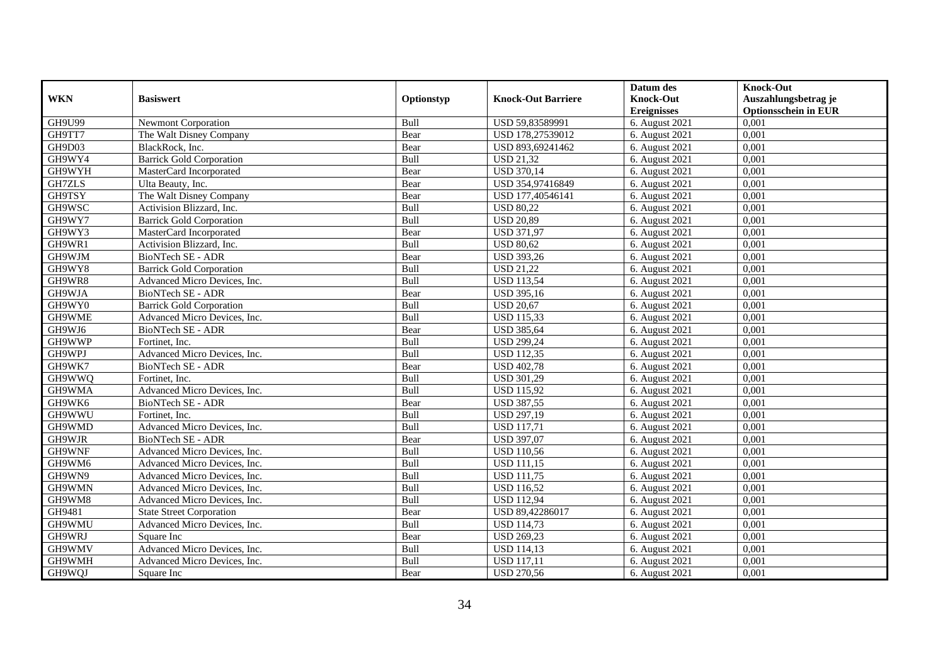|               |                                 |             |                           | Datum des          | <b>Knock-Out</b>            |
|---------------|---------------------------------|-------------|---------------------------|--------------------|-----------------------------|
| <b>WKN</b>    | <b>Basiswert</b>                | Optionstyp  | <b>Knock-Out Barriere</b> | <b>Knock-Out</b>   | Auszahlungsbetrag je        |
|               |                                 |             |                           | <b>Ereignisses</b> | <b>Optionsschein in EUR</b> |
| GH9U99        | Newmont Corporation             | Bull        | USD 59,83589991           | 6. August 2021     | 0,001                       |
| GH9TT7        | The Walt Disney Company         | Bear        | USD 178,27539012          | 6. August 2021     | 0,001                       |
| GH9D03        | BlackRock, Inc.                 | Bear        | USD 893,69241462          | 6. August $2021$   | 0,001                       |
| GH9WY4        | <b>Barrick Gold Corporation</b> | Bull        | <b>USD 21,32</b>          | 6. August 2021     | 0,001                       |
| GH9WYH        | MasterCard Incorporated         | Bear        | <b>USD 370,14</b>         | 6. August 2021     | 0,001                       |
| <b>GH7ZLS</b> | Ulta Beauty, Inc.               | Bear        | USD 354,97416849          | 6. August 2021     | 0,001                       |
| GH9TSY        | The Walt Disney Company         | Bear        | USD 177,40546141          | 6. August 2021     | 0,001                       |
| GH9WSC        | Activision Blizzard, Inc.       | Bull        | <b>USD 80,22</b>          | 6. August 2021     | 0,001                       |
| GH9WY7        | <b>Barrick Gold Corporation</b> | Bull        | <b>USD 20,89</b>          | 6. August 2021     | 0,001                       |
| GH9WY3        | MasterCard Incorporated         | Bear        | <b>USD 371,97</b>         | 6. August 2021     | 0,001                       |
| GH9WR1        | Activision Blizzard, Inc.       | Bull        | <b>USD 80,62</b>          | 6. August 2021     | 0,001                       |
| GH9WJM        | BioNTech SE - ADR               | Bear        | <b>USD 393,26</b>         | 6. August 2021     | 0,001                       |
| GH9WY8        | <b>Barrick Gold Corporation</b> | Bull        | <b>USD 21,22</b>          | 6. August 2021     | 0,001                       |
| GH9WR8        | Advanced Micro Devices, Inc.    | <b>Bull</b> | <b>USD 113,54</b>         | 6. August 2021     | 0,001                       |
| GH9WJA        | <b>BioNTech SE - ADR</b>        | Bear        | <b>USD 395,16</b>         | 6. August 2021     | 0,001                       |
| GH9WY0        | <b>Barrick Gold Corporation</b> | Bull        | <b>USD 20,67</b>          | 6. August 2021     | 0,001                       |
| GH9WME        | Advanced Micro Devices, Inc.    | Bull        | <b>USD 115,33</b>         | 6. August 2021     | 0,001                       |
| GH9WJ6        | BioNTech SE - ADR               | Bear        | <b>USD 385,64</b>         | 6. August 2021     | 0,001                       |
| GH9WWP        | Fortinet, Inc.                  | Bull        | <b>USD 299,24</b>         | 6. August 2021     | 0,001                       |
| GH9WPJ        | Advanced Micro Devices, Inc.    | Bull        | <b>USD 112,35</b>         | 6. August 2021     | 0,001                       |
| GH9WK7        | <b>BioNTech SE - ADR</b>        | Bear        | <b>USD 402,78</b>         | 6. August 2021     | 0,001                       |
| GH9WWO        | Fortinet. Inc.                  | Bull        | <b>USD 301,29</b>         | 6. August 2021     | 0,001                       |
| GH9WMA        | Advanced Micro Devices, Inc.    | Bull        | <b>USD 115,92</b>         | 6. August 2021     | 0,001                       |
| GH9WK6        | <b>BioNTech SE - ADR</b>        | Bear        | <b>USD 387,55</b>         | 6. August 2021     | 0,001                       |
| GH9WWU        | Fortinet. Inc.                  | Bull        | <b>USD 297,19</b>         | 6. August $2021$   | 0,001                       |
| GH9WMD        | Advanced Micro Devices, Inc.    | Bull        | <b>USD 117,71</b>         | 6. August 2021     | 0,001                       |
| GH9WJR        | <b>BioNTech SE - ADR</b>        | Bear        | <b>USD 397,07</b>         | 6. August 2021     | 0,001                       |
| GH9WNF        | Advanced Micro Devices, Inc.    | Bull        | <b>USD 110,56</b>         | 6. August 2021     | 0,001                       |
| GH9WM6        | Advanced Micro Devices, Inc.    | Bull        | <b>USD 111,15</b>         | 6. August 2021     | 0,001                       |
| GH9WN9        | Advanced Micro Devices, Inc.    | Bull        | <b>USD 111,75</b>         | 6. August 2021     | 0,001                       |
| GH9WMN        | Advanced Micro Devices, Inc.    | Bull        | <b>USD 116,52</b>         | 6. August 2021     | 0,001                       |
| GH9WM8        | Advanced Micro Devices, Inc.    | Bull        | <b>USD 112,94</b>         | 6. August 2021     | 0,001                       |
| GH9481        | <b>State Street Corporation</b> | Bear        | USD 89,42286017           | 6. August 2021     | 0,001                       |
| GH9WMU        | Advanced Micro Devices, Inc.    | Bull        | <b>USD 114,73</b>         | 6. August 2021     | 0,001                       |
| GH9WRJ        | Square Inc                      | Bear        | <b>USD 269,23</b>         | 6. August 2021     | 0,001                       |
| GH9WMV        | Advanced Micro Devices, Inc.    | Bull        | <b>USD 114,13</b>         | 6. August 2021     | 0,001                       |
| GH9WMH        | Advanced Micro Devices, Inc.    | Bull        | <b>USD 117,11</b>         | 6. August 2021     | 0,001                       |
| GH9WQJ        | Square Inc                      | Bear        | <b>USD 270,56</b>         | 6. August 2021     | 0,001                       |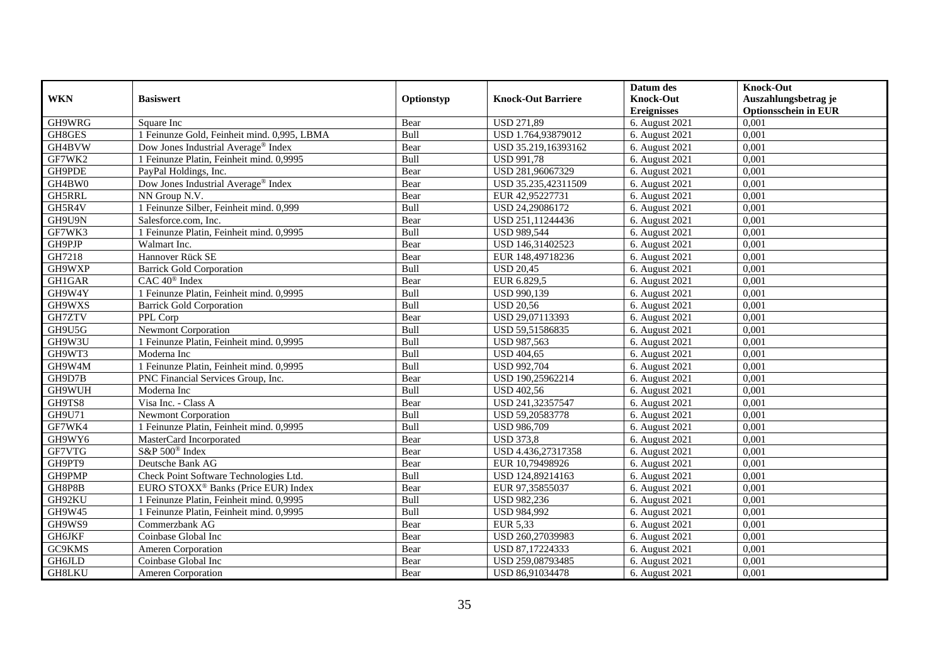|               |                                                 |            |                           | Datum des          | <b>Knock-Out</b>            |
|---------------|-------------------------------------------------|------------|---------------------------|--------------------|-----------------------------|
| <b>WKN</b>    | <b>Basiswert</b>                                | Optionstyp | <b>Knock-Out Barriere</b> | <b>Knock-Out</b>   | Auszahlungsbetrag je        |
|               |                                                 |            |                           | <b>Ereignisses</b> | <b>Optionsschein in EUR</b> |
| GH9WRG        | Square Inc                                      | Bear       | <b>USD 271,89</b>         | 6. August 2021     | 0,001                       |
| GH8GES        | 1 Feinunze Gold, Feinheit mind. 0,995, LBMA     | Bull       | USD 1.764,93879012        | 6. August 2021     | 0,001                       |
| GH4BVW        | Dow Jones Industrial Average® Index             | Bear       | USD 35.219,16393162       | 6. August $2021$   | 0,001                       |
| GF7WK2        | 1 Feinunze Platin, Feinheit mind. 0,9995        | Bull       | <b>USD 991,78</b>         | 6. August 2021     | 0,001                       |
| GH9PDE        | PayPal Holdings, Inc.                           | Bear       | USD 281,96067329          | 6. August 2021     | 0,001                       |
| GH4BW0        | Dow Jones Industrial Average <sup>®</sup> Index | Bear       | USD 35.235,42311509       | 6. August 2021     | 0,001                       |
| GH5RRL        | NN Group N.V.                                   | Bear       | EUR 42,95227731           | 6. August 2021     | 0,001                       |
| GH5R4V        | 1 Feinunze Silber, Feinheit mind. 0,999         | Bull       | USD 24,29086172           | 6. August 2021     | 0,001                       |
| GH9U9N        | Salesforce.com, Inc.                            | Bear       | USD 251,11244436          | 6. August 2021     | 0,001                       |
| GF7WK3        | 1 Feinunze Platin, Feinheit mind. 0,9995        | Bull       | <b>USD 989,544</b>        | 6. August 2021     | 0,001                       |
| GH9PJP        | Walmart Inc.                                    | Bear       | USD 146,31402523          | 6. August 2021     | 0,001                       |
| GH7218        | Hannover Rück SE                                | Bear       | EUR 148,49718236          | 6. August 2021     | 0,001                       |
| GH9WXP        | <b>Barrick Gold Corporation</b>                 | Bull       | <b>USD 20,45</b>          | 6. August 2021     | 0,001                       |
| GH1GAR        | $CAC 40^{\circledast}$ Index                    | Bear       | EUR 6.829,5               | 6. August 2021     | 0,001                       |
| GH9W4Y        | 1 Feinunze Platin, Feinheit mind. 0,9995        | Bull       | USD 990,139               | 6. August 2021     | 0,001                       |
| GH9WXS        | <b>Barrick Gold Corporation</b>                 | Bull       | <b>USD 20,56</b>          | 6. August 2021     | 0,001                       |
| GH7ZTV        | PPL Corp                                        | Bear       | USD 29,07113393           | 6. August 2021     | 0,001                       |
| GH9U5G        | <b>Newmont Corporation</b>                      | Bull       | USD 59.51586835           | 6. August 2021     | 0,001                       |
| GH9W3U        | 1 Feinunze Platin, Feinheit mind. 0,9995        | Bull       | USD 987,563               | 6. August 2021     | 0,001                       |
| GH9WT3        | Moderna Inc                                     | Bull       | <b>USD 404,65</b>         | 6. August 2021     | 0,001                       |
| GH9W4M        | 1 Feinunze Platin, Feinheit mind. 0,9995        | Bull       | <b>USD 992,704</b>        | 6. August 2021     | 0,001                       |
| GH9D7B        | PNC Financial Services Group, Inc.              | Bear       | USD 190,25962214          | 6. August 2021     | 0,001                       |
| GH9WUH        | Moderna Inc                                     | Bull       | <b>USD 402,56</b>         | 6. August 2021     | 0,001                       |
| GH9TS8        | Visa Inc. - Class A                             | Bear       | USD 241,32357547          | 6. August 2021     | 0,001                       |
| GH9U71        | <b>Newmont Corporation</b>                      | Bull       | USD 59,20583778           | 6. August 2021     | 0,001                       |
| GF7WK4        | 1 Feinunze Platin, Feinheit mind. 0,9995        | Bull       | <b>USD 986,709</b>        | 6. August 2021     | 0,001                       |
| GH9WY6        | MasterCard Incorporated                         | Bear       | <b>USD 373,8</b>          | 6. August 2021     | 0,001                       |
| GF7VTG        | S&P 500 <sup>®</sup> Index                      | Bear       | USD 4.436,27317358        | 6. August 2021     | 0,001                       |
| GH9PT9        | Deutsche Bank AG                                | Bear       | EUR 10,79498926           | 6. August 2021     | 0,001                       |
| GH9PMP        | Check Point Software Technologies Ltd.          | Bull       | USD 124,89214163          | 6. August 2021     | 0,001                       |
| GH8P8B        | EURO STOXX <sup>®</sup> Banks (Price EUR) Index | Bear       | EUR 97,35855037           | 6. August 2021     | 0,001                       |
| GH92KU        | 1 Feinunze Platin, Feinheit mind. 0,9995        | Bull       | USD 982,236               | 6. August 2021     | 0,001                       |
| GH9W45        | 1 Feinunze Platin, Feinheit mind. 0,9995        | Bull       | <b>USD 984,992</b>        | 6. August 2021     | 0,001                       |
| GH9WS9        | Commerzbank AG                                  | Bear       | EUR 5,33                  | 6. August 2021     | 0,001                       |
| <b>GH6JKF</b> | Coinbase Global Inc                             | Bear       | USD 260,27039983          | 6. August 2021     | 0,001                       |
| GC9KMS        | <b>Ameren Corporation</b>                       | Bear       | USD 87,17224333           | 6. August 2021     | 0,001                       |
| GH6JLD        | Coinbase Global Inc                             | Bear       | USD 259,08793485          | 6. August 2021     | 0,001                       |
| <b>GH8LKU</b> | Ameren Corporation                              | Bear       | USD 86,91034478           | 6. August 2021     | 0,001                       |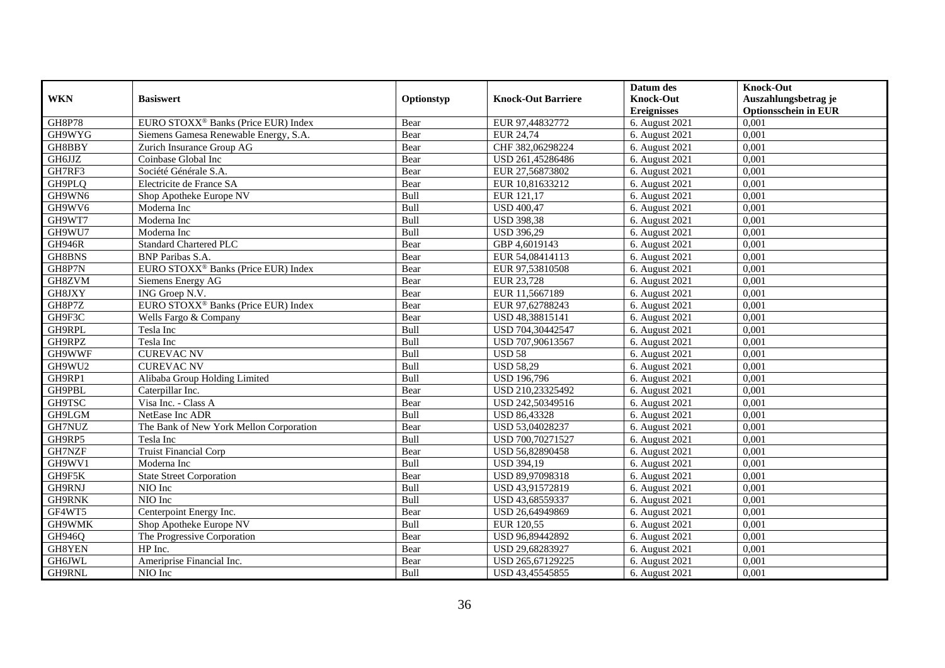|               |                                                 |             |                           | Datum des          | <b>Knock-Out</b>            |
|---------------|-------------------------------------------------|-------------|---------------------------|--------------------|-----------------------------|
| <b>WKN</b>    | <b>Basiswert</b>                                | Optionstyp  | <b>Knock-Out Barriere</b> | <b>Knock-Out</b>   | Auszahlungsbetrag je        |
|               |                                                 |             |                           | <b>Ereignisses</b> | <b>Optionsschein in EUR</b> |
| <b>GH8P78</b> | EURO STOXX <sup>®</sup> Banks (Price EUR) Index | Bear        | EUR 97,44832772           | 6. August 2021     | 0,001                       |
| GH9WYG        | Siemens Gamesa Renewable Energy, S.A.           | Bear        | <b>EUR 24,74</b>          | 6. August 2021     | 0,001                       |
| GH8BBY        | Zurich Insurance Group AG                       | Bear        | CHF 382,06298224          | 6. August $2021$   | 0,001                       |
| GH6JJZ        | Coinbase Global Inc                             | Bear        | USD 261,45286486          | 6. August 2021     | 0,001                       |
| GH7RF3        | Société Générale S.A.                           | Bear        | EUR 27,56873802           | 6. August 2021     | 0,001                       |
| GH9PLQ        | Electricite de France SA                        | Bear        | EUR 10,81633212           | 6. August 2021     | 0,001                       |
| GH9WN6        | Shop Apotheke Europe NV                         | <b>Bull</b> | EUR 121,17                | 6. August 2021     | 0,001                       |
| GH9WV6        | Moderna Inc                                     | Bull        | <b>USD 400,47</b>         | 6. August 2021     | 0,001                       |
| GH9WT7        | Moderna Inc                                     | Bull        | <b>USD 398,38</b>         | 6. August 2021     | 0,001                       |
| GH9WU7        | Moderna Inc                                     | Bull        | <b>USD 396,29</b>         | 6. August 2021     | 0,001                       |
| <b>GH946R</b> | <b>Standard Chartered PLC</b>                   | Bear        | GBP 4,6019143             | 6. August 2021     | 0,001                       |
| GH8BNS        | <b>BNP</b> Paribas S.A.                         | Bear        | EUR 54,08414113           | 6. August 2021     | 0,001                       |
| GH8P7N        | EURO STOXX <sup>®</sup> Banks (Price EUR) Index | Bear        | EUR 97,53810508           | 6. August 2021     | 0,001                       |
| GH8ZVM        | Siemens Energy AG                               | Bear        | EUR 23,728                | 6. August 2021     | 0.001                       |
| GH8JXY        | ING Groep N.V.                                  | Bear        | EUR 11,5667189            | 6. August 2021     | 0,001                       |
| GH8P7Z        | EURO STOXX <sup>®</sup> Banks (Price EUR) Index | Bear        | EUR 97,62788243           | 6. August 2021     | 0,001                       |
| GH9F3C        | Wells Fargo & Company                           | Bear        | USD 48,38815141           | 6. August 2021     | 0,001                       |
| GH9RPL        | Tesla Inc                                       | Bull        | USD 704,30442547          | 6. August 2021     | 0,001                       |
| GH9RPZ        | Tesla Inc                                       | Bull        | USD 707,90613567          | 6. August 2021     | 0,001                       |
| GH9WWF        | <b>CUREVAC NV</b>                               | Bull        | <b>USD 58</b>             | 6. August 2021     | 0,001                       |
| GH9WU2        | <b>CUREVAC NV</b>                               | Bull        | <b>USD 58,29</b>          | 6. August 2021     | 0,001                       |
| GH9RP1        | Alibaba Group Holding Limited                   | <b>Bull</b> | <b>USD 196,796</b>        | 6. August 2021     | 0,001                       |
| GH9PBL        | Caterpillar Inc.                                | Bear        | USD 210,23325492          | 6. August 2021     | 0,001                       |
| <b>GH9TSC</b> | Visa Inc. - Class A                             | Bear        | USD 242,50349516          | 6. August 2021     | 0,001                       |
| GH9LGM        | NetEase Inc ADR                                 | Bull        | <b>USD 86,43328</b>       | 6. August $2021$   | 0,001                       |
| GH7NUZ        | The Bank of New York Mellon Corporation         | Bear        | USD 53,04028237           | 6. August 2021     | 0,001                       |
| GH9RP5        | Tesla Inc                                       | Bull        | USD 700,70271527          | 6. August 2021     | 0,001                       |
| GH7NZF        | <b>Truist Financial Corp</b>                    | Bear        | USD 56,82890458           | 6. August 2021     | 0,001                       |
| GH9WV1        | Moderna Inc                                     | Bull        | <b>USD 394,19</b>         | 6. August 2021     | 0.001                       |
| GH9F5K        | <b>State Street Corporation</b>                 | Bear        | USD 89,97098318           | 6. August $2021$   | 0,001                       |
| GH9RNJ        | NIO Inc                                         | Bull        | USD 43,91572819           | 6. August 2021     | 0,001                       |
| <b>GH9RNK</b> | NIO Inc                                         | Bull        | USD 43,68559337           | 6. August 2021     | 0,001                       |
| GF4WT5        | Centerpoint Energy Inc.                         | Bear        | USD 26,64949869           | 6. August 2021     | 0,001                       |
| GH9WMK        | Shop Apotheke Europe NV                         | Bull        | EUR 120,55                | 6. August 2021     | 0,001                       |
| GH946Q        | The Progressive Corporation                     | Bear        | USD 96,89442892           | 6. August 2021     | 0,001                       |
| GH8YEN        | HP Inc.                                         | Bear        | USD 29,68283927           | 6. August 2021     | 0,001                       |
| GH6JWL        | Ameriprise Financial Inc.                       | Bear        | USD 265,67129225          | 6. August 2021     | 0,001                       |
| GH9RNL        | NIO Inc                                         | <b>Bull</b> | USD 43,45545855           | 6. August 2021     | 0,001                       |